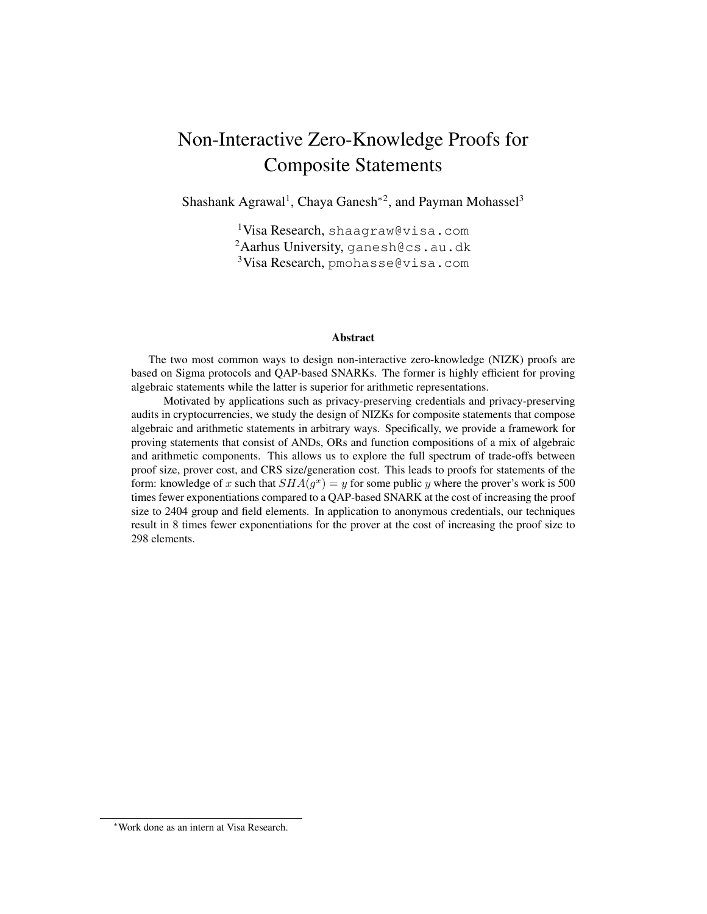# Non-Interactive Zero-Knowledge Proofs for Composite Statements

Shashank Agrawal<sup>1</sup>, Chaya Ganesh<sup>\*2</sup>, and Payman Mohassel<sup>3</sup>

<sup>1</sup>Visa Research, shaagraw@visa.com <sup>2</sup> Aarhus University, ganesh@cs.au.dk <sup>3</sup>Visa Research, pmohasse@visa.com

#### Abstract

The two most common ways to design non-interactive zero-knowledge (NIZK) proofs are based on Sigma protocols and QAP-based SNARKs. The former is highly efficient for proving algebraic statements while the latter is superior for arithmetic representations.

Motivated by applications such as privacy-preserving credentials and privacy-preserving audits in cryptocurrencies, we study the design of NIZKs for composite statements that compose algebraic and arithmetic statements in arbitrary ways. Specifically, we provide a framework for proving statements that consist of ANDs, ORs and function compositions of a mix of algebraic and arithmetic components. This allows us to explore the full spectrum of trade-offs between proof size, prover cost, and CRS size/generation cost. This leads to proofs for statements of the form: knowledge of x such that  $SHA(g^x) = y$  for some public y where the prover's work is 500 times fewer exponentiations compared to a QAP-based SNARK at the cost of increasing the proof size to 2404 group and field elements. In application to anonymous credentials, our techniques result in 8 times fewer exponentiations for the prover at the cost of increasing the proof size to 298 elements.

<sup>∗</sup>Work done as an intern at Visa Research.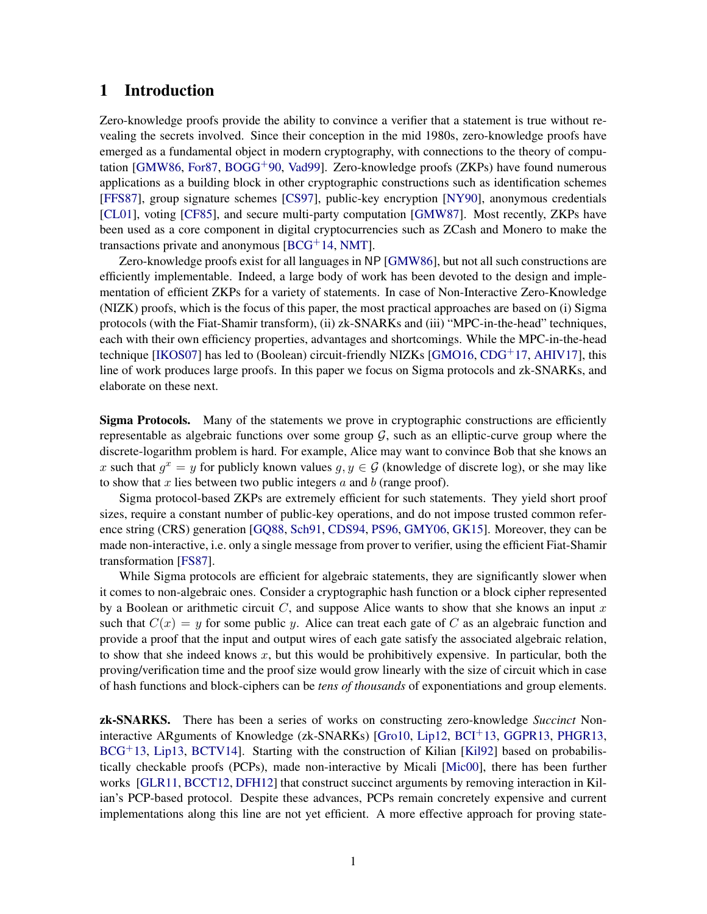# 1 Introduction

Zero-knowledge proofs provide the ability to convince a verifier that a statement is true without revealing the secrets involved. Since their conception in the mid 1980s, zero-knowledge proofs have emerged as a fundamental object in modern cryptography, with connections to the theory of compu-tation [\[GMW86,](#page-28-0) [For87,](#page-27-0) [BOGG](#page-26-0)<sup>+90</sup>, [Vad99\]](#page-29-0). Zero-knowledge proofs (ZKPs) have found numerous applications as a building block in other cryptographic constructions such as identification schemes [\[FFS87\]](#page-27-1), group signature schemes [\[CS97\]](#page-27-2), public-key encryption [\[NY90\]](#page-29-1), anonymous credentials [\[CL01\]](#page-26-1), voting [\[CF85\]](#page-26-2), and secure multi-party computation [\[GMW87\]](#page-28-1). Most recently, ZKPs have been used as a core component in digital cryptocurrencies such as ZCash and Monero to make the transactions private and anonymous  $[BCG^+14, NMT]$  $[BCG^+14, NMT]$  $[BCG^+14, NMT]$ .

Zero-knowledge proofs exist for all languages in NP [\[GMW86\]](#page-28-0), but not all such constructions are efficiently implementable. Indeed, a large body of work has been devoted to the design and implementation of efficient ZKPs for a variety of statements. In case of Non-Interactive Zero-Knowledge (NIZK) proofs, which is the focus of this paper, the most practical approaches are based on (i) Sigma protocols (with the Fiat-Shamir transform), (ii) zk-SNARKs and (iii) "MPC-in-the-head" techniques, each with their own efficiency properties, advantages and shortcomings. While the MPC-in-the-head technique [\[IKOS07\]](#page-28-2) has led to (Boolean) circuit-friendly NIZKs [\[GMO16,](#page-28-3) [CDG](#page-26-3)+17, [AHIV17\]](#page-25-1), this line of work produces large proofs. In this paper we focus on Sigma protocols and zk-SNARKs, and elaborate on these next.

Sigma Protocols. Many of the statements we prove in cryptographic constructions are efficiently representable as algebraic functions over some group  $G$ , such as an elliptic-curve group where the discrete-logarithm problem is hard. For example, Alice may want to convince Bob that she knows an x such that  $g^x = y$  for publicly known values  $g, y \in \mathcal{G}$  (knowledge of discrete log), or she may like to show that x lies between two public integers  $a$  and  $b$  (range proof).

Sigma protocol-based ZKPs are extremely efficient for such statements. They yield short proof sizes, require a constant number of public-key operations, and do not impose trusted common reference string (CRS) generation [\[GQ88,](#page-28-4) [Sch91,](#page-29-3) [CDS94,](#page-26-4) [PS96,](#page-29-4) [GMY06,](#page-28-5) [GK15\]](#page-28-6). Moreover, they can be made non-interactive, i.e. only a single message from prover to verifier, using the efficient Fiat-Shamir transformation [\[FS87\]](#page-28-7).

While Sigma protocols are efficient for algebraic statements, they are significantly slower when it comes to non-algebraic ones. Consider a cryptographic hash function or a block cipher represented by a Boolean or arithmetic circuit  $C$ , and suppose Alice wants to show that she knows an input  $x$ such that  $C(x) = y$  for some public y. Alice can treat each gate of C as an algebraic function and provide a proof that the input and output wires of each gate satisfy the associated algebraic relation, to show that she indeed knows  $x$ , but this would be prohibitively expensive. In particular, both the proving/verification time and the proof size would grow linearly with the size of circuit which in case of hash functions and block-ciphers can be *tens of thousands* of exponentiations and group elements.

zk-SNARKS. There has been a series of works on constructing zero-knowledge *Succinct* Noninteractive ARguments of Knowledge (zk-SNARKs) [\[Gro10,](#page-28-8) [Lip12,](#page-29-5) [BCI](#page-25-2)+13, [GGPR13,](#page-28-9) [PHGR13,](#page-29-6)  $BCG<sup>+</sup>13$  $BCG<sup>+</sup>13$ , [Lip13,](#page-29-7) [BCTV14\]](#page-25-4). Starting with the construction of Kilian [\[Kil92\]](#page-29-8) based on probabilistically checkable proofs (PCPs), made non-interactive by Micali [\[Mic00\]](#page-29-9), there has been further works [\[GLR11,](#page-28-10) [BCCT12,](#page-25-5) [DFH12\]](#page-27-3) that construct succinct arguments by removing interaction in Kilian's PCP-based protocol. Despite these advances, PCPs remain concretely expensive and current implementations along this line are not yet efficient. A more effective approach for proving state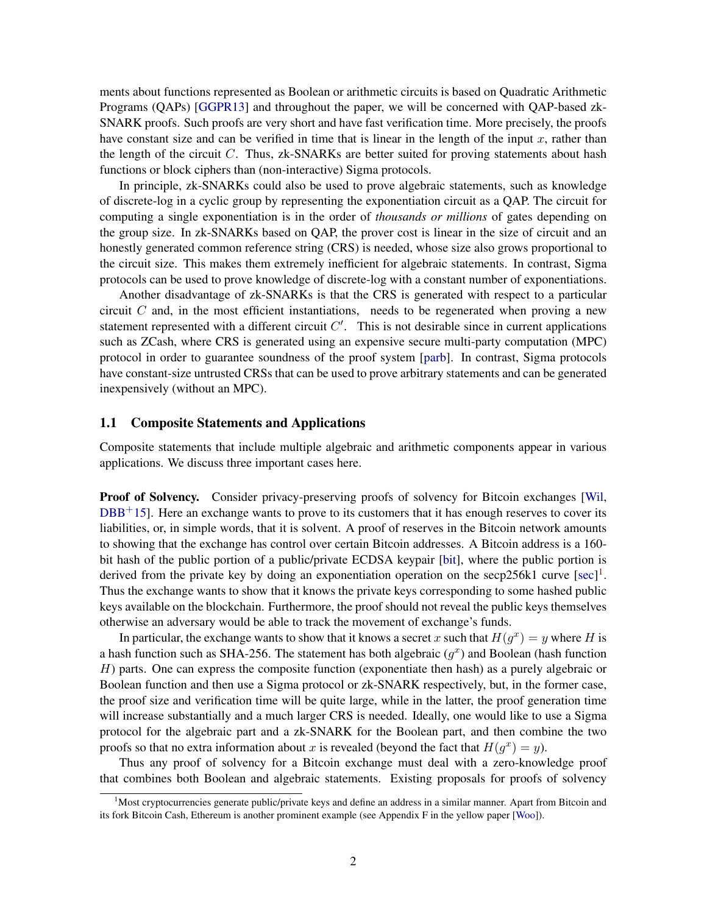ments about functions represented as Boolean or arithmetic circuits is based on Quadratic Arithmetic Programs (QAPs) [\[GGPR13\]](#page-28-9) and throughout the paper, we will be concerned with QAP-based zk-SNARK proofs. Such proofs are very short and have fast verification time. More precisely, the proofs have constant size and can be verified in time that is linear in the length of the input  $x$ , rather than the length of the circuit C. Thus, zk-SNARKs are better suited for proving statements about hash functions or block ciphers than (non-interactive) Sigma protocols.

In principle, zk-SNARKs could also be used to prove algebraic statements, such as knowledge of discrete-log in a cyclic group by representing the exponentiation circuit as a QAP. The circuit for computing a single exponentiation is in the order of *thousands or millions* of gates depending on the group size. In zk-SNARKs based on QAP, the prover cost is linear in the size of circuit and an honestly generated common reference string (CRS) is needed, whose size also grows proportional to the circuit size. This makes them extremely inefficient for algebraic statements. In contrast, Sigma protocols can be used to prove knowledge of discrete-log with a constant number of exponentiations.

Another disadvantage of zk-SNARKs is that the CRS is generated with respect to a particular circuit  $C$  and, in the most efficient instantiations, needs to be regenerated when proving a new statement represented with a different circuit  $C'$ . This is not desirable since in current applications such as ZCash, where CRS is generated using an expensive secure multi-party computation (MPC) protocol in order to guarantee soundness of the proof system [\[parb\]](#page-29-10). In contrast, Sigma protocols have constant-size untrusted CRSs that can be used to prove arbitrary statements and can be generated inexpensively (without an MPC).

#### 1.1 Composite Statements and Applications

Composite statements that include multiple algebraic and arithmetic components appear in various applications. We discuss three important cases here.

**Proof of Solvency.** Consider privacy-preserving proofs of solvency for Bitcoin exchanges [\[Wil,](#page-29-11)  $DBB+15$  $DBB+15$ ]. Here an exchange wants to prove to its customers that it has enough reserves to cover its liabilities, or, in simple words, that it is solvent. A proof of reserves in the Bitcoin network amounts to showing that the exchange has control over certain Bitcoin addresses. A Bitcoin address is a 160 bit hash of the public portion of a public/private ECDSA keypair [\[bit\]](#page-26-5), where the public portion is derived from the private key by doing an exponentiation operation on the secp256k[1](#page-2-0) curve  $[sec]$ <sup>1</sup>. Thus the exchange wants to show that it knows the private keys corresponding to some hashed public keys available on the blockchain. Furthermore, the proof should not reveal the public keys themselves otherwise an adversary would be able to track the movement of exchange's funds.

In particular, the exchange wants to show that it knows a secret x such that  $H(g^x) = y$  where H is a hash function such as SHA-256. The statement has both algebraic  $(g<sup>x</sup>)$  and Boolean (hash function H) parts. One can express the composite function (exponentiate then hash) as a purely algebraic or Boolean function and then use a Sigma protocol or zk-SNARK respectively, but, in the former case, the proof size and verification time will be quite large, while in the latter, the proof generation time will increase substantially and a much larger CRS is needed. Ideally, one would like to use a Sigma protocol for the algebraic part and a zk-SNARK for the Boolean part, and then combine the two proofs so that no extra information about x is revealed (beyond the fact that  $H(g^x) = y$ ).

Thus any proof of solvency for a Bitcoin exchange must deal with a zero-knowledge proof that combines both Boolean and algebraic statements. Existing proposals for proofs of solvency

<span id="page-2-0"></span> $1<sup>1</sup>$ Most cryptocurrencies generate public/private keys and define an address in a similar manner. Apart from Bitcoin and its fork Bitcoin Cash, Ethereum is another prominent example (see Appendix F in the yellow paper [\[Woo\]](#page-29-13)).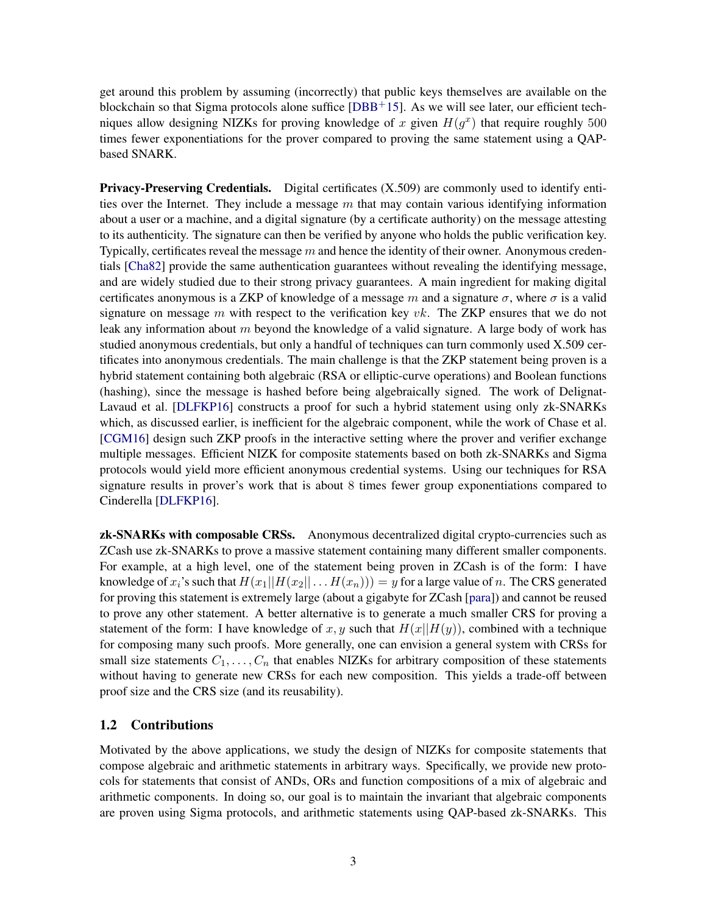get around this problem by assuming (incorrectly) that public keys themselves are available on the blockchain so that Sigma protocols alone suffice  $[DBB+15]$  $[DBB+15]$ . As we will see later, our efficient techniques allow designing NIZKs for proving knowledge of x given  $H(g^x)$  that require roughly 500 times fewer exponentiations for the prover compared to proving the same statement using a QAPbased SNARK.

Privacy-Preserving Credentials. Digital certificates (X.509) are commonly used to identify entities over the Internet. They include a message  $m$  that may contain various identifying information about a user or a machine, and a digital signature (by a certificate authority) on the message attesting to its authenticity. The signature can then be verified by anyone who holds the public verification key. Typically, certificates reveal the message  $m$  and hence the identity of their owner. Anonymous credentials [\[Cha82\]](#page-26-6) provide the same authentication guarantees without revealing the identifying message, and are widely studied due to their strong privacy guarantees. A main ingredient for making digital certificates anonymous is a ZKP of knowledge of a message m and a signature  $\sigma$ , where  $\sigma$  is a valid signature on message m with respect to the verification key  $vk$ . The ZKP ensures that we do not leak any information about m beyond the knowledge of a valid signature. A large body of work has studied anonymous credentials, but only a handful of techniques can turn commonly used X.509 certificates into anonymous credentials. The main challenge is that the ZKP statement being proven is a hybrid statement containing both algebraic (RSA or elliptic-curve operations) and Boolean functions (hashing), since the message is hashed before being algebraically signed. The work of Delignat-Lavaud et al. [\[DLFKP16\]](#page-27-5) constructs a proof for such a hybrid statement using only zk-SNARKs which, as discussed earlier, is inefficient for the algebraic component, while the work of Chase et al. [\[CGM16\]](#page-26-7) design such ZKP proofs in the interactive setting where the prover and verifier exchange multiple messages. Efficient NIZK for composite statements based on both zk-SNARKs and Sigma protocols would yield more efficient anonymous credential systems. Using our techniques for RSA signature results in prover's work that is about 8 times fewer group exponentiations compared to Cinderella [\[DLFKP16\]](#page-27-5).

zk-SNARKs with composable CRSs. Anonymous decentralized digital crypto-currencies such as ZCash use zk-SNARKs to prove a massive statement containing many different smaller components. For example, at a high level, one of the statement being proven in ZCash is of the form: I have knowledge of  $x_i$ 's such that  $H(x_1||H(x_2|| \dots H(x_n))) = y$  for a large value of n. The CRS generated for proving this statement is extremely large (about a gigabyte for ZCash [\[para\]](#page-29-14)) and cannot be reused to prove any other statement. A better alternative is to generate a much smaller CRS for proving a statement of the form: I have knowledge of x, y such that  $H(x||H(y))$ , combined with a technique for composing many such proofs. More generally, one can envision a general system with CRSs for small size statements  $C_1, \ldots, C_n$  that enables NIZKs for arbitrary composition of these statements without having to generate new CRSs for each new composition. This yields a trade-off between proof size and the CRS size (and its reusability).

### 1.2 Contributions

Motivated by the above applications, we study the design of NIZKs for composite statements that compose algebraic and arithmetic statements in arbitrary ways. Specifically, we provide new protocols for statements that consist of ANDs, ORs and function compositions of a mix of algebraic and arithmetic components. In doing so, our goal is to maintain the invariant that algebraic components are proven using Sigma protocols, and arithmetic statements using QAP-based zk-SNARKs. This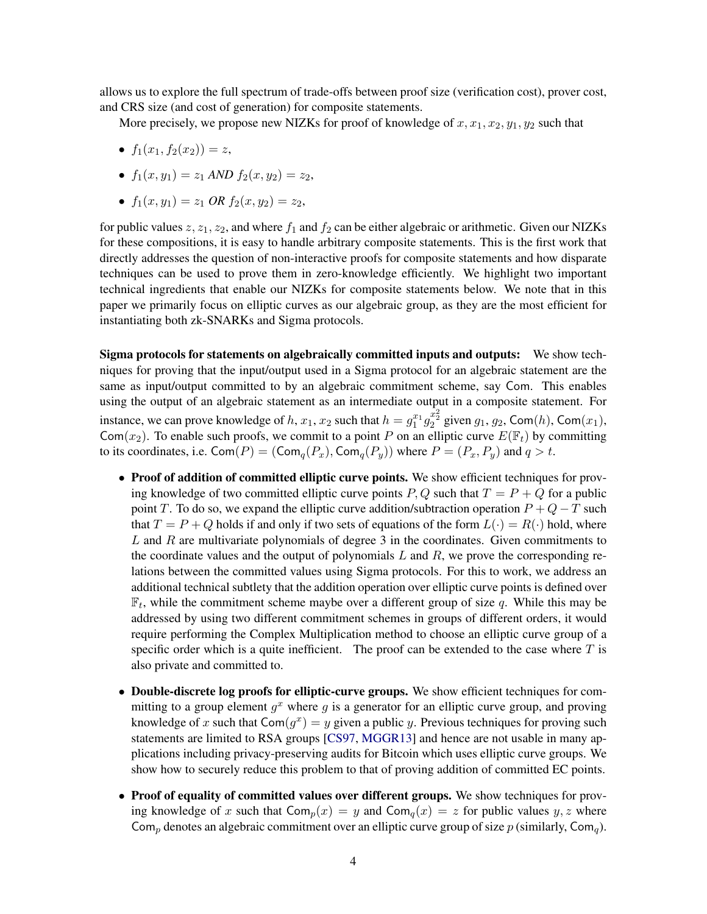allows us to explore the full spectrum of trade-offs between proof size (verification cost), prover cost, and CRS size (and cost of generation) for composite statements.

More precisely, we propose new NIZKs for proof of knowledge of  $x, x_1, x_2, y_1, y_2$  such that

- $f_1(x_1, f_2(x_2)) = z$ ,
- $f_1(x, y_1) = z_1$  *AND*  $f_2(x, y_2) = z_2$ ,
- $f_1(x, y_1) = z_1 \text{ OR } f_2(x, y_2) = z_2$

for public values  $z$ ,  $z_1$ ,  $z_2$ , and where  $f_1$  and  $f_2$  can be either algebraic or arithmetic. Given our NIZKs for these compositions, it is easy to handle arbitrary composite statements. This is the first work that directly addresses the question of non-interactive proofs for composite statements and how disparate techniques can be used to prove them in zero-knowledge efficiently. We highlight two important technical ingredients that enable our NIZKs for composite statements below. We note that in this paper we primarily focus on elliptic curves as our algebraic group, as they are the most efficient for instantiating both zk-SNARKs and Sigma protocols.

Sigma protocols for statements on algebraically committed inputs and outputs: We show techniques for proving that the input/output used in a Sigma protocol for an algebraic statement are the same as input/output committed to by an algebraic commitment scheme, say Com. This enables using the output of an algebraic statement as an intermediate output in a composite statement. For instance, we can prove knowledge of h,  $x_1$ ,  $x_2$  such that  $h = g_1^{x_1} g_2^{x_2^2}$  given  $g_1$ ,  $g_2$ , Com $(h)$ , Com $(x_1)$ , Com(x<sub>2</sub>). To enable such proofs, we commit to a point P on an elliptic curve  $E(\mathbb{F}_t)$  by committing to its coordinates, i.e.  $\text{Com}(P) = (\text{Com}_q(P_x), \text{Com}_q(P_y))$  where  $P = (P_x, P_y)$  and  $q > t$ .

- Proof of addition of committed elliptic curve points. We show efficient techniques for proving knowledge of two committed elliptic curve points  $P, Q$  such that  $T = P + Q$  for a public point T. To do so, we expand the elliptic curve addition/subtraction operation  $P + Q - T$  such that  $T = P + Q$  holds if and only if two sets of equations of the form  $L(\cdot) = R(\cdot)$  hold, where  $L$  and  $R$  are multivariate polynomials of degree 3 in the coordinates. Given commitments to the coordinate values and the output of polynomials  $L$  and  $R$ , we prove the corresponding relations between the committed values using Sigma protocols. For this to work, we address an additional technical subtlety that the addition operation over elliptic curve points is defined over  $\mathbb{F}_t$ , while the commitment scheme maybe over a different group of size q. While this may be addressed by using two different commitment schemes in groups of different orders, it would require performing the Complex Multiplication method to choose an elliptic curve group of a specific order which is a quite inefficient. The proof can be extended to the case where  $T$  is also private and committed to.
- Double-discrete log proofs for elliptic-curve groups. We show efficient techniques for committing to a group element  $g^x$  where g is a generator for an elliptic curve group, and proving knowledge of x such that  $\textsf{Com}(g^x) = y$  given a public y. Previous techniques for proving such statements are limited to RSA groups [\[CS97,](#page-27-2) [MGGR13\]](#page-29-15) and hence are not usable in many applications including privacy-preserving audits for Bitcoin which uses elliptic curve groups. We show how to securely reduce this problem to that of proving addition of committed EC points.
- Proof of equality of committed values over different groups. We show techniques for proving knowledge of x such that  $\text{Com}_p(x) = y$  and  $\text{Com}_q(x) = z$  for public values y, z where Com<sub>p</sub> denotes an algebraic commitment over an elliptic curve group of size  $p$  (similarly, Com<sub>q</sub>).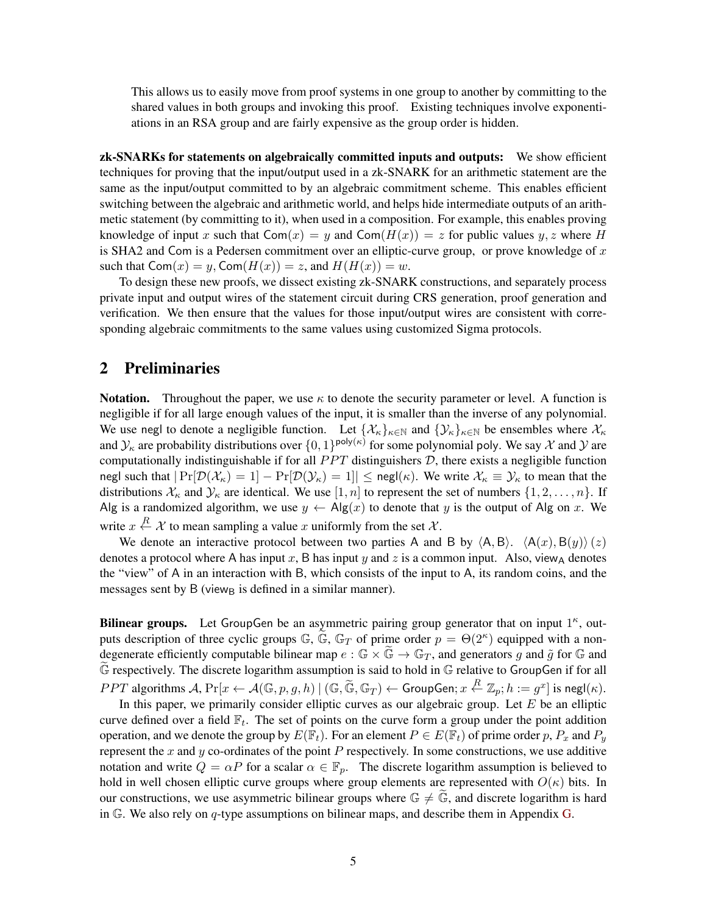This allows us to easily move from proof systems in one group to another by committing to the shared values in both groups and invoking this proof. Existing techniques involve exponentiations in an RSA group and are fairly expensive as the group order is hidden.

zk-SNARKs for statements on algebraically committed inputs and outputs: We show efficient techniques for proving that the input/output used in a zk-SNARK for an arithmetic statement are the same as the input/output committed to by an algebraic commitment scheme. This enables efficient switching between the algebraic and arithmetic world, and helps hide intermediate outputs of an arithmetic statement (by committing to it), when used in a composition. For example, this enables proving knowledge of input x such that  $Com(x) = y$  and  $Com(H(x)) = z$  for public values y, z where H is SHA2 and Com is a Pedersen commitment over an elliptic-curve group, or prove knowledge of  $x$ such that  $Com(x) = y$ ,  $Com(H(x)) = z$ , and  $H(H(x)) = w$ .

To design these new proofs, we dissect existing zk-SNARK constructions, and separately process private input and output wires of the statement circuit during CRS generation, proof generation and verification. We then ensure that the values for those input/output wires are consistent with corresponding algebraic commitments to the same values using customized Sigma protocols.

# 2 Preliminaries

**Notation.** Throughout the paper, we use  $\kappa$  to denote the security parameter or level. A function is negligible if for all large enough values of the input, it is smaller than the inverse of any polynomial. We use negl to denote a negligible function. Let  $\{\mathcal{X}_{\kappa}\}_{\kappa \in \mathbb{N}}$  and  $\{\mathcal{Y}_{\kappa}\}_{\kappa \in \mathbb{N}}$  be ensembles where  $\mathcal{X}_{\kappa}$ and  $\mathcal{Y}_\kappa$  are probability distributions over  $\{0,1\}^{\text{poly}(\kappa)}$  for some polynomial poly. We say X and Y are computationally indistinguishable if for all  $PPT$  distinguishers  $D$ , there exists a negligible function negl such that  $|\Pr[\mathcal{D}(\mathcal{X}_\kappa) = 1] - \Pr[\mathcal{D}(\mathcal{Y}_\kappa) = 1]| \leq \mathsf{negl}(\kappa)$ . We write  $\mathcal{X}_\kappa \equiv \mathcal{Y}_\kappa$  to mean that the distributions  $\mathcal{X}_{\kappa}$  and  $\mathcal{Y}_{\kappa}$  are identical. We use  $[1, n]$  to represent the set of numbers  $\{1, 2, \ldots, n\}$ . If Alg is a randomized algorithm, we use  $y \leftarrow$  Alg(x) to denote that y is the output of Alg on x. We write  $x \stackrel{R}{\leftarrow} \mathcal{X}$  to mean sampling a value x uniformly from the set  $\mathcal{X}$ .

We denote an interactive protocol between two parties A and B by  $\langle A, B \rangle$ .  $\langle A(x), B(y) \rangle (z)$ denotes a protocol where A has input x, B has input y and z is a common input. Also, view<sub>A</sub> denotes the "view" of A in an interaction with B, which consists of the input to A, its random coins, and the messages sent by  $B$  (view $_B$  is defined in a similar manner).

Bilinear groups. Let GroupGen be an asymmetric pairing group generator that on input  $1<sup>\kappa</sup>$ , outputs description of three cyclic groups  $\mathbb{G}$ ,  $\widetilde{\mathbb{G}}$ ,  $\mathbb{G}_T$  of prime order  $p = \Theta(2^{\kappa})$  equipped with a nondegenerate efficiently computable bilinear map  $e : \mathbb{G} \times \mathbb{G} \to \mathbb{G}_T$ , and generators g and  $\tilde{g}$  for  $\mathbb{G}$  and  $\mathbb G$  respectively. The discrete logarithm assumption is said to hold in  $\mathbb G$  relative to GroupGen if for all  $PPT$  algorithms  $\mathcal{A}, \Pr[x \leftarrow \mathcal{A}(\mathbb{G}, p, g, h) \mid (\mathbb{G}, \widetilde{\mathbb{G}}, \mathbb{G}_T) \leftarrow \text{GroupGen}; x \stackrel{R}{\leftarrow} \mathbb{Z}_p; h := g^x]$  is negl( $\kappa$ ).

In this paper, we primarily consider elliptic curves as our algebraic group. Let  $E$  be an elliptic curve defined over a field  $\mathbb{F}_t$ . The set of points on the curve form a group under the point addition operation, and we denote the group by  $E(\mathbb{F}_t)$ . For an element  $P \in E(\mathbb{F}_t)$  of prime order p,  $P_x$  and  $P_y$ represent the  $x$  and  $y$  co-ordinates of the point  $P$  respectively. In some constructions, we use additive notation and write  $Q = \alpha P$  for a scalar  $\alpha \in \mathbb{F}_p$ . The discrete logarithm assumption is believed to hold in well chosen elliptic curve groups where group elements are represented with  $O(\kappa)$  bits. In our constructions, we use asymmetric bilinear groups where  $\mathbb{G} \neq \mathbb{G}$ , and discrete logarithm is hard in  $\mathbb{G}$ . We also rely on q-type assumptions on bilinear maps, and describe them in Appendix [G.](#page-39-0)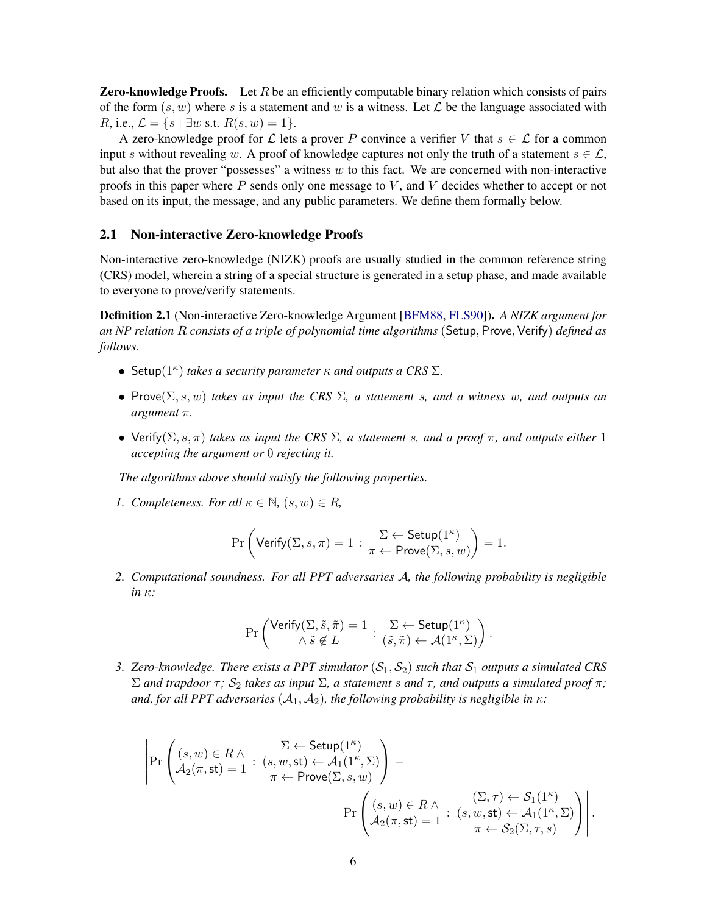**Zero-knowledge Proofs.** Let  $R$  be an efficiently computable binary relation which consists of pairs of the form  $(s, w)$  where s is a statement and w is a witness. Let  $\mathcal L$  be the language associated with R, i.e.,  $\mathcal{L} = \{s \mid \exists w \text{ s.t. } R(s, w) = 1\}.$ 

A zero-knowledge proof for L lets a prover P convince a verifier V that  $s \in \mathcal{L}$  for a common input s without revealing w. A proof of knowledge captures not only the truth of a statement  $s \in \mathcal{L}$ , but also that the prover "possesses" a witness  $w$  to this fact. We are concerned with non-interactive proofs in this paper where  $P$  sends only one message to  $V$ , and  $V$  decides whether to accept or not based on its input, the message, and any public parameters. We define them formally below.

#### <span id="page-6-0"></span>2.1 Non-interactive Zero-knowledge Proofs

Non-interactive zero-knowledge (NIZK) proofs are usually studied in the common reference string (CRS) model, wherein a string of a special structure is generated in a setup phase, and made available to everyone to prove/verify statements.

Definition 2.1 (Non-interactive Zero-knowledge Argument [\[BFM88,](#page-26-8) [FLS90\]](#page-27-6)). *A NIZK argument for an NP relation* R *consists of a triple of polynomial time algorithms* (Setup, Prove, Verify) *defined as follows.*

- Setup( $1^{\kappa}$ ) *takes a security parameter*  $\kappa$  *and outputs a CRS*  $\Sigma$ *.*
- Prove(Σ, s, w) *takes as input the CRS* Σ*, a statement* s*, and a witness* w*, and outputs an argument* π*.*
- Verify(Σ, s, π) *takes as input the CRS* Σ*, a statement* s*, and a proof* π*, and outputs either* 1 *accepting the argument or* 0 *rejecting it.*

*The algorithms above should satisfy the following properties.*

*1. Completeness. For all*  $\kappa \in \mathbb{N}$ ,  $(s, w) \in R$ ,

$$
\Pr\left(\mathsf{Verify}(\Sigma,s,\pi)=1\,:\,\frac{\Sigma\leftarrow\mathsf{Setup}(1^{\kappa})}{\pi\leftarrow\mathsf{Prove}(\Sigma,s,w)}\right)=1.
$$

*2. Computational soundness. For all PPT adversaries* A*, the following probability is negligible in* κ*:*

$$
\Pr\left(\begin{matrix}\mathsf{Verify}(\Sigma, \tilde{s}, \tilde{\pi}) = 1\\ \wedge \tilde{s} \notin L\end{matrix}\right. : \begin{matrix}\Sigma \leftarrow \mathsf{Setup}(1^{\kappa})\\ (\tilde{s}, \tilde{\pi}) \leftarrow \mathcal{A}(1^{\kappa}, \Sigma)\end{matrix}\right).
$$

*3. Zero-knowledge. There exists a PPT simulator*  $(S_1, S_2)$  *such that*  $S_1$  *outputs a simulated CRS*  $\Sigma$  *and trapdoor*  $\tau$ ;  $\mathcal{S}_2$  *takes as input*  $\Sigma$ *, a statement s and*  $\tau$ *, and outputs a simulated proof*  $\pi$ ; *and, for all PPT adversaries*  $(A_1, A_2)$ *, the following probability is negligible in*  $\kappa$ *:* 

$$
\left| \Pr \left( \begin{array}{c} (s, w) \in R \land & \Sigma \leftarrow \mathsf{Setup}(1^{\kappa}) \\ \mathcal{A}_2(\pi, \mathsf{st}) = 1 & : (s, w, \mathsf{st}) \leftarrow \mathcal{A}_1(1^{\kappa}, \Sigma) \\ \pi \leftarrow \mathsf{Prove}(\Sigma, s, w) \end{array} \right) - \Pr \left( \begin{array}{c} (S, w) \in R \land & (\Sigma, \tau) \leftarrow \mathcal{S}_1(1^{\kappa}) \\ \mathcal{A}_2(\pi, \mathsf{st}) = 1 & : (s, w, \mathsf{st}) \leftarrow \mathcal{A}_1(1^{\kappa}, \Sigma) \\ \pi \leftarrow \mathcal{S}_2(\Sigma, \tau, s) \end{array} \right) \right|.
$$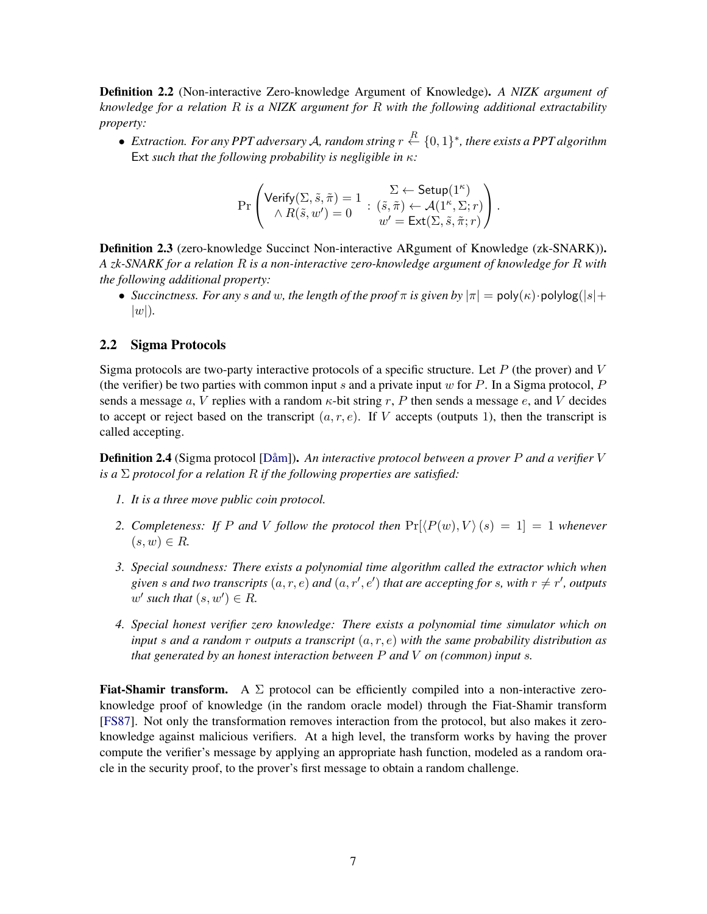<span id="page-7-0"></span>Definition 2.2 (Non-interactive Zero-knowledge Argument of Knowledge). *A NIZK argument of knowledge for a relation* R *is a NIZK argument for* R *with the following additional extractability property:*

• *Extraction. For any PPT adversary* A*, random string* r <sup>R</sup>← {0, 1} ∗ *, there exists a PPT algorithm* Ext *such that the following probability is negligible in* κ*:*

$$
\Pr\left(\begin{matrix}\mathsf{Verify}(\Sigma,\tilde{s},\tilde{\pi})=1\\ \wedge R(\tilde{s},w')=0\end{matrix}\right. : \begin{matrix}\Sigma\leftarrow\mathsf{Setup}(1^{\kappa})\\ (\tilde{s},\tilde{\pi})\leftarrow\mathcal{A}(1^{\kappa},\Sigma;r)\\ w'=\mathsf{Ext}(\Sigma,\tilde{s},\tilde{\pi};r)\end{matrix}\right).
$$

Definition 2.3 (zero-knowledge Succinct Non-interactive ARgument of Knowledge (zk-SNARK)). *A zk-SNARK for a relation* R *is a non-interactive zero-knowledge argument of knowledge for* R *with the following additional property:*

• *Succinctness. For any s and w, the length of the proof*  $\pi$  *is given by*  $|\pi| = \text{poly}(\kappa) \cdot \text{polylog}(|s| + \epsilon)$  $|w|$ ).

### 2.2 Sigma Protocols

Sigma protocols are two-party interactive protocols of a specific structure. Let  $P$  (the prover) and  $V$ (the verifier) be two parties with common input s and a private input w for P. In a Sigma protocol,  $P$ sends a message a, V replies with a random  $\kappa$ -bit string r, P then sends a message e, and V decides to accept or reject based on the transcript  $(a, r, e)$ . If V accepts (outputs 1), then the transcript is called accepting.

**Definition 2.4** (Sigma protocol [Dåm]). An interactive protocol between a prover P and a verifier V *is a* Σ *protocol for a relation* R *if the following properties are satisfied:*

- *1. It is a three move public coin protocol.*
- *2. Completeness: If* P and V follow the protocol then  $Pr[$  $\langle P(w), V \rangle$  (s) = 1] = 1 whenever  $(s, w) \in R$ .
- *3. Special soundness: There exists a polynomial time algorithm called the extractor which when* given  $s$  and two transcripts  $(a, r, e)$  and  $(a, r', e')$  that are accepting for  $s$ , with  $r \neq r'$ , outputs  $w'$  such that  $(s, w') \in R$ .
- *4. Special honest verifier zero knowledge: There exists a polynomial time simulator which on input* s *and a random* r *outputs a transcript* (a, r, e) *with the same probability distribution as that generated by an honest interaction between* P *and* V *on (common) input* s*.*

Fiat-Shamir transform. A  $\Sigma$  protocol can be efficiently compiled into a non-interactive zeroknowledge proof of knowledge (in the random oracle model) through the Fiat-Shamir transform [\[FS87\]](#page-28-7). Not only the transformation removes interaction from the protocol, but also makes it zeroknowledge against malicious verifiers. At a high level, the transform works by having the prover compute the verifier's message by applying an appropriate hash function, modeled as a random oracle in the security proof, to the prover's first message to obtain a random challenge.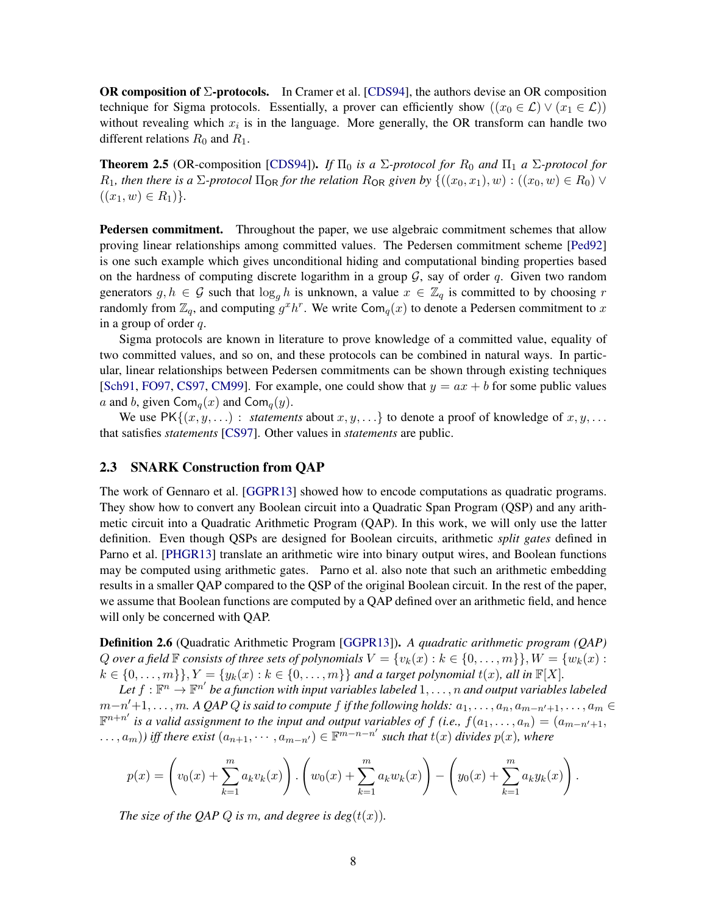**OR composition of**  $\Sigma$ **-protocols.** In Cramer et al. [\[CDS94\]](#page-26-4), the authors devise an OR composition technique for Sigma protocols. Essentially, a prover can efficiently show  $((x_0 \in \mathcal{L}) \vee (x_1 \in \mathcal{L}))$ without revealing which  $x_i$  is in the language. More generally, the OR transform can handle two different relations  $R_0$  and  $R_1$ .

**Theorem 2.5** (OR-composition [\[CDS94\]](#page-26-4)). *If*  $\Pi_0$  *is a*  $\Sigma$ -protocol for  $R_0$  *and*  $\Pi_1$  *a*  $\Sigma$ -protocol for  $R_1$ *, then there is a*  $\Sigma$ *-protocol*  $\Pi_{OR}$  *for the relation*  $R_{OR}$  *given by*  $\{((x_0, x_1), w) : ((x_0, w) \in R_0) \vee ...$  $((x_1, w) \in R_1).$ 

Pedersen commitment. Throughout the paper, we use algebraic commitment schemes that allow proving linear relationships among committed values. The Pedersen commitment scheme [\[Ped92\]](#page-29-16) is one such example which gives unconditional hiding and computational binding properties based on the hardness of computing discrete logarithm in a group  $G$ , say of order q. Given two random generators  $g, h \in G$  such that  $\log_a h$  is unknown, a value  $x \in \mathbb{Z}_q$  is committed to by choosing r randomly from  $\mathbb{Z}_q$ , and computing  $g^x h^r$ . We write Com $_q(x)$  to denote a Pedersen commitment to x in a group of order q.

Sigma protocols are known in literature to prove knowledge of a committed value, equality of two committed values, and so on, and these protocols can be combined in natural ways. In particular, linear relationships between Pedersen commitments can be shown through existing techniques [\[Sch91,](#page-29-3) [FO97,](#page-27-8) [CS97,](#page-27-2) [CM99\]](#page-27-9). For example, one could show that  $y = ax + b$  for some public values a and b, given  $\textsf{Com}_q(x)$  and  $\textsf{Com}_q(y)$ .

We use  $PK{ (x, y, ...) : *statements* about  $x, y, ...$ } to denote a proof of knowledge of  $x, y, ...$$ that satisfies *statements* [\[CS97\]](#page-27-2). Other values in *statements* are public.

#### 2.3 SNARK Construction from QAP

The work of Gennaro et al. [\[GGPR13\]](#page-28-9) showed how to encode computations as quadratic programs. They show how to convert any Boolean circuit into a Quadratic Span Program (QSP) and any arithmetic circuit into a Quadratic Arithmetic Program (QAP). In this work, we will only use the latter definition. Even though QSPs are designed for Boolean circuits, arithmetic *split gates* defined in Parno et al. [\[PHGR13\]](#page-29-6) translate an arithmetic wire into binary output wires, and Boolean functions may be computed using arithmetic gates. Parno et al. also note that such an arithmetic embedding results in a smaller QAP compared to the QSP of the original Boolean circuit. In the rest of the paper, we assume that Boolean functions are computed by a QAP defined over an arithmetic field, and hence will only be concerned with QAP.

<span id="page-8-0"></span>Definition 2.6 (Quadratic Arithmetic Program [\[GGPR13\]](#page-28-9)). *A quadratic arithmetic program (QAP)* Q *over a field*  $\mathbb F$  *consists of three sets of polynomials*  $V = \{v_k(x) : k \in \{0, \ldots, m\}\}, W = \{w_k(x) : k \in \{0, \ldots, m\}\}$  $k \in \{0, ..., m\}$ ,  $Y = \{y_k(x) : k \in \{0, ..., m\} \}$  *and a target polynomial*  $t(x)$ *, all in*  $\mathbb{F}[X]$ *.* 

Let  $f: \mathbb{F}^n \to \mathbb{F}^{n'}$  be a function with input variables labeled  $1, \ldots, n$  and output variables labeled  $m-n'+1, \ldots, m$ . A QAP  $Q$  is said to compute  $f$  if the following holds:  $a_1, \ldots, a_n, a_{m-n'+1}, \ldots, a_m \in$  $\mathbb{F}^{n+n'}$  is a valid assignment to the input and output variables of f (i.e.,  $f(a_1, \ldots, a_n) = (a_{m-n'+1}, a_m)$  $\dots, a_m$ )) iff there exist  $(a_{n+1}, \dots, a_{m-n'}) \in \mathbb{F}^{m-n-n'}$  such that  $t(x)$  divides  $p(x)$ , where

$$
p(x) = \left(v_0(x) + \sum_{k=1}^m a_k v_k(x)\right) \cdot \left(w_0(x) + \sum_{k=1}^m a_k w_k(x)\right) - \left(y_0(x) + \sum_{k=1}^m a_k y_k(x)\right).
$$

*The size of the QAP Q is m, and degree is*  $deg(t(x))$ *.*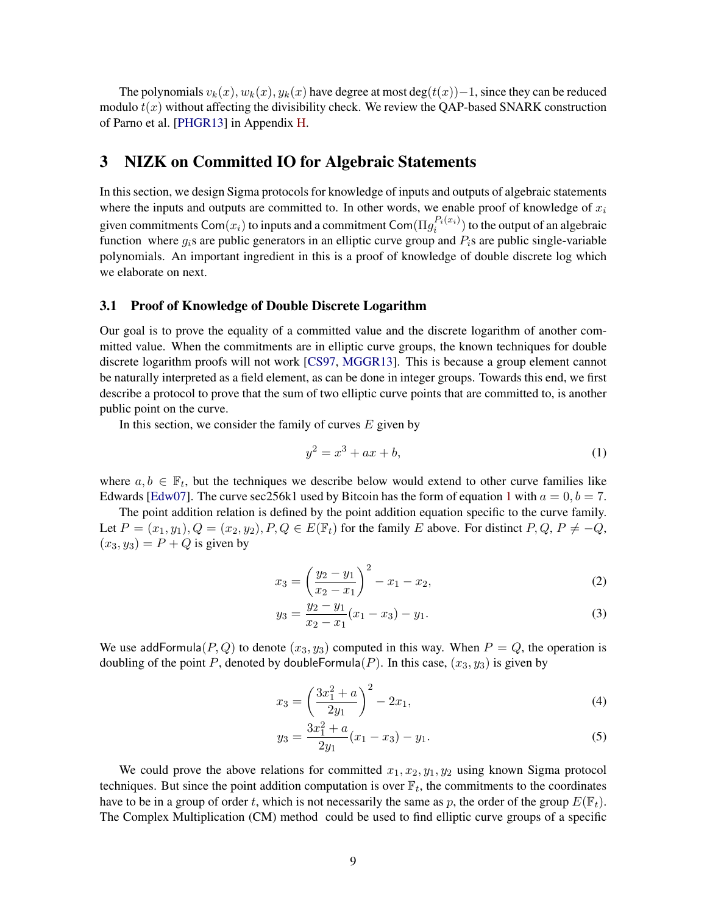The polynomials  $v_k(x)$ ,  $w_k(x)$ ,  $y_k(x)$  have degree at most deg( $t(x)$ )–1, since they can be reduced modulo  $t(x)$  without affecting the divisibility check. We review the QAP-based SNARK construction of Parno et al. [\[PHGR13\]](#page-29-6) in Appendix [H.](#page-40-0)

# <span id="page-9-4"></span>3 NIZK on Committed IO for Algebraic Statements

In this section, we design Sigma protocols for knowledge of inputs and outputs of algebraic statements where the inputs and outputs are committed to. In other words, we enable proof of knowledge of  $x_i$ given commitments Com $(x_i)$  to inputs and a commitment Com $(\Pi g_i^{P_i(x_i)}$  $\binom{F_i(x_i)}{i}$  to the output of an algebraic function where  $g_i$ s are public generators in an elliptic curve group and  $P_i$ s are public single-variable polynomials. An important ingredient in this is a proof of knowledge of double discrete log which we elaborate on next.

#### <span id="page-9-3"></span>3.1 Proof of Knowledge of Double Discrete Logarithm

Our goal is to prove the equality of a committed value and the discrete logarithm of another committed value. When the commitments are in elliptic curve groups, the known techniques for double discrete logarithm proofs will not work [\[CS97,](#page-27-2) [MGGR13\]](#page-29-15). This is because a group element cannot be naturally interpreted as a field element, as can be done in integer groups. Towards this end, we first describe a protocol to prove that the sum of two elliptic curve points that are committed to, is another public point on the curve.

In this section, we consider the family of curves  $E$  given by

<span id="page-9-1"></span><span id="page-9-0"></span>
$$
y^2 = x^3 + ax + b,\t\t(1)
$$

where  $a, b \in \mathbb{F}_t$ , but the techniques we describe below would extend to other curve families like Edwards [\[Edw07\]](#page-27-10). The curve sec256k[1](#page-9-0) used by Bitcoin has the form of equation 1 with  $a = 0, b = 7$ .

The point addition relation is defined by the point addition equation specific to the curve family. Let  $P = (x_1, y_1), Q = (x_2, y_2), P, Q \in E(\mathbb{F}_t)$  for the family E above. For distinct  $P, Q, P \neq -Q$ ,  $(x_3, y_3) = P + Q$  is given by

$$
x_3 = \left(\frac{y_2 - y_1}{x_2 - x_1}\right)^2 - x_1 - x_2,\tag{2}
$$

<span id="page-9-2"></span>
$$
y_3 = \frac{y_2 - y_1}{x_2 - x_1}(x_1 - x_3) - y_1.
$$
 (3)

We use addFormula(P, Q) to denote  $(x_3, y_3)$  computed in this way. When  $P = Q$ , the operation is doubling of the point P, denoted by doubleFormula(P). In this case,  $(x_3, y_3)$  is given by

$$
x_3 = \left(\frac{3x_1^2 + a}{2y_1}\right)^2 - 2x_1,\tag{4}
$$

$$
y_3 = \frac{3x_1^2 + a}{2y_1}(x_1 - x_3) - y_1.
$$
\n(5)

We could prove the above relations for committed  $x_1, x_2, y_1, y_2$  using known Sigma protocol techniques. But since the point addition computation is over  $\mathbb{F}_t$ , the commitments to the coordinates have to be in a group of order t, which is not necessarily the same as p, the order of the group  $E(\mathbb{F}_t)$ . The Complex Multiplication (CM) method could be used to find elliptic curve groups of a specific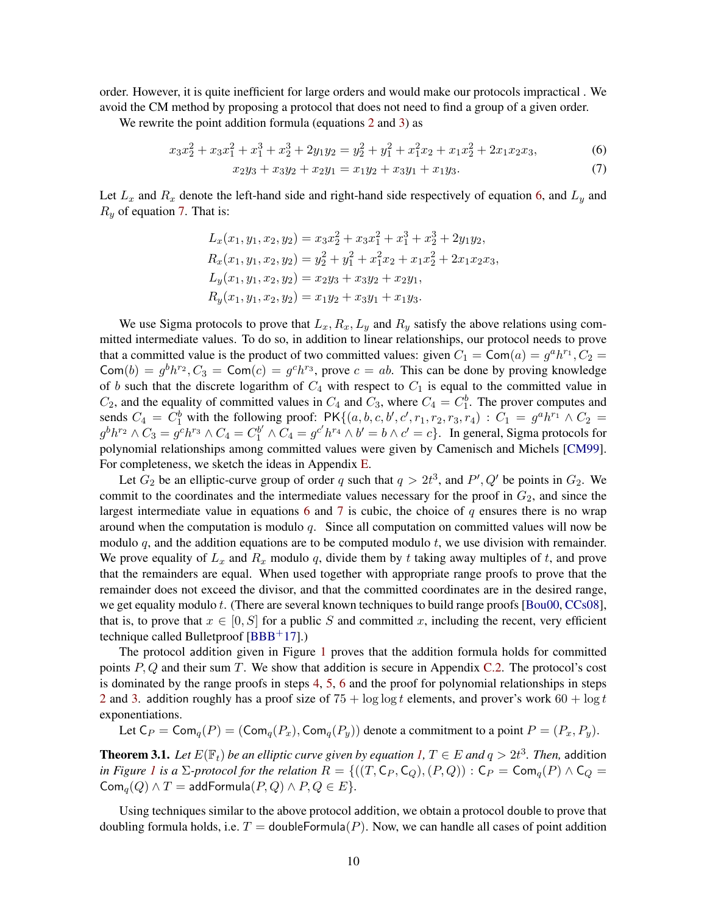order. However, it is quite inefficient for large orders and would make our protocols impractical . We avoid the CM method by proposing a protocol that does not need to find a group of a given order.

We rewrite the point addition formula (equations [2](#page-9-1) and [3\)](#page-9-2) as

$$
x_3x_2^2 + x_3x_1^2 + x_1^3 + x_2^3 + 2y_1y_2 = y_2^2 + y_1^2 + x_1^2x_2 + x_1x_2^2 + 2x_1x_2x_3,
$$
(6)

<span id="page-10-1"></span><span id="page-10-0"></span>
$$
x_2y_3 + x_3y_2 + x_2y_1 = x_1y_2 + x_3y_1 + x_1y_3. \tag{7}
$$

Let  $L_x$  and  $R_x$  denote the left-hand side and right-hand side respectively of equation [6,](#page-10-0) and  $L_y$  and  $R_y$  of equation [7.](#page-10-1) That is:

$$
L_x(x_1, y_1, x_2, y_2) = x_3x_2^2 + x_3x_1^2 + x_1^3 + x_2^3 + 2y_1y_2,
$$
  
\n
$$
R_x(x_1, y_1, x_2, y_2) = y_2^2 + y_1^2 + x_1^2x_2 + x_1x_2^2 + 2x_1x_2x_3,
$$
  
\n
$$
L_y(x_1, y_1, x_2, y_2) = x_2y_3 + x_3y_2 + x_2y_1,
$$
  
\n
$$
R_y(x_1, y_1, x_2, y_2) = x_1y_2 + x_3y_1 + x_1y_3.
$$

We use Sigma protocols to prove that  $L_x, R_x, L_y$  and  $R_y$  satisfy the above relations using committed intermediate values. To do so, in addition to linear relationships, our protocol needs to prove that a committed value is the product of two committed values: given  $C_1 = \text{Com}(a) = g^a h^{r_1}$ ,  $C_2 =$ Com(b) =  $g^b h^{r_2}$ ,  $C_3$  = Com(c) =  $g^c h^{r_3}$ , prove  $c = ab$ . This can be done by proving knowledge of b such that the discrete logarithm of  $C_4$  with respect to  $C_1$  is equal to the committed value in  $C_2$ , and the equality of committed values in  $C_4$  and  $C_3$ , where  $C_4 = C_1^b$ . The prover computes and sends  $C_4 = C_1^b$  with the following proof: PK{(a, b, c, b', c', r<sub>1</sub>, r<sub>2</sub>, r<sub>3</sub>, r<sub>4</sub>) :  $C_1 = g^a h^{r_1} \wedge C_2$  =  $g^bh^{r_2} \wedge C_3 = g^ch^{r_3} \wedge C_4 = C_1^{b'} \wedge C_4 = g^{c'}h^{r_4} \wedge b' = b \wedge c' = c$ . In general, Sigma protocols for polynomial relationships among committed values were given by Camenisch and Michels [\[CM99\]](#page-27-9). For completeness, we sketch the ideas in Appendix [E.](#page-36-0)

Let  $G_2$  be an elliptic-curve group of order q such that  $q > 2t^3$ , and  $P', Q'$  be points in  $G_2$ . We commit to the coordinates and the intermediate values necessary for the proof in  $G_2$ , and since the largest intermediate value in equations [6](#page-10-0) and [7](#page-10-1) is cubic, the choice of  $q$  ensures there is no wrap around when the computation is modulo  $q$ . Since all computation on committed values will now be modulo  $q$ , and the addition equations are to be computed modulo  $t$ , we use division with remainder. We prove equality of  $L_x$  and  $R_x$  modulo q, divide them by t taking away multiples of t, and prove that the remainders are equal. When used together with appropriate range proofs to prove that the remainder does not exceed the divisor, and that the committed coordinates are in the desired range, we get equality modulo t. (There are several known techniques to build range proofs [\[Bou00,](#page-26-9)  $CCs08$ ], that is, to prove that  $x \in [0, S]$  for a public S and committed x, including the recent, very efficient technique called Bulletproof [\[BBB](#page-25-6)+17].)

The protocol addition given in Figure [1](#page-11-0) proves that the addition formula holds for committed points  $P, Q$  and their sum T. We show that addition is secure in Appendix [C.2.](#page-35-0) The protocol's cost is dominated by the range proofs in steps [4,](#page-11-1) [5,](#page-11-2) [6](#page-11-3) and the proof for polynomial relationships in steps [2](#page-11-4) and [3.](#page-11-5) addition roughly has a proof size of  $75 + \log \log t$  elements, and prover's work  $60 + \log t$ exponentiations.

Let  $C_P = \text{Com}_q(P) = (\text{Com}_q(P_x), \text{Com}_q(P_y))$  denote a commitment to a point  $P = (P_x, P_y)$ .

**Theorem 3.1.** Let  $E(\mathbb{F}_t)$  be an elliptic curve given by equation [1,](#page-9-0)  $T \in E$  and  $q > 2t^3$ . Then, addition *in Figure [1](#page-11-0) is a*  $\Sigma$ -protocol for the relation  $R = \{((T, \mathsf{C}_P, \mathsf{C}_Q), (P, Q)) : \mathsf{C}_P = \mathsf{Com}_q(P) \wedge \mathsf{C}_Q =$  $Com<sub>a</sub>(Q) \wedge T = \text{addFormula}(P,Q) \wedge P, Q \in E$ .

Using techniques similar to the above protocol addition, we obtain a protocol double to prove that doubling formula holds, i.e.  $T =$  doubleFormula(P). Now, we can handle all cases of point addition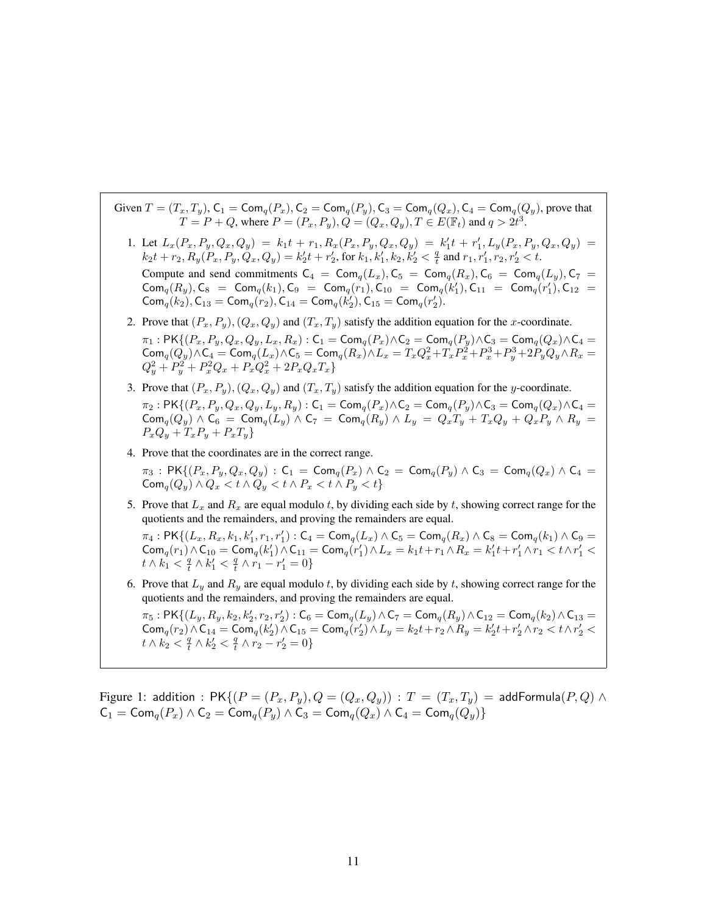<span id="page-11-0"></span>Given  $T = (T_x, T_y)$ ,  $C_1 = \text{Com}_q(P_x)$ ,  $C_2 = \text{Com}_q(P_y)$ ,  $C_3 = \text{Com}_q(Q_x)$ ,  $C_4 = \text{Com}_q(Q_y)$ , prove that  $T = P + Q$ , where  $P = (P_x, P_y), Q = (Q_x, Q_y), T \in E(\mathbb{F}_t)$  and  $q > 2t^3$ .

- 1. Let  $L_x(P_x, P_y, Q_x, Q_y) = k_1t + r_1, R_x(P_x, P_y, Q_x, Q_y) = k'_1t + r'_1, L_y(P_x, P_y, Q_x, Q_y) = k'_2t + r'_1$  $k_2t + r_2, R_y(P_x, P_y, Q_x, Q_y) = k'_2t + r'_2$ , for  $k_1, k'_1, k_2, k'_2 < \frac{q}{t}$  and  $r_1, r'_1, r_2, r'_2 < t$ . Compute and send commitments  $C_4 = \text{Com}_q(L_x)$ ,  $C_5 = \text{Com}_q(R_x)$ ,  $C_6 = \text{Com}_q(L_y)$ ,  $C_7 =$  $\mathsf{Com}_q(R_y), \mathsf{C}_8 \;=\; \mathsf{Com}_q(k_1), \mathsf{C}_9 \;=\; \mathsf{Com}_q(r_1), \mathsf{C}_{10} \;=\; \mathsf{Com}_q(k_1'), \mathsf{C}_{11} \;=\; \mathsf{Com}_q(r_1'), \mathsf{C}_{12} \;=\;$  $\mathsf{Com}_q(k_2), \mathsf{C}_{13} = \mathsf{Com}_q(r_2), \mathsf{C}_{14} = \mathsf{Com}_q(k_2'), \mathsf{C}_{15} = \mathsf{Com}_q(r_2').$
- <span id="page-11-4"></span>2. Prove that  $(P_x, P_y), (Q_x, Q_y)$  and  $(T_x, T_y)$  satisfy the addition equation for the x-coordinate.  $\pi_1 : \mathsf{PK}\{(P_x, P_y, Q_x, Q_y, L_x, R_x) : \mathsf{C}_1 = \mathsf{Com}_q(P_x) \wedge \mathsf{C}_2 = \mathsf{Com}_q(P_y) \wedge \mathsf{C}_3 = \mathsf{Com}_q(Q_x) \wedge \mathsf{C}_4 =$  $\mathsf{Com}_q(Q_y)\wedge \mathsf{C}_4=\mathsf{Com}_q(L_x)\wedge \mathsf{C}_5=\mathsf{Com}_q(R_x)\wedge L_x=T_xQ_x^2+T_xP_x^2+P_x^3+P_y^3+2P_yQ_y\wedge R_x=$  $Q_y^2 + P_y^2 + P_x^2 Q_x + P_x Q_x^2 + 2 P_x Q_x T_x$
- <span id="page-11-5"></span>3. Prove that  $(P_x, P_y), (Q_x, Q_y)$  and  $(T_x, T_y)$  satisfy the addition equation for the y-coordinate.  $\pi_2 : \mathsf{PK}\{(P_x, P_y, Q_x, Q_y, L_y, R_y) : \mathsf{C}_1 = \mathsf{Com}_q(P_x) \wedge \mathsf{C}_2 = \mathsf{Com}_q(P_y) \wedge \mathsf{C}_3 = \mathsf{Com}_q(Q_x) \wedge \mathsf{C}_4 =$  $\mathsf{Com}_q(Q_y) \wedge \mathsf{C}_6 = \mathsf{Com}_q(L_y) \wedge \mathsf{C}_7 = \mathsf{Com}_q(R_y) \wedge L_y = Q_xT_y + T_xQ_y + Q_xP_y \wedge R_y =$  $P_xQ_y + T_xP_y + P_xT_y$
- <span id="page-11-1"></span>4. Prove that the coordinates are in the correct range.

 $\pi_3$ : PK $\{(P_x, P_y, Q_x, Q_y) : C_1 = \textsf{Com}_q(P_x) \wedge C_2 = \textsf{Com}_q(P_y) \wedge C_3 = \textsf{Com}_q(Q_x) \wedge C_4 =$  $\textsf{Com}_q(Q_u) \wedge Q_x < t \wedge Q_y < t \wedge P_x < t \wedge P_y < t$ 

<span id="page-11-2"></span>5. Prove that  $L_x$  and  $R_x$  are equal modulo t, by dividing each side by t, showing correct range for the quotients and the remainders, and proving the remainders are equal.

 $\pi_4: \mathsf{PK}\{(L_x,R_x,k_1,k_1',r_1,r_1'): \mathsf{C}_4 = \mathsf{Com}_q(L_x) \land \mathsf{C}_5 = \mathsf{Com}_q(R_x) \land \mathsf{C}_8 = \mathsf{Com}_q(k_1) \land \mathsf{C}_9 =$  $\mathsf{Com}_q(r_1) \wedge \mathsf{C}_{10} = \mathsf{Com}_q(k'_1) \wedge \mathsf{C}_{11} = \mathsf{Com}_q(r'_1) \wedge L_x = k_1t + r_1 \wedge R_x = k'_1t + r'_1 \wedge r_1 < t \wedge r'_1 <$  $t \wedge k_1 < \frac{q}{t} \wedge k_1' < \frac{q}{t} \wedge r_1 - r_1' = 0$ 

<span id="page-11-3"></span>6. Prove that  $L_y$  and  $R_y$  are equal modulo t, by dividing each side by t, showing correct range for the quotients and the remainders, and proving the remainders are equal.  $\pi_5: \mathsf{PK}\{(L_y,R_y,k_2,k_2',r_2,r_2') : \mathsf{C}_6 = \mathsf{Com}_q(L_y) \wedge \mathsf{C}_7 = \mathsf{Com}_q(R_y) \wedge \mathsf{C}_{12} = \mathsf{Com}_q(k_2) \wedge \mathsf{C}_{13} =$  ${\sf Com}_q(r_2)\wedge {\sf C}_{14} = {\sf Com}_q(k'_2)\wedge {\sf C}_{15} = {\sf Com}_q(r'_2)\wedge L_y = k_2t + r_2\wedge R_y = k'_2t + r'_2\wedge r_2 < t\wedge r'_2 <$  $t \wedge k_2 < \frac{q}{t} \wedge k_2' < \frac{q}{t} \wedge r_2 - r_2' = 0$ 

Figure 1: addition :  $PK\{(P=(P_x,P_y), Q=(Q_x,Q_y)) : T=(T_x,T_y) = \text{addFormula}(P,Q) \land \text{and} \}$  $C_1 = \textsf{Com}_q(P_x) \wedge C_2 = \textsf{Com}_q(P_y) \wedge C_3 = \textsf{Com}_q(Q_x) \wedge C_4 = \textsf{Com}_q(Q_y)$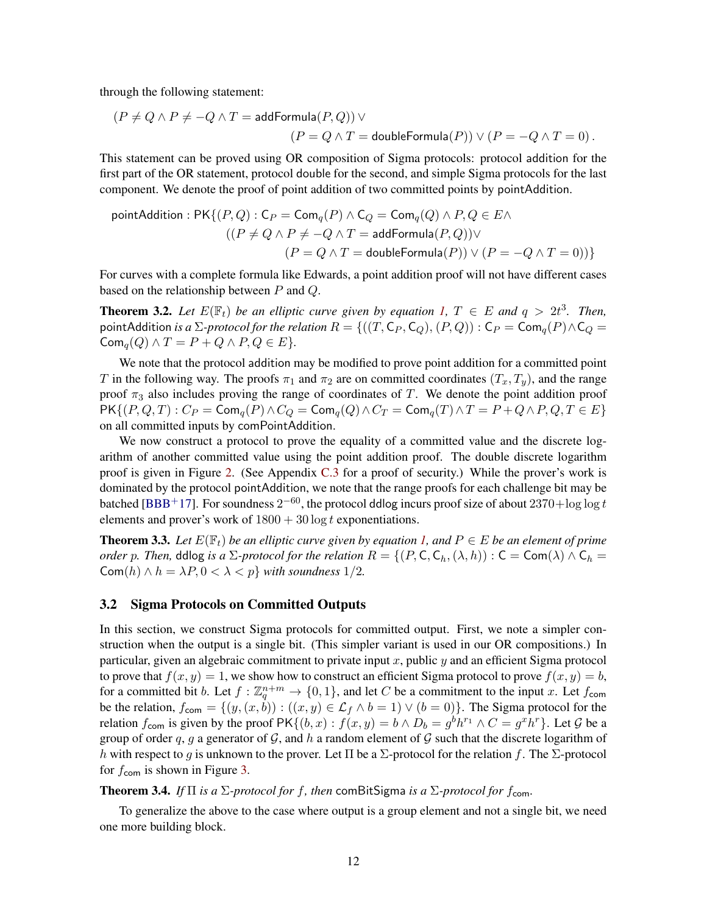through the following statement:

$$
(P \neq Q \land P \neq -Q \land T = \text{addFormula}(P, Q)) \lor
$$
  

$$
(P = Q \land T = \text{doubleFormula}(P)) \lor (P = -Q \land T = 0).
$$

This statement can be proved using OR composition of Sigma protocols: protocol addition for the first part of the OR statement, protocol double for the second, and simple Sigma protocols for the last component. We denote the proof of point addition of two committed points by pointAddition.

$$
\begin{aligned} \text{pointAddition}: \text{PK}\{(P,Q): \mathsf{C}_P&=\mathsf{Com}_q(P) \land \mathsf{C}_Q = \mathsf{Com}_q(Q) \land P, Q \in E \land \\ &((P \neq Q \land P \neq -Q \land T = \mathsf{addFormula}(P,Q)) \lor \\ & (P = Q \land T = \mathsf{doubleFormula}(P)) \lor (P = -Q \land T = 0))\} \end{aligned}
$$

For curves with a complete formula like Edwards, a point addition proof will not have different cases based on the relationship between P and Q.

**Theorem 3.2.** Let  $E(\mathbb{F}_t)$  be an elliptic curve given by equation [1,](#page-9-0)  $T \in E$  and  $q > 2t^3$ . Then, pointAddition *is a*  $\Sigma$ -protocol for the relation  $R = \{((T, C_P, C_Q), (P, Q)) : C_P = \text{Com}_q(P) \wedge C_Q =$  $\mathsf{Com}_q(Q) \wedge T = P + Q \wedge P, Q \in E$ }.

We note that the protocol addition may be modified to prove point addition for a committed point T in the following way. The proofs  $\pi_1$  and  $\pi_2$  are on committed coordinates  $(T_x, T_y)$ , and the range proof  $\pi_3$  also includes proving the range of coordinates of T. We denote the point addition proof  $PK\{(P,Q,T): C_P = \textsf{Com}_q(P) \wedge C_Q = \textsf{Com}_q(Q) \wedge C_T = \textsf{Com}_q(T) \wedge T = P + Q \wedge P, Q, T \in E\}$ on all committed inputs by comPointAddition.

We now construct a protocol to prove the equality of a committed value and the discrete logarithm of another committed value using the point addition proof. The double discrete logarithm proof is given in Figure [2.](#page-13-0) (See Appendix [C.3](#page-35-1) for a proof of security.) While the prover's work is dominated by the protocol pointAddition, we note that the range proofs for each challenge bit may be batched [\[BBB](#page-25-6)<sup>+</sup>17]. For soundness  $2^{-60}$ , the protocol ddlog incurs proof size of about  $2370 + \log \log t$ elements and prover's work of  $1800 + 30 \log t$  exponentiations.

**Theorem 3.3.** Let  $E(\mathbb{F}_t)$  be an elliptic curve given by equation [1,](#page-9-0) and  $P \in E$  be an element of prime *order* p. Then, ddlog *is a*  $\Sigma$ *-protocol for the relation*  $R = \{(P, C, C_h, (\lambda, h)) : C = \text{Com}(\lambda) \wedge C_h =$  $\textsf{Com}(h) \wedge h = \lambda P, 0 < \lambda < p$  *with soundness* 1/2*.* 

#### 3.2 Sigma Protocols on Committed Outputs

In this section, we construct Sigma protocols for committed output. First, we note a simpler construction when the output is a single bit. (This simpler variant is used in our OR compositions.) In particular, given an algebraic commitment to private input  $x$ , public  $y$  and an efficient Sigma protocol to prove that  $f(x, y) = 1$ , we show how to construct an efficient Sigma protocol to prove  $f(x, y) = b$ , for a committed bit b. Let  $f : \mathbb{Z}_q^{n+m} \to \{0,1\}$ , and let C be a commitment to the input x. Let  $f_{\text{com}}$ be the relation,  $f_{com} = \{(y, (x, b)) : ((x, y) \in \mathcal{L}_f \land b = 1) \lor (b = 0)\}\.$  The Sigma protocol for the relation  $f_{\text{com}}$  is given by the proof  $\text{PK}\{(b, x) : f(x, y) = b \land D_b = g^b h^{r_1} \land C = g^x h^r\}$ . Let  $\mathcal G$  be a group of order q, g a generator of  $G$ , and h a random element of  $G$  such that the discrete logarithm of h with respect to g is unknown to the prover. Let  $\Pi$  be a  $\Sigma$ -protocol for the relation f. The  $\Sigma$ -protocol for  $f_{\text{com}}$  is shown in Figure [3.](#page-13-1)

**Theorem 3.4.** *If*  $\Pi$  *is a*  $\Sigma$ -protocol for *f*, then comBitSigma *is a*  $\Sigma$ -protocol for  $f_{\text{com}}$ .

To generalize the above to the case where output is a group element and not a single bit, we need one more building block.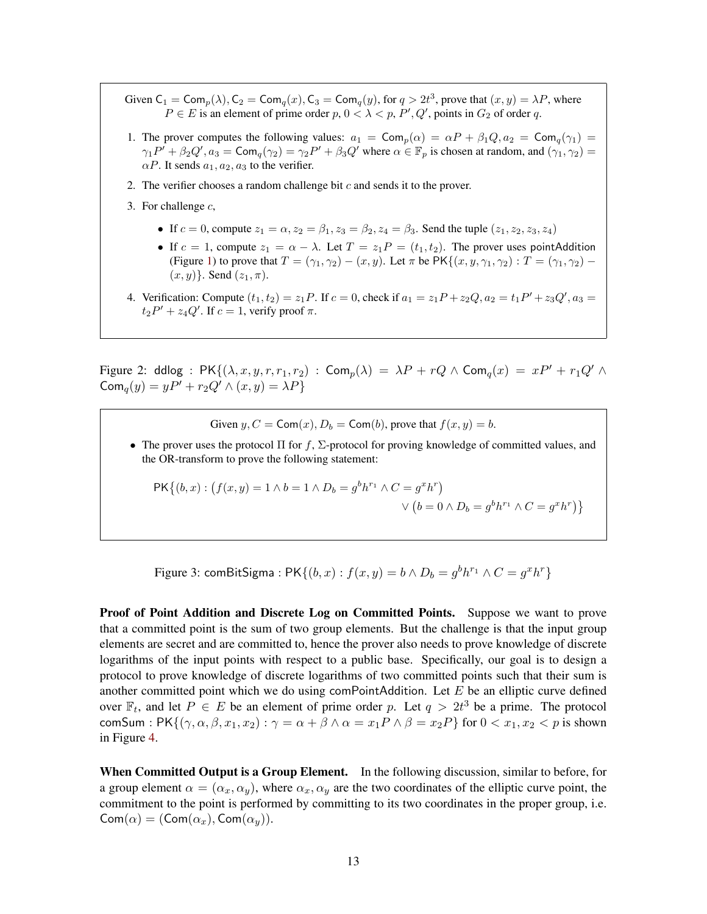- <span id="page-13-0"></span>Given  $C_1 = \text{Com}_p(\lambda)$ ,  $C_2 = \text{Com}_q(x)$ ,  $C_3 = \text{Com}_q(y)$ , for  $q > 2t^3$ , prove that  $(x, y) = \lambda P$ , where  $P \in E$  is an element of prime order  $p, 0 < \lambda < p, P', Q'$ , points in  $G_2$  of order q.
- 1. The prover computes the following values:  $a_1 = \text{Com}_p(\alpha) = \alpha P + \beta_1 Q, a_2 = \text{Com}_q(\gamma_1) =$  $\gamma_1P' + \beta_2Q', a_3 = \textsf{Com}_q(\gamma_2) = \gamma_2P' + \beta_3Q'$  where  $\alpha \in \mathbb{F}_p$  is chosen at random, and  $(\gamma_1, \gamma_2) =$  $\alpha P$ . It sends  $a_1, a_2, a_3$  to the verifier.
- 2. The verifier chooses a random challenge bit  $c$  and sends it to the prover.
- 3. For challenge  $c$ ,
	- If  $c = 0$ , compute  $z_1 = \alpha$ ,  $z_2 = \beta_1$ ,  $z_3 = \beta_2$ ,  $z_4 = \beta_3$ . Send the tuple  $(z_1, z_2, z_3, z_4)$
	- If  $c = 1$ , compute  $z_1 = \alpha \lambda$ . Let  $T = z_1 P = (t_1, t_2)$ . The prover uses pointAddition (Figure [1\)](#page-11-0) to prove that  $T = (\gamma_1, \gamma_2) - (x, y)$ . Let  $\pi$  be PK $\{(x, y, \gamma_1, \gamma_2) : T = (\gamma_1, \gamma_2) - (x, y) \}$  $(x, y)$ . Send  $(z_1, \pi)$ .
- 4. Verification: Compute  $(t_1, t_2) = z_1 P$ . If  $c = 0$ , check if  $a_1 = z_1 P + z_2 Q$ ,  $a_2 = t_1 P' + z_3 Q'$ ,  $a_3 =$  $t_2P' + z_4Q'$ . If  $c = 1$ , verify proof  $\pi$ .

<span id="page-13-1"></span>Figure 2: ddlog : PK $\{(\lambda, x, y, r, r_1, r_2) : Com_p(\lambda) = \lambda P + rQ \wedge Com_q(x) = xP' + r_1Q' \wedge$  $\textsf{Com}_q(y) = yP' + r_2Q' \wedge (x, y) = \lambda P$ 

Given  $y, C = \text{Com}(x), D_b = \text{Com}(b)$ , prove that  $f(x, y) = b$ .

• The prover uses the protocol  $\Pi$  for f,  $\Sigma$ -protocol for proving knowledge of committed values, and the OR-transform to prove the following statement:

$$
\begin{aligned} \mathsf{PK}\{(b,x): \left(f(x,y) = 1 \land b = 1 \land D_b = g^b h^{r_1} \land C = g^x h^r\right) \\ &\lor \left(b = 0 \land D_b = g^b h^{r_1} \land C = g^x h^r\right)\}\end{aligned}
$$

Figure 3: comBitSigma : PK $\{(b,x): f(x,y) = b \land D_b = g^b h^{r_1} \land C = g^x h^r\}$ 

Proof of Point Addition and Discrete Log on Committed Points. Suppose we want to prove that a committed point is the sum of two group elements. But the challenge is that the input group elements are secret and are committed to, hence the prover also needs to prove knowledge of discrete logarithms of the input points with respect to a public base. Specifically, our goal is to design a protocol to prove knowledge of discrete logarithms of two committed points such that their sum is another committed point which we do using comPointAddition. Let  $E$  be an elliptic curve defined over  $\mathbb{F}_t$ , and let  $P \in E$  be an element of prime order p. Let  $q > 2t^3$  be a prime. The protocol comSum : PK $\{(\gamma, \alpha, \beta, x_1, x_2) : \gamma = \alpha + \beta \wedge \alpha = x_1 P \wedge \beta = x_2 P\}$  for  $0 < x_1, x_2 < p$  is shown in Figure [4.](#page-14-0)

When Committed Output is a Group Element. In the following discussion, similar to before, for a group element  $\alpha = (\alpha_x, \alpha_y)$ , where  $\alpha_x, \alpha_y$  are the two coordinates of the elliptic curve point, the commitment to the point is performed by committing to its two coordinates in the proper group, i.e.  $\mathsf{Com}(\alpha) = (\mathsf{Com}(\alpha_x), \mathsf{Com}(\alpha_y)).$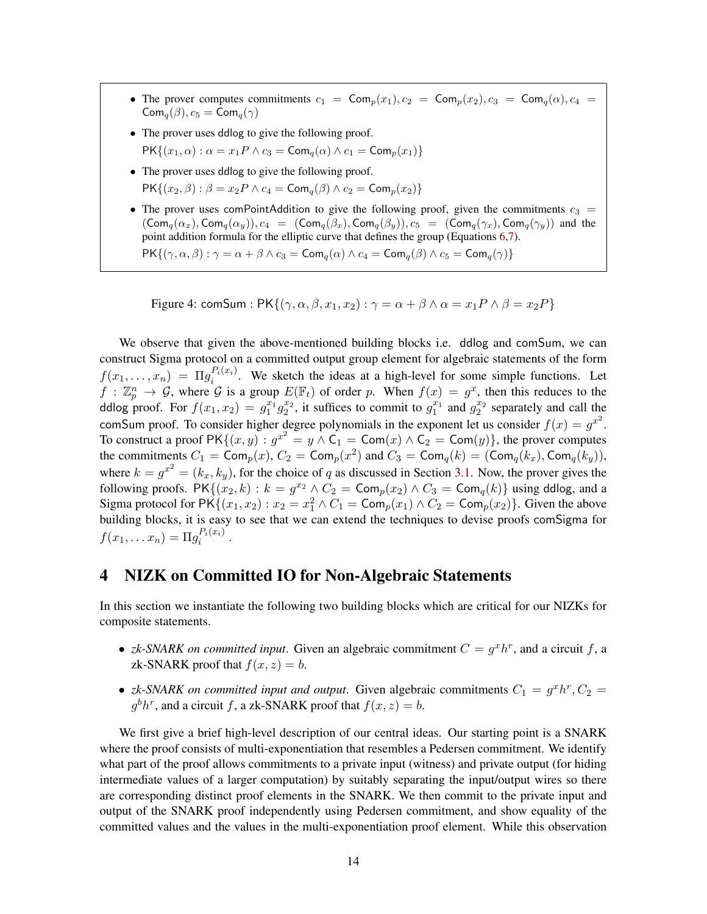- <span id="page-14-0"></span>• The prover computes commitments  $c_1 = \text{Com}_p(x_1), c_2 = \text{Com}_p(x_2), c_3 = \text{Com}_q(\alpha), c_4 =$  $Com_a(\beta), c_5 = Com_a(\gamma)$
- The prover uses ddlog to give the following proof.  $PK{ (x_1, \alpha) : \alpha = x_1 P \wedge c_3 = \textsf{Com}_q(\alpha) \wedge c_1 = \textsf{Com}_p(x_1) }$
- The prover uses ddlog to give the following proof.  $PK{ (x_2, \beta) : \beta = x_2P \wedge c_4 = \textsf{Com}_{q}(\beta) \wedge c_2 = \textsf{Com}_{p}(x_2) }$
- The prover uses comPointAddition to give the following proof, given the commitments  $c_3$  =  $(\text{Com}_q(\alpha_x), \text{Com}_q(\alpha_y)),$   $c_4 = (\text{Com}_q(\beta_x), \text{Com}_q(\beta_y)),$   $c_5 = (\text{Com}_q(\gamma_x), \text{Com}_q(\gamma_y))$  and the point addition formula for the elliptic curve that defines the group (Equations [6](#page-10-0)[,7\)](#page-10-1).  $PK\{(\gamma,\alpha,\beta): \gamma = \alpha + \beta \wedge c_3 = \textsf{Com}_q(\alpha) \wedge c_4 = \textsf{Com}_q(\beta) \wedge c_5 = \textsf{Com}_q(\gamma)\}\$

Figure 4: comSum : PK $\{(\gamma, \alpha, \beta, x_1, x_2) : \gamma = \alpha + \beta \wedge \alpha = x_1 P \wedge \beta = x_2 P\}$ 

We observe that given the above-mentioned building blocks i.e. ddlog and comSum, we can construct Sigma protocol on a committed output group element for algebraic statements of the form  $f(x_1,...,x_n) = \Pi g_i^{P_i(x_i)}$  $i^{I_i(x_i)}$ . We sketch the ideas at a high-level for some simple functions. Let  $f: \mathbb{Z}_p^n \to \mathcal{G}$ , where  $\mathcal G$  is a group  $E(\mathbb{F}_t)$  of order p. When  $f(x) = g^x$ , then this reduces to the ddlog proof. For  $f(x_1, x_2) = g_1^{x_1} g_2^{x_2}$ , it suffices to commit to  $g_1^{x_1}$  and  $g_2^{x_2}$  separately and call the comSum proof. To consider higher degree polynomials in the exponent let us consider  $f(x) = g^{x^2}$ . To construct a proof PK $\{(x,y): g^{x^2} = y \wedge C_1 = \text{Com}(x) \wedge C_2 = \text{Com}(y)\}$ , the prover computes the commitments  $C_1 = \text{Com}_p(x)$ ,  $C_2 = \text{Com}_p(x^2)$  and  $C_3 = \text{Com}_q(k) = (\text{Com}_q(k_x), \text{Com}_q(k_y)),$ where  $k = g^{x^2} = (k_x, k_y)$ , for the choice of q as discussed in Section [3.1.](#page-9-3) Now, the prover gives the following proofs. PK $\{(x_2,k): k = g^{x_2} \wedge C_2 = \textsf{Com}_p(x_2) \wedge C_3 = \textsf{Com}_q(k)\}\$ using ddlog, and a Sigma protocol for PK $\{(x_1, x_2) : x_2 = x_1^2 \wedge C_1 = \textsf{Com}_p(x_1) \wedge C_2 = \textsf{Com}_p(x_2)\}\.$  Given the above building blocks, it is easy to see that we can extend the techniques to devise proofs comSigma for  $f(x_1,...,x_n) = \Pi g_i^{P_i(x_i)}$  $\frac{f_i(x_i)}{i}$ .

# <span id="page-14-1"></span>4 NIZK on Committed IO for Non-Algebraic Statements

In this section we instantiate the following two building blocks which are critical for our NIZKs for composite statements.

- *zk-SNARK on committed input.* Given an algebraic commitment  $C = g^x h^r$ , and a circuit f, a zk-SNARK proof that  $f(x, z) = b$ .
- *zk-SNARK on committed input and output*. Given algebraic commitments  $C_1 = g^x h^r$ ,  $C_2 =$  $g^b h^r$ , and a circuit f, a zk-SNARK proof that  $f(x, z) = b$ .

We first give a brief high-level description of our central ideas. Our starting point is a SNARK where the proof consists of multi-exponentiation that resembles a Pedersen commitment. We identify what part of the proof allows commitments to a private input (witness) and private output (for hiding intermediate values of a larger computation) by suitably separating the input/output wires so there are corresponding distinct proof elements in the SNARK. We then commit to the private input and output of the SNARK proof independently using Pedersen commitment, and show equality of the committed values and the values in the multi-exponentiation proof element. While this observation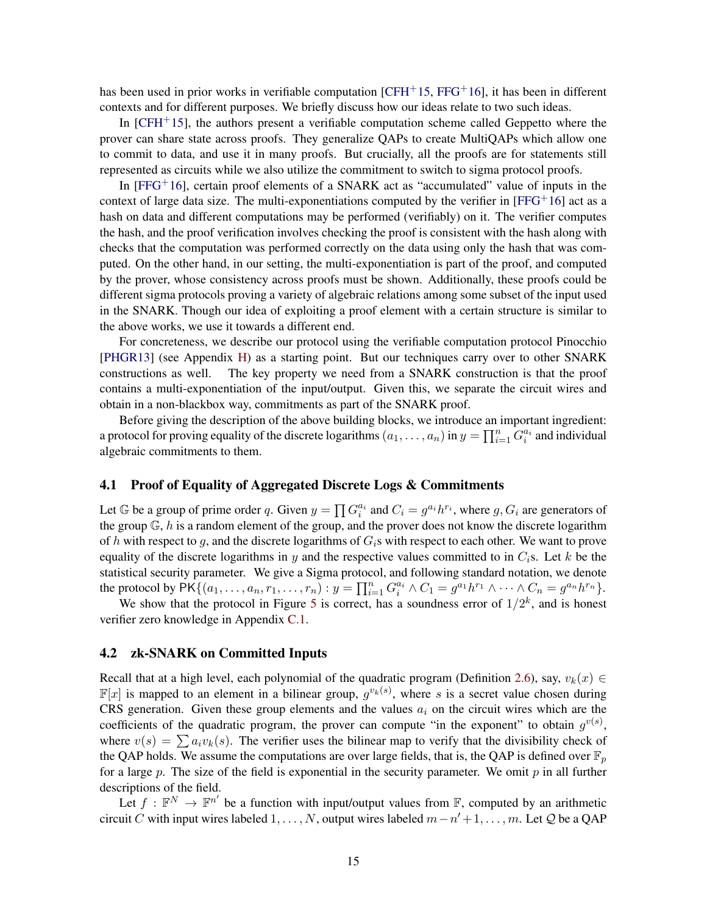has been used in prior works in verifiable computation  $[CFH<sup>+</sup>15, FFG<sup>+</sup>16]$  $[CFH<sup>+</sup>15, FFG<sup>+</sup>16]$  $[CFH<sup>+</sup>15, FFG<sup>+</sup>16]$  $[CFH<sup>+</sup>15, FFG<sup>+</sup>16]$ , it has been in different contexts and for different purposes. We briefly discuss how our ideas relate to two such ideas.

In  $[CFH<sup>+</sup>15]$  $[CFH<sup>+</sup>15]$ , the authors present a verifiable computation scheme called Geppetto where the prover can share state across proofs. They generalize QAPs to create MultiQAPs which allow one to commit to data, and use it in many proofs. But crucially, all the proofs are for statements still represented as circuits while we also utilize the commitment to switch to sigma protocol proofs.

In  $[FFG<sup>+</sup>16]$  $[FFG<sup>+</sup>16]$ , certain proof elements of a SNARK act as "accumulated" value of inputs in the context of large data size. The multi-exponentiations computed by the verifier in  $[FFG^+16]$  $[FFG^+16]$  act as a hash on data and different computations may be performed (verifiably) on it. The verifier computes the hash, and the proof verification involves checking the proof is consistent with the hash along with checks that the computation was performed correctly on the data using only the hash that was computed. On the other hand, in our setting, the multi-exponentiation is part of the proof, and computed by the prover, whose consistency across proofs must be shown. Additionally, these proofs could be different sigma protocols proving a variety of algebraic relations among some subset of the input used in the SNARK. Though our idea of exploiting a proof element with a certain structure is similar to the above works, we use it towards a different end.

For concreteness, we describe our protocol using the verifiable computation protocol Pinocchio [\[PHGR13\]](#page-29-6) (see Appendix [H\)](#page-40-0) as a starting point. But our techniques carry over to other SNARK constructions as well. The key property we need from a SNARK construction is that the proof contains a multi-exponentiation of the input/output. Given this, we separate the circuit wires and obtain in a non-blackbox way, commitments as part of the SNARK proof.

Before giving the description of the above building blocks, we introduce an important ingredient: a protocol for proving equality of the discrete logarithms  $(a_1, \ldots, a_n)$  in  $y = \prod_{i=1}^n G_i^{a_i}$  and individual algebraic commitments to them.

### 4.1 Proof of Equality of Aggregated Discrete Logs & Commitments

Let G be a group of prime order q. Given  $y = \prod G_i^{a_i}$  and  $C_i = g^{a_i} h^{r_i}$ , where  $g, G_i$  are generators of the group  $\mathbb{G}$ , h is a random element of the group, and the prover does not know the discrete logarithm of h with respect to g, and the discrete logarithms of  $G_i$ s with respect to each other. We want to prove equality of the discrete logarithms in y and the respective values committed to in  $C_i$ s. Let k be the statistical security parameter. We give a Sigma protocol, and following standard notation, we denote the protocol by  $PK\{(a_1, ..., a_n, r_1, ..., r_n) : y = \prod_{i=1}^n G_i^{a_i} \wedge C_1 = g^{a_1}h^{r_1} \wedge \cdots \wedge C_n = g^{a_n}h^{r_n}\}.$ 

We show that the protocol in Figure [5](#page-16-0) is correct, has a soundness error of  $1/2^k$ , and is honest verifier zero knowledge in Appendix [C.1.](#page-34-0)

### 4.2 zk-SNARK on Committed Inputs

Recall that at a high level, each polynomial of the quadratic program (Definition [2.6\)](#page-8-0), say,  $v_k(x) \in$  $\mathbb{F}[x]$  is mapped to an element in a bilinear group,  $g^{v_k(s)}$ , where s is a secret value chosen during CRS generation. Given these group elements and the values  $a_i$  on the circuit wires which are the coefficients of the quadratic program, the prover can compute "in the exponent" to obtain  $g^{v(s)}$ , where  $v(s) = \sum a_i v_k(s)$ . The verifier uses the bilinear map to verify that the divisibility check of the QAP holds. We assume the computations are over large fields, that is, the QAP is defined over  $\mathbb{F}_p$ for a large p. The size of the field is exponential in the security parameter. We omit  $p$  in all further descriptions of the field.

Let  $f : \mathbb{F}^N \to \mathbb{F}^{n'}$  be a function with input/output values from  $\mathbb{F}$ , computed by an arithmetic circuit C with input wires labeled  $1, \ldots, N$ , output wires labeled  $m - n' + 1, \ldots, m$ . Let Q be a QAP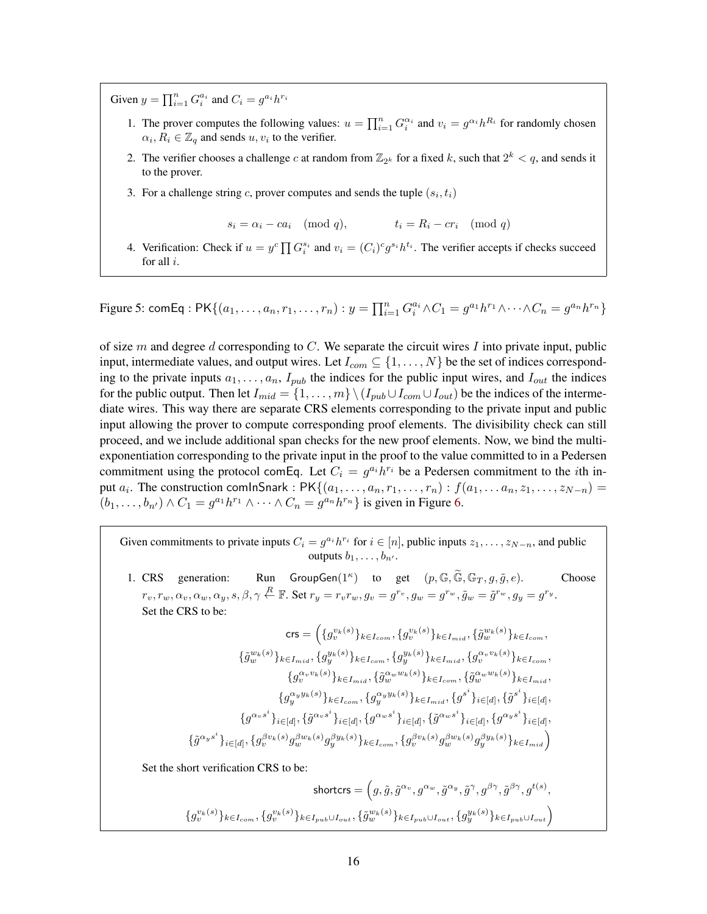<span id="page-16-0"></span>Given  $y = \prod_{i=1}^n G_i^{a_i}$  and  $C_i = g^{a_i} h^{r_i}$ 

- 1. The prover computes the following values:  $u = \prod_{i=1}^n G_i^{\alpha_i}$  and  $v_i = g^{\alpha_i} h^{R_i}$  for randomly chosen  $\alpha_i, \overline{R}_i \in \mathbb{Z}_q$  and sends  $u, v_i$  to the verifier.
- 2. The verifier chooses a challenge c at random from  $\mathbb{Z}_{2^k}$  for a fixed k, such that  $2^k < q$ , and sends it to the prover.
- 3. For a challenge string c, prover computes and sends the tuple  $(s_i, t_i)$

$$
s_i = \alpha_i - ca_i \pmod{q}, \qquad t_i = R_i - cr_i \pmod{q}
$$

4. Verification: Check if  $u = y^c \prod G_i^{s_i}$  and  $v_i = (C_i)^c g^{s_i} h^{t_i}$ . The verifier accepts if checks succeed for all i.

Figure 5: comEq : PK $\{(a_1, ..., a_n, r_1, ..., r_n) : y = \prod_{i=1}^n G_i^{a_i} \wedge C_1 = g^{a_1} h^{r_1} \wedge \cdots \wedge C_n = g^{a_n} h^{r_n}\}$ 

of size  $m$  and degree  $d$  corresponding to  $C$ . We separate the circuit wires  $I$  into private input, public input, intermediate values, and output wires. Let  $I_{com} \subseteq \{1, \ldots, N\}$  be the set of indices corresponding to the private inputs  $a_1, \ldots, a_n$ ,  $I_{pub}$  the indices for the public input wires, and  $I_{out}$  the indices for the public output. Then let  $I_{mid} = \{1, \ldots, m\} \setminus (I_{pub} \cup I_{com} \cup I_{out})$  be the indices of the intermediate wires. This way there are separate CRS elements corresponding to the private input and public input allowing the prover to compute corresponding proof elements. The divisibility check can still proceed, and we include additional span checks for the new proof elements. Now, we bind the multiexponentiation corresponding to the private input in the proof to the value committed to in a Pedersen commitment using the protocol comEq. Let  $C_i = g^{a_i} h^{r_i}$  be a Pedersen commitment to the *i*th input  $a_i$ . The construction comInSnark : PK $\{(a_1, \ldots, a_n, r_1, \ldots, r_n) : f(a_1, \ldots, a_n, z_1, \ldots, z_{N-n}) =$  $(b_1, \ldots, b_{n'}) \wedge C_1 = g^{a_1} h^{r_1} \wedge \cdots \wedge C_n = g^{a_n} h^{r_n}$  is given in Figure [6.](#page-18-0)

Given commitments to private inputs  $C_i = g^{a_i} h^{r_i}$  for  $i \in [n]$ , public inputs  $z_1, \ldots, z_{N-n}$ , and public outputs  $b_1, \ldots, b_{n'}$ .

1. CRS generation: Run GroupGen(1<sup> $\kappa$ </sup>) to get  $(p, \mathbb{G}, \widetilde{\mathbb{G}}, \mathbb{G}_T, g, \widetilde{g}, e)$ . Choose  $r_v, r_w, \alpha_v, \alpha_w, \alpha_y, s, \beta, \gamma \stackrel{R}{\leftarrow} \mathbb{F}. \ \mathrm{Set} \ r_y = r_v r_w, g_v = g^{r_v}, g_w = g^{r_w}, \tilde{g}_w = \tilde{g}^{r_w}, g_y = g^{r_y}.$ Set the CRS to be:

$$
\begin{split} \text{crs} = \Big( \{ g^{v_k(s)}_v \}_{k \in I_{com}}, \{ g^{v_k(s)}_v \}_{k \in I_{mid}}, \{ \tilde{g}^{w_k(s)}_w \}_{k \in I_{com}}, \\ \{ \tilde{g}^{w_k(s)}_w \}_{k \in I_{mid}}, \{ g^{y_k(s)}_y \}_{k \in I_{com}}, \{ g^{y_k(s)}_y \}_{k \in I_{mid}}, \{ g^{\alpha_v v_k(s)}_v \}_{k \in I_{com}}, \\ \{ g^{\alpha_v v_k(s)}_v \}_{k \in I_{mid}}, \{ \tilde{g}^{\alpha_w w_k(s)}_w \}_{k \in I_{com}}, \{ \tilde{g}^{\alpha_w w_k(s)}_w \}_{k \in I_{mid}}, \\ \{ g^{\alpha_y y_k(s)}_y \}_{k \in I_{com}}, \{ g^{\alpha_y y_k(s)}_y \}_{k \in I_{mid}}, \{ g^{s^i} \}_{i \in [d]}, \{ \tilde{g}^{s^i} \}_{i \in [d]}, \\ \{ \tilde{g}^{\alpha_y s^i} \}_{i \in [d]}, \{ \tilde{g}^{\alpha_v s^i} \}_{i \in [d]}, \{ g^{\alpha_w s^i} \}_{i \in [d]}, \{ \tilde{g}^{\alpha_w s^i} \}_{i \in [d]}, \{ g^{\alpha_y s^i} \}_{i \in [d]}, \\ \{ \tilde{g}^{\alpha_y s^i} \}_{i \in [d]}, \{ g^{\beta v_k(s)}_y g^{\beta y_k(s)}_y \}_{k \in I_{com}}, \{ g^{\beta v_k(s)}_v g^{\beta y_k(s)}_y \}_{k \in I_{mid}} \Big) \end{split}
$$

Set the short verification CRS to be:

$$
\text{shorters} = \left(g, \tilde{g}, \tilde{g}^{\alpha_v}, g^{\alpha_w}, \tilde{g}^{\alpha_y}, \tilde{g}^{\gamma}, g^{\beta\gamma}, \tilde{g}^{\beta\gamma}, g^{t(s)},\right.
$$

$$
\{g_v^{v_k(s)}\}_{k \in I_{com}}, \{g_v^{v_k(s)}\}_{k \in I_{pub} \cup I_{out}}, \{\tilde{g}_w^{w_k(s)}\}_{k \in I_{pub} \cup I_{out}}, \{g_y^{y_k(s)}\}_{k \in I_{pub} \cup I_{out}}\right)
$$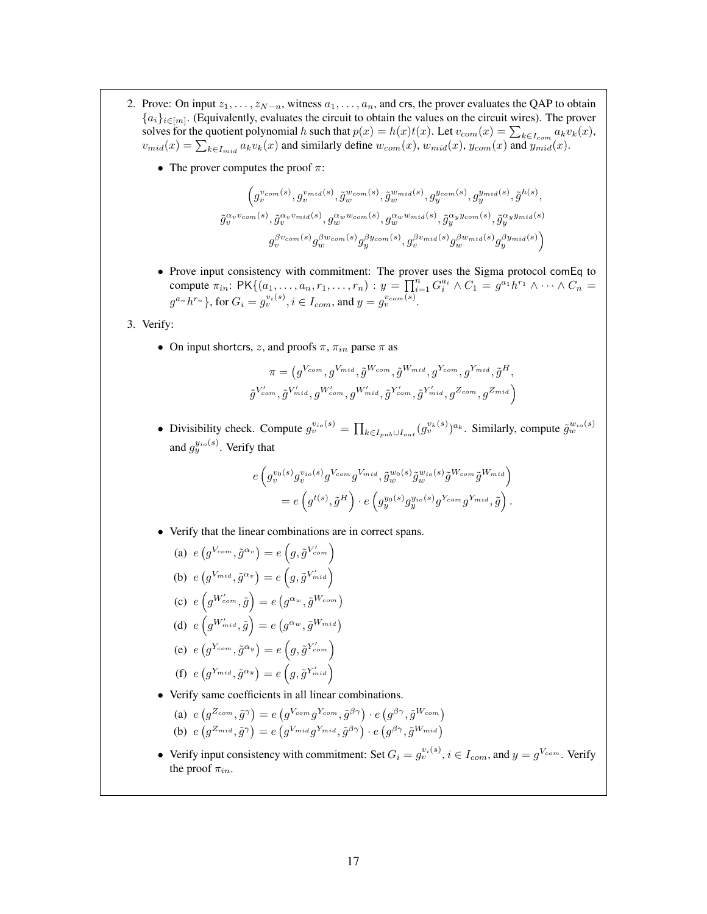- 2. Prove: On input  $z_1, \ldots, z_{N-n}$ , witness  $a_1, \ldots, a_n$ , and crs, the prover evaluates the QAP to obtain  ${a_i}_{i\in[m]}$ . (Equivalently, evaluates the circuit to obtain the values on the circuit wires). The prover solves for the quotient polynomial h such that  $p(x) = h(x)t(x)$ . Let  $v_{com}(x) = \sum_{k \in I_{com}} a_k v_k(x)$ ,  $v_{mid}(x) = \sum_{k \in I_{mid}} a_k v_k(x)$  and similarly define  $w_{com}(x)$ ,  $w_{mid}(x)$ ,  $y_{com}(x)$  and  $y_{mid}(x)$ .
	- The prover computes the proof  $\pi$ :

$$
\begin{array}{c}\left(g_v^{v_{com}(s)},g_v^{v_{mid}(s)},\tilde{g}_w^{w_{com}(s)},\tilde{g}_w^{w_{mid}(s)},g_y^{y_{com}(s)},g_y^{y_{mid}(s)},\tilde{g}^{h(s)},\right.\\ \left.\tilde{g}_v^{\alpha_vv_{com}(s)},\tilde{g}_v^{\alpha_vv_{mid}(s)},g_w^{\alpha_ww_{com}(s)},g_w^{\alpha_ww_{mid}(s)},\tilde{g}_y^{\alpha_yy_{com}(s)},\tilde{g}_y^{\alpha_yy_{mid}(s)}\right.\\ \left.g_v^{\beta v_{com}(s)}g_w^{\beta w_{com}(s)}g_y^{\beta y_{com}(s)},g_v^{\beta v_{mid}(s)}g_w^{\beta w_{mid}(s)}g_y^{\beta y_{mid}(s)}\right)\end{array}
$$

- Prove input consistency with commitment: The prover uses the Sigma protocol comEq to compute  $\pi_{in}$ : PK $\{(a_1, ..., a_n, r_1, ..., r_n) : y = \prod_{i=1}^n G_i^{a_i} \wedge C_1 = g^{a_1} h^{r_1} \wedge \cdots \wedge C_n =$  $g^{a_n}h^{r_n}$ }, for  $G_i = g_v^{v_i(s)}, i \in I_{com}$ , and  $y = g_v^{v_{com}(s)}$ .
- 3. Verify:
	- On input shortcrs, z, and proofs  $\pi$ ,  $\pi_{in}$  parse  $\pi$  as

$$
\pi = (g^{V_{com}}, g^{V_{mid}}, \tilde{g}^{W_{com}}, \tilde{g}^{W_{mid}}, g^{Y_{com}}, g^{Y_{mid}}, \tilde{g}^{H},
$$

$$
\tilde{g}^{V'_{com}}, \tilde{g}^{V'_{mid}}, g^{W'_{com}}, g^{W'_{mid}}, \tilde{g}^{Y'_{com}}, \tilde{g}^{Y'_{mid}}, g^{Z_{com}}, g^{Z_{mid}})
$$

• Divisibility check. Compute  $g_v^{v_{io}(s)} = \prod_{k \in I_{pub} \cup I_{out}} (g_v^{v_k(s)})^{a_k}$ . Similarly, compute  $\tilde{g}_w^{w_{io}(s)}$ and  $g_y^{y_{io}(s)}$ . Verify that

$$
e\left(g_v^{v_0(s)}g_v^{v_{io}(s)}g^{V_{com}}g^{V_{mid}}, \tilde{g}_w^{w_0(s)}\tilde{g}_w^{w_{io}(s)}\tilde{g}^{W_{com}}\tilde{g}^{W_{mid}}\right)
$$
  
= 
$$
e\left(g^{t(s)}, \tilde{g}^H\right) \cdot e\left(g_y^{y_0(s)}g_y^{y_{io}(s)}g^{Y_{com}}g^{Y_{mid}}, \tilde{g}\right).
$$

• Verify that the linear combinations are in correct spans.

(a) 
$$
e(g^{V_{com}}, \tilde{g}^{\alpha_v}) = e(g, \tilde{g}^{V'_{com}})
$$
  
\n(b)  $e(g^{V_{mid}}, \tilde{g}^{\alpha_v}) = e(g, \tilde{g}^{V'_{mid}})$   
\n(c)  $e(g^{W'_{com}}, \tilde{g}) = e(g^{\alpha_w}, \tilde{g}^{W_{com}})$   
\n(d)  $e(g^{W'_{mid}}, \tilde{g}) = e(g^{\alpha_w}, \tilde{g}^{W_{mid}})$   
\n(e)  $e(g^{Y_{com}}, \tilde{g}^{\alpha_y}) = e(g, \tilde{g}^{Y'_{com}})$   
\n(f)  $e(g^{Y_{mid}}, \tilde{g}^{\alpha_y}) = e(g, \tilde{g}^{Y'_{mid}})$ 

• Verify same coefficients in all linear combinations.

(a) 
$$
e(g^{Z_{com}}, \tilde{g}^{\gamma}) = e(g^{V_{com}}g^{Y_{com}}, \tilde{g}^{\beta\gamma}) \cdot e(g^{\beta\gamma}, \tilde{g}^{W_{com}})
$$
  
\n(b)  $e(g^{Z_{mid}}, \tilde{g}^{\gamma}) = e(g^{V_{mid}}g^{Y_{mid}}, \tilde{g}^{\beta\gamma}) \cdot e(g^{\beta\gamma}, \tilde{g}^{W_{mid}})$ 

• Verify input consistency with commitment: Set  $G_i = g_v^{v_i(s)}$ ,  $i \in I_{com}$ , and  $y = g^{V_{com}}$ . Verify the proof  $\pi_{in}$ .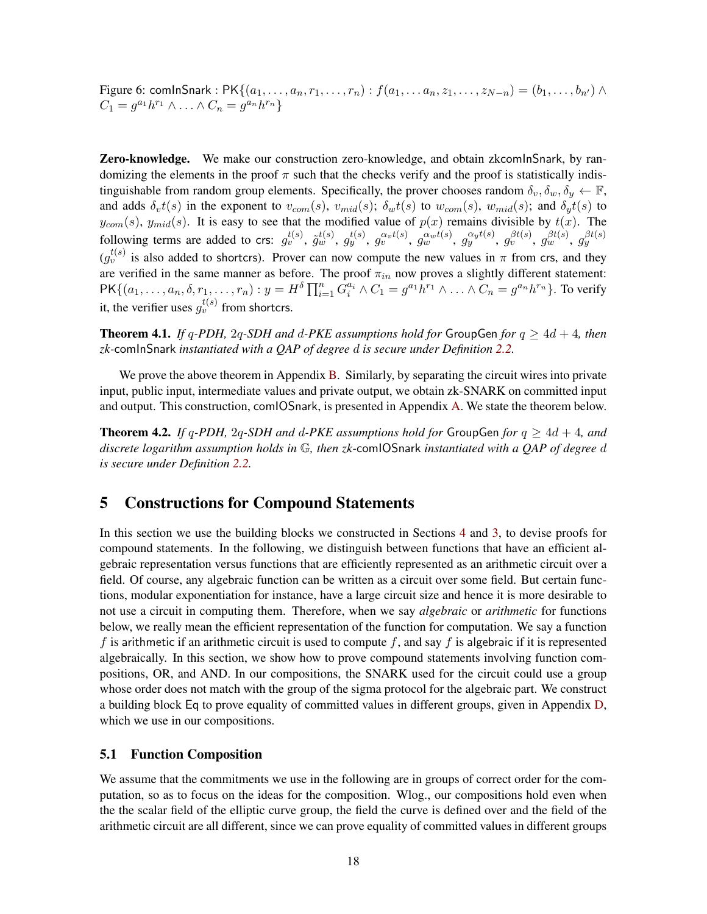<span id="page-18-0"></span>Figure 6: comInSnark : PK $\{(a_1, ..., a_n, r_1, ..., r_n) : f(a_1, ..., a_n, z_1, ..., z_{N-n}) = (b_1, ..., b_{n'}) \land$  $C_1 = g^{a_1} h^{r_1} \wedge \ldots \wedge C_n = g^{a_n} h^{r_n}$ 

**Zero-knowledge.** We make our construction zero-knowledge, and obtain zkcomlnSnark, by randomizing the elements in the proof  $\pi$  such that the checks verify and the proof is statistically indistinguishable from random group elements. Specifically, the prover chooses random  $\delta_v, \delta_w, \delta_u \leftarrow \mathbb{F}$ , and adds  $\delta_v t(s)$  in the exponent to  $v_{com}(s)$ ,  $v_{mid}(s)$ ;  $\delta_w t(s)$  to  $w_{com}(s)$ ,  $w_{mid}(s)$ ; and  $\delta_y t(s)$  to  $y_{com}(s)$ ,  $y_{mid}(s)$ . It is easy to see that the modified value of  $p(x)$  remains divisible by  $t(x)$ . The following terms are added to crs:  $g_v^{t(s)}$ ,  $\tilde{g}_w^{t(s)}$ ,  $g_y^{t(s)}$ ,  $g_v^{\alpha_v t(s)}$ ,  $g_w^{\alpha_w t(s)}$ ,  $g_y^{\alpha_y t(s)}$ ,  $g_v^{\beta t(s)}$ ,  $g_w^{\beta t(s)}$ ,  $g_y^{\beta t(s)}$  $(g_v^{t(s)}$  is also added to shortcrs). Prover can now compute the new values in  $\pi$  from crs, and they are verified in the same manner as before. The proof  $\pi_{in}$  now proves a slightly different statement:  $PK{ (a_1, ..., a_n, \delta, r_1, ..., r_n) : y = H^{\delta} \prod_{i=1}^{n} G_i^{a_i} \wedge C_1 = g^{a_1} h^{r_1} \wedge ... \wedge C_n = g^{a_n} h^{r_n}}$ . To verify it, the verifier uses  $g_v^{t(s)}$  from shortcrs.

<span id="page-18-1"></span>**Theorem 4.1.** *If*  $q$ -PDH, 2 $q$ -SDH and  $d$ -PKE assumptions hold for GroupGen for  $q \geq 4d + 4$ , then *zk-*comInSnark *instantiated with a QAP of degree* d *is secure under Definition [2.2.](#page-7-0)*

We prove the above theorem in Appendix [B.](#page-32-0) Similarly, by separating the circuit wires into private input, public input, intermediate values and private output, we obtain zk-SNARK on committed input and output. This construction, comIOSnark, is presented in Appendix [A.](#page-30-0) We state the theorem below.

**Theorem 4.2.** *If q-PDH,* 2*q-SDH and d-PKE assumptions hold for* GroupGen *for*  $q \geq 4d + 4$ *, and discrete logarithm assumption holds in* G*, then zk-*comIOSnark *instantiated with a QAP of degree* d *is secure under Definition [2.2.](#page-7-0)*

# 5 Constructions for Compound Statements

In this section we use the building blocks we constructed in Sections [4](#page-14-1) and [3,](#page-9-4) to devise proofs for compound statements. In the following, we distinguish between functions that have an efficient algebraic representation versus functions that are efficiently represented as an arithmetic circuit over a field. Of course, any algebraic function can be written as a circuit over some field. But certain functions, modular exponentiation for instance, have a large circuit size and hence it is more desirable to not use a circuit in computing them. Therefore, when we say *algebraic* or *arithmetic* for functions below, we really mean the efficient representation of the function for computation. We say a function f is arithmetic if an arithmetic circuit is used to compute f, and say f is algebraic if it is represented algebraically. In this section, we show how to prove compound statements involving function compositions, OR, and AND. In our compositions, the SNARK used for the circuit could use a group whose order does not match with the group of the sigma protocol for the algebraic part. We construct a building block Eq to prove equality of committed values in different groups, given in Appendix [D,](#page-36-1) which we use in our compositions.

#### 5.1 Function Composition

We assume that the commitments we use in the following are in groups of correct order for the computation, so as to focus on the ideas for the composition. Wlog., our compositions hold even when the the scalar field of the elliptic curve group, the field the curve is defined over and the field of the arithmetic circuit are all different, since we can prove equality of committed values in different groups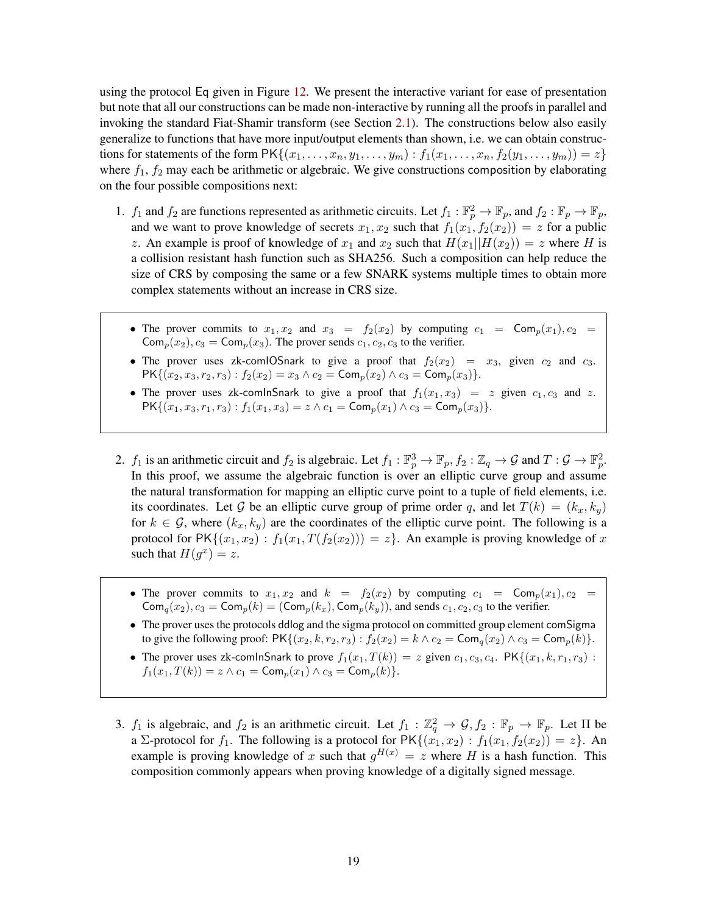using the protocol Eq given in Figure [12.](#page-37-0) We present the interactive variant for ease of presentation but note that all our constructions can be made non-interactive by running all the proofs in parallel and invoking the standard Fiat-Shamir transform (see Section [2.1\)](#page-6-0). The constructions below also easily generalize to functions that have more input/output elements than shown, i.e. we can obtain constructions for statements of the form  $PK{(\lbrace x_1,\ldots,x_n,y_1,\ldots,y_m\rbrace : f_1(x_1,\ldots,x_n,f_2(y_1,\ldots,y_m)) = z\rbrace}$ where  $f_1$ ,  $f_2$  may each be arithmetic or algebraic. We give constructions composition by elaborating on the four possible compositions next:

- 1.  $f_1$  and  $f_2$  are functions represented as arithmetic circuits. Let  $f_1 : \mathbb{F}_p^2 \to \mathbb{F}_p$ , and  $f_2 : \mathbb{F}_p \to \mathbb{F}_p$ , and we want to prove knowledge of secrets  $x_1, x_2$  such that  $f_1(x_1, f_2(x_2)) = z$  for a public z. An example is proof of knowledge of  $x_1$  and  $x_2$  such that  $H(x_1||H(x_2)) = z$  where H is a collision resistant hash function such as SHA256. Such a composition can help reduce the size of CRS by composing the same or a few SNARK systems multiple times to obtain more complex statements without an increase in CRS size.
	- The prover commits to  $x_1, x_2$  and  $x_3 = f_2(x_2)$  by computing  $c_1 = \text{Com}_p(x_1), c_2 =$  $\textsf{Com}_p(x_2), c_3 = \textsf{Com}_p(x_3)$ . The prover sends  $c_1, c_2, c_3$  to the verifier.
	- The prover uses zk-comIOSnark to give a proof that  $f_2(x_2) = x_3$ , given  $c_2$  and  $c_3$ .  $PK{ (x_2, x_3, r_2, r_3) : f_2(x_2) = x_3 \wedge c_2 = \textsf{Com}_p(x_2) \wedge c_3 = \textsf{Com}_p(x_3)}.$
	- The prover uses zk-comInSnark to give a proof that  $f_1(x_1, x_3) = z$  given  $c_1, c_3$  and z.  $PK{ (x_1, x_3, r_1, r_3) : f_1(x_1, x_3) = z \land c_1 = \textsf{Com}_p(x_1) \land c_3 = \textsf{Com}_p(x_3)}.$
- 2.  $f_1$  is an arithmetic circuit and  $f_2$  is algebraic. Let  $f_1 : \mathbb{F}_p^3 \to \mathbb{F}_p$ ,  $f_2 : \mathbb{Z}_q \to \mathcal{G}$  and  $T : \mathcal{G} \to \mathbb{F}_p^2$ . In this proof, we assume the algebraic function is over an elliptic curve group and assume the natural transformation for mapping an elliptic curve point to a tuple of field elements, i.e. its coordinates. Let G be an elliptic curve group of prime order q, and let  $T(k) = (k_x, k_y)$ for  $k \in \mathcal{G}$ , where  $(k_x, k_y)$  are the coordinates of the elliptic curve point. The following is a protocol for PK $\{(x_1, x_2) : f_1(x_1, T(f_2(x_2))) = z\}$ . An example is proving knowledge of x such that  $H(g^x) = z$ .
	- The prover commits to  $x_1, x_2$  and  $k = f_2(x_2)$  by computing  $c_1 = \text{Com}_n(x_1), c_2 =$  $Com<sub>a</sub>(x<sub>2</sub>), c<sub>3</sub> = Com<sub>n</sub>(k) = (Com<sub>n</sub>(k<sub>x</sub>), Com<sub>n</sub>(k<sub>y</sub>)),$  and sends  $c<sub>1</sub>, c<sub>2</sub>, c<sub>3</sub>$  to the verifier.
	- The prover uses the protocols ddlog and the sigma protocol on committed group element comSigma to give the following proof:  $PK{ (x_2, k, r_2, r_3) : f_2(x_2) = k \wedge c_2 = \textsf{Com}_q(x_2) \wedge c_3 = \textsf{Com}_p(k) }$ .
	- The prover uses zk-comInSnark to prove  $f_1(x_1, T(k)) = z$  given  $c_1, c_3, c_4$ . PK $\{(x_1, k, r_1, r_3)$ :  $f_1(x_1, T(k)) = z \wedge c_1 = \text{Com}_p(x_1) \wedge c_3 = \text{Com}_p(k).$
- 3.  $f_1$  is algebraic, and  $f_2$  is an arithmetic circuit. Let  $f_1 : \mathbb{Z}_q^2 \to \mathcal{G}, f_2 : \mathbb{F}_p \to \mathbb{F}_p$ . Let  $\Pi$  be a Σ-protocol for  $f_1$ . The following is a protocol for PK $\{(x_1, x_2) : f_1(x_1, f_2(x_2)) = z\}$ . An example is proving knowledge of x such that  $g^{H(x)} = z$  where H is a hash function. This composition commonly appears when proving knowledge of a digitally signed message.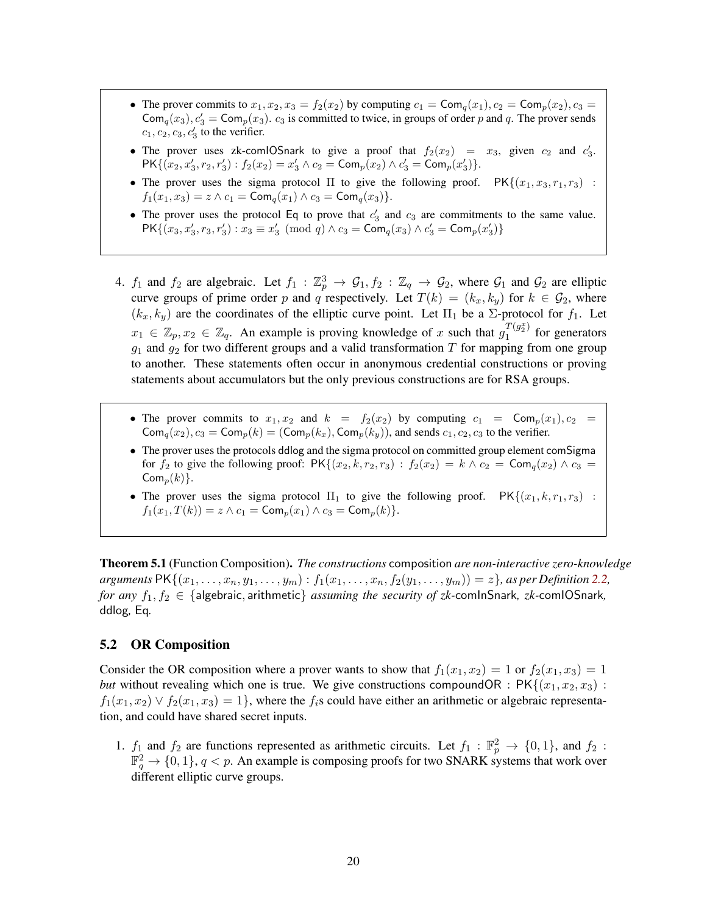- The prover commits to  $x_1, x_2, x_3 = f_2(x_2)$  by computing  $c_1 = \text{Com}_p(x_1), c_2 = \text{Com}_p(x_2), c_3 =$  $\textsf{Com}_q(x_3), c'_3 = \textsf{Com}_p(x_3)$ .  $c_3$  is committed to twice, in groups of order p and q. The prover sends  $c_1, c_2, c_3, c'_3$  to the verifier.
- The prover uses zk-comIOSnark to give a proof that  $f_2(x_2) = x_3$ , given  $c_2$  and  $c'_3$ .  $\mathsf{PK}\{(x_2,x_3',r_2,r_3') : f_2(x_2) = x_3' \land c_2 = \mathsf{Com}_p(x_2) \land c_3' = \mathsf{Com}_p(x_3')\}.$
- The prover uses the sigma protocol  $\Pi$  to give the following proof. PK $\{(x_1, x_3, r_1, r_3)$ :  $f_1(x_1, x_3) = z \wedge c_1 = \text{Com}_q(x_1) \wedge c_3 = \text{Com}_q(x_3)$ .
- The prover uses the protocol Eq to prove that  $c'_3$  and  $c_3$  are commitments to the same value.  $\mathsf{PK}\{(x_3, x_3', r_3, r_3') : x_3 \equiv x_3' \pmod{q} \land c_3 = \mathsf{Com}_q(x_3) \land c_3' = \mathsf{Com}_p(x_3')\}$
- 4.  $f_1$  and  $f_2$  are algebraic. Let  $f_1 : \mathbb{Z}_p^3 \to \mathcal{G}_1, f_2 : \mathbb{Z}_q \to \mathcal{G}_2$ , where  $\mathcal{G}_1$  and  $\mathcal{G}_2$  are elliptic curve groups of prime order p and q respectively. Let  $T(k) = (k_x, k_y)$  for  $k \in G_2$ , where  $(k_x, k_y)$  are the coordinates of the elliptic curve point. Let  $\Pi_1$  be a  $\Sigma$ -protocol for  $f_1$ . Let  $x_1 \in \mathbb{Z}_p, x_2 \in \mathbb{Z}_q$ . An example is proving knowledge of x such that  $g_1^{T(g_2^x)}$  $\frac{1}{1}$ <sup>1</sup> ( $\frac{92}{7}$ ) for generators  $g_1$  and  $g_2$  for two different groups and a valid transformation T for mapping from one group to another. These statements often occur in anonymous credential constructions or proving statements about accumulators but the only previous constructions are for RSA groups.
	- The prover commits to  $x_1, x_2$  and  $k = f_2(x_2)$  by computing  $c_1 = \text{Com}_p(x_1), c_2 =$  $\textsf{Com}_q(x_2), c_3 = \textsf{Com}_p(k) = (\textsf{Com}_p(k_x), \textsf{Com}_p(k_y)),$  and sends  $c_1, c_2, c_3$  to the verifier.
	- The prover uses the protocols ddlog and the sigma protocol on committed group element comSigma for  $f_2$  to give the following proof: PK $\{(x_2, k, r_2, r_3) : f_2(x_2) = k \wedge c_2 = \text{Com}_q(x_2) \wedge c_3 =$  $\mathsf{Com}_p(k)$ .
	- The prover uses the sigma protocol  $\Pi_1$  to give the following proof. PK{ $(x_1, k, r_1, r_3)$  :  $f_1(x_1, T(k)) = z \wedge c_1 = \text{Com}_p(x_1) \wedge c_3 = \text{Com}_p(k).$

<span id="page-20-1"></span>Theorem 5.1 (Function Composition). *The constructions* composition *are non-interactive zero-knowledge arguments*  $PK{ (x_1, ..., x_n, y_1, ..., y_m) : f_1(x_1, ..., x_n, f_2(y_1, ..., y_m)) = z }$ *, as per Definition [2.2,](#page-7-0) for any*  $f_1, f_2 \in \{\text{algebraic}, \text{arithmetic}\}\$  *assuming the security of zk*-comInSnark, *zk*-comIOSnark, ddlog*,* Eq*.*

### <span id="page-20-0"></span>5.2 OR Composition

Consider the OR composition where a prover wants to show that  $f_1(x_1, x_2) = 1$  or  $f_2(x_1, x_3) = 1$ *but* without revealing which one is true. We give constructions compoundOR :  $PK{ (x_1, x_2, x_3) :}$  $f_1(x_1, x_2) \vee f_2(x_1, x_3) = 1$ , where the  $f_i$ s could have either an arithmetic or algebraic representation, and could have shared secret inputs.

1.  $f_1$  and  $f_2$  are functions represented as arithmetic circuits. Let  $f_1 : \mathbb{F}_p^2 \to \{0,1\}$ , and  $f_2$ :  $\mathbb{F}_q^2 \to \{0, 1\}, q < p$ . An example is composing proofs for two SNARK systems that work over different elliptic curve groups.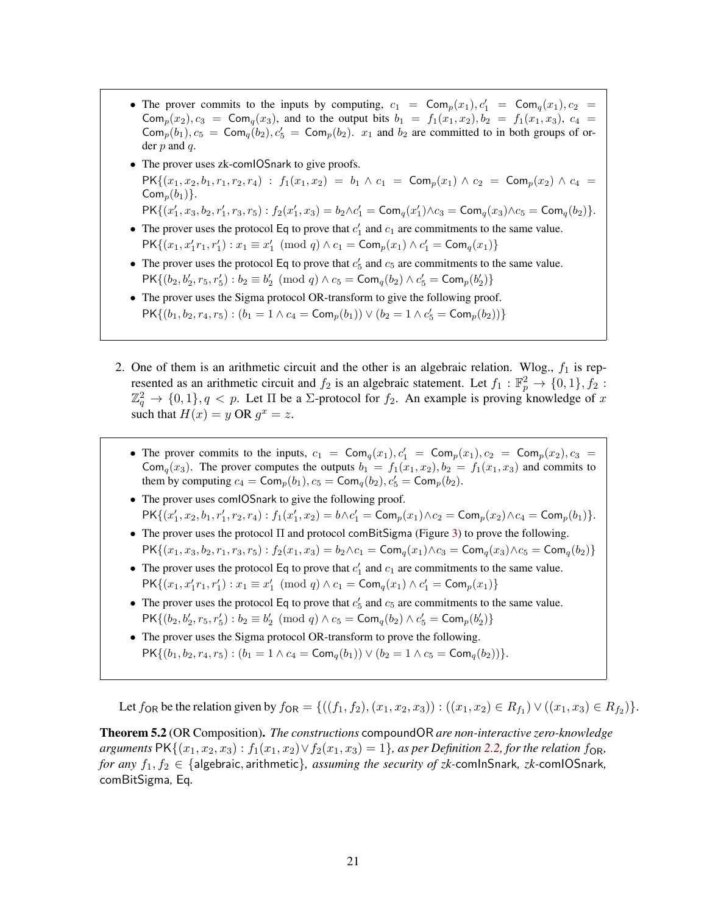- The prover commits to the inputs by computing,  $c_1 = \text{Com}_p(x_1), c'_1 = \text{Com}_q(x_1), c_2 = \text{Com}_q(x_2)$  $\textsf{Com}_p(x_2), c_3 = \textsf{Com}_q(x_3)$ , and to the output bits  $b_1 = f_1(x_1, x_2), b_2 = f_1(x_1, x_3), c_4 =$  $\textsf{Com}_p(b_1), c_5 = \textsf{Com}_q(b_2), c'_5 = \textsf{Com}_p(b_2).$   $x_1$  and  $b_2$  are committed to in both groups of order  $p$  and  $q$ .
- The prover uses zk-comIOSnark to give proofs.  $PK{ (x_1, x_2, b_1, r_1, r_2, r_4) : f_1(x_1, x_2) = b_1 \wedge c_1 = \text{Com}_p(x_1) \wedge c_2 = \text{Com}_p(x_2) \wedge c_4 = \text{Com}_p(x_1, r_2, r_4)$ Com<sub>p</sub> $(b_1)$ .  $\mathsf{PK}\{(x_1', x_3, b_2, r_1', r_3, r_5): f_2(x_1', x_3) = b_2 \wedge c_1' = \mathsf{Com}_q(x_1') \wedge c_3 = \mathsf{Com}_q(x_3) \wedge c_5 = \mathsf{Com}_q(b_2)\}.$
- The prover uses the protocol Eq to prove that  $c'_1$  and  $c_1$  are commitments to the same value.  $\mathsf{PK}\{(x_1,x'_1r_1,r'_1): x_1 \equiv x'_1 \pmod q \wedge c_1 = \mathsf{Com}_p(x_1) \wedge c'_1 = \mathsf{Com}_q(x_1)\}$
- The prover uses the protocol Eq to prove that  $c'_5$  and  $c_5$  are commitments to the same value.  $\mathsf{PK}_{2}(b_2, b'_2, r_5, r'_5) : b_2 \equiv b'_2 \pmod{q} \land c_5 = \mathsf{Com}_q(b_2) \land c'_5 = \mathsf{Com}_p(b'_2) \}$
- The prover uses the Sigma protocol OR-transform to give the following proof.  $\mathsf{PK} \{ (b_1, b_2, r_4, r_5) : (b_1 = 1 \land c_4 = \mathsf{Com}_p(b_1)) \lor (b_2 = 1 \land c_5' = \mathsf{Com}_p(b_2)) \}$
- 2. One of them is an arithmetic circuit and the other is an algebraic relation. Wlog.,  $f_1$  is represented as an arithmetic circuit and  $f_2$  is an algebraic statement. Let  $f_1 : \mathbb{F}_p^2 \to \{0, 1\}, f_2$ :  $\mathbb{Z}_q^2 \to \{0,1\}, q < p$ . Let  $\Pi$  be a  $\Sigma$ -protocol for  $f_2$ . An example is proving knowledge of x such that  $H(x) = y$  OR  $g^x = z$ .
	- The prover commits to the inputs,  $c_1 = \text{Com}_q(x_1), c'_1 = \text{Com}_p(x_1), c_2 = \text{Com}_p(x_2), c_3 =$ Com<sub>q</sub>(x<sub>3</sub>). The prover computes the outputs  $b_1 = f_1(x_1, x_2)$ ,  $b_2 = f_1(x_1, x_3)$  and commits to them by computing  $c_4 = \text{Com}_p(b_1)$ ,  $c_5 = \text{Com}_q(b_2)$ ,  $c'_5 = \text{Com}_p(b_2)$ .
	- The prover uses comIOSnark to give the following proof.  $\mathsf{PK}\{(x_1', x_2, b_1, r_1', r_2, r_4): f_1(x_1', x_2) = b \wedge c_1' = \mathsf{Com}_p(x_1) \wedge c_2 = \mathsf{Com}_p(x_2) \wedge c_4 = \mathsf{Com}_p(b_1)\}.$
	- The prover uses the protocol  $\Pi$  and protocol comBitSigma (Figure [3\)](#page-13-1) to prove the following.  $PK{ (x_1, x_3, b_2, r_1, r_3, r_5) : f_2(x_1, x_3) = b_2 \wedge c_1 = \text{Com}_q(x_1) \wedge c_3 = \text{Com}_q(x_3) \wedge c_5 = \text{Com}_q(b_2) }$
	- The prover uses the protocol Eq to prove that  $c'_1$  and  $c_1$  are commitments to the same value.  $\mathsf{PK}\{(x_1,x'_1r_1,r'_1): x_1 \equiv x'_1 \pmod q \wedge c_1 = \mathsf{Com}_q(x_1) \wedge c'_1 = \mathsf{Com}_p(x_1)\}$
	- The prover uses the protocol Eq to prove that  $c'_5$  and  $c_5$  are commitments to the same value.  $\mathsf{PK}_{2}(b_2, b'_2, r_5, r'_5) : b_2 \equiv b'_2 \pmod{q} \land c_5 = \mathsf{Com}_q(b_2) \land c'_5 = \mathsf{Com}_p(b'_2)$
	- The prover uses the Sigma protocol OR-transform to prove the following.  $PK{(b_1, b_2, r_4, r_5): (b_1 = 1 \land c_4 = \text{Com}_q(b_1)) \lor (b_2 = 1 \land c_5 = \text{Com}_q(b_2))}.$

Let  $f_{OR}$  be the relation given by  $f_{OR} = \{((f_1, f_2), (x_1, x_2, x_3)) : ((x_1, x_2) \in R_{f_1}) \vee ((x_1, x_3) \in R_{f_2})\}.$ 

<span id="page-21-0"></span>Theorem 5.2 (OR Composition). *The constructions* compoundOR *are non-interactive zero-knowledge*  $a$ *rguments* PK $\{(x_1, x_2, x_3): f_1(x_1, x_2) \vee f_2(x_1, x_3) = 1\}$ *, as per Definition [2.2,](#page-7-0) for the relation formation for any*  $f_1, f_2 \in \{\text{algebraic}, \text{arithmetic}\}\$ *, assuming the security of zk*-comInSnark, *zk*-comIOSnark, comBitSigma*,* Eq*.*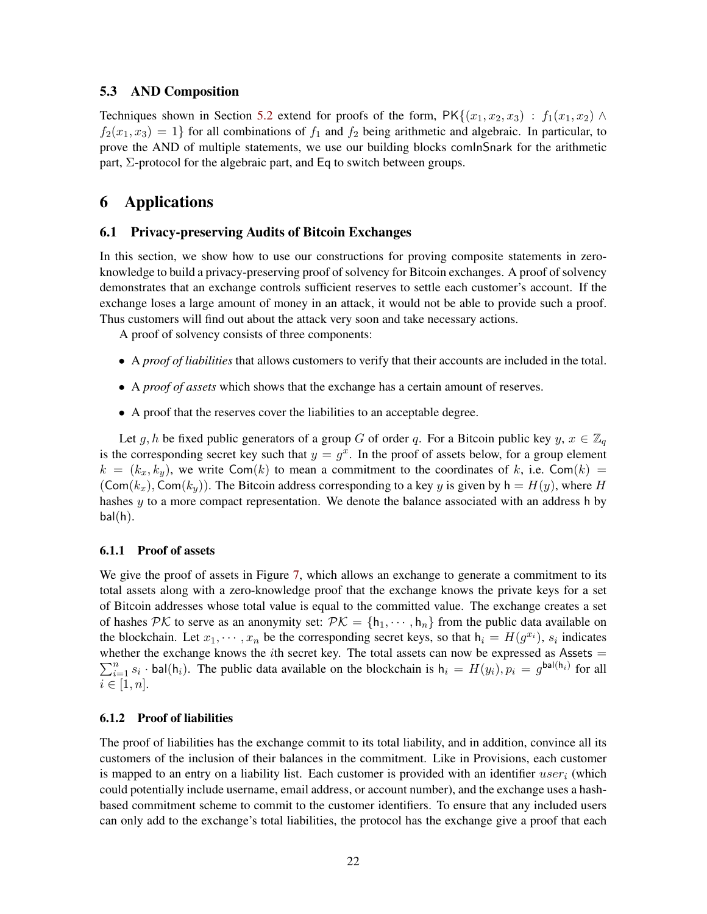### 5.3 AND Composition

Techniques shown in Section [5.2](#page-20-0) extend for proofs of the form, PK $\{(x_1, x_2, x_3) : f_1(x_1, x_2) \wedge f_2(x_2, x_3) \}$  $f_2(x_1, x_3) = 1$  for all combinations of  $f_1$  and  $f_2$  being arithmetic and algebraic. In particular, to prove the AND of multiple statements, we use our building blocks comInSnark for the arithmetic part, Σ-protocol for the algebraic part, and Eq to switch between groups.

# 6 Applications

#### 6.1 Privacy-preserving Audits of Bitcoin Exchanges

In this section, we show how to use our constructions for proving composite statements in zeroknowledge to build a privacy-preserving proof of solvency for Bitcoin exchanges. A proof of solvency demonstrates that an exchange controls sufficient reserves to settle each customer's account. If the exchange loses a large amount of money in an attack, it would not be able to provide such a proof. Thus customers will find out about the attack very soon and take necessary actions.

A proof of solvency consists of three components:

- A *proof of liabilities* that allows customers to verify that their accounts are included in the total.
- A *proof of assets* which shows that the exchange has a certain amount of reserves.
- A proof that the reserves cover the liabilities to an acceptable degree.

Let g, h be fixed public generators of a group G of order q. For a Bitcoin public key  $y, x \in \mathbb{Z}_q$ is the corresponding secret key such that  $y = g^x$ . In the proof of assets below, for a group element  $k = (k_x, k_y)$ , we write Com(k) to mean a commitment to the coordinates of k, i.e. Com(k) = (Com(k<sub>x</sub>), Com(k<sub>y</sub>)). The Bitcoin address corresponding to a key y is given by  $h = H(y)$ , where H hashes y to a more compact representation. We denote the balance associated with an address h by  $bal(h)$ .

#### 6.1.1 Proof of assets

We give the proof of assets in Figure [7,](#page-23-0) which allows an exchange to generate a commitment to its total assets along with a zero-knowledge proof that the exchange knows the private keys for a set of Bitcoin addresses whose total value is equal to the committed value. The exchange creates a set of hashes PK to serve as an anonymity set:  $\mathcal{PK} = \{\mathsf{h}_1, \cdots, \mathsf{h}_n\}$  from the public data available on the blockchain. Let  $x_1, \dots, x_n$  be the corresponding secret keys, so that  $h_i = H(g^{x_i})$ ,  $s_i$  indicates whether the exchange knows the *i*th secret key. The total assets can now be expressed as Assets  $=$  $\sum_{i=1}^n s_i$  bal(h<sub>i</sub>). The public data available on the blockchain is  $h_i = H(y_i)$ ,  $p_i = g^{\text{bal}(h_i)}$  for all  $i \in [1, n]$ .

#### 6.1.2 Proof of liabilities

The proof of liabilities has the exchange commit to its total liability, and in addition, convince all its customers of the inclusion of their balances in the commitment. Like in Provisions, each customer is mapped to an entry on a liability list. Each customer is provided with an identifier  $user_i$  (which could potentially include username, email address, or account number), and the exchange uses a hashbased commitment scheme to commit to the customer identifiers. To ensure that any included users can only add to the exchange's total liabilities, the protocol has the exchange give a proof that each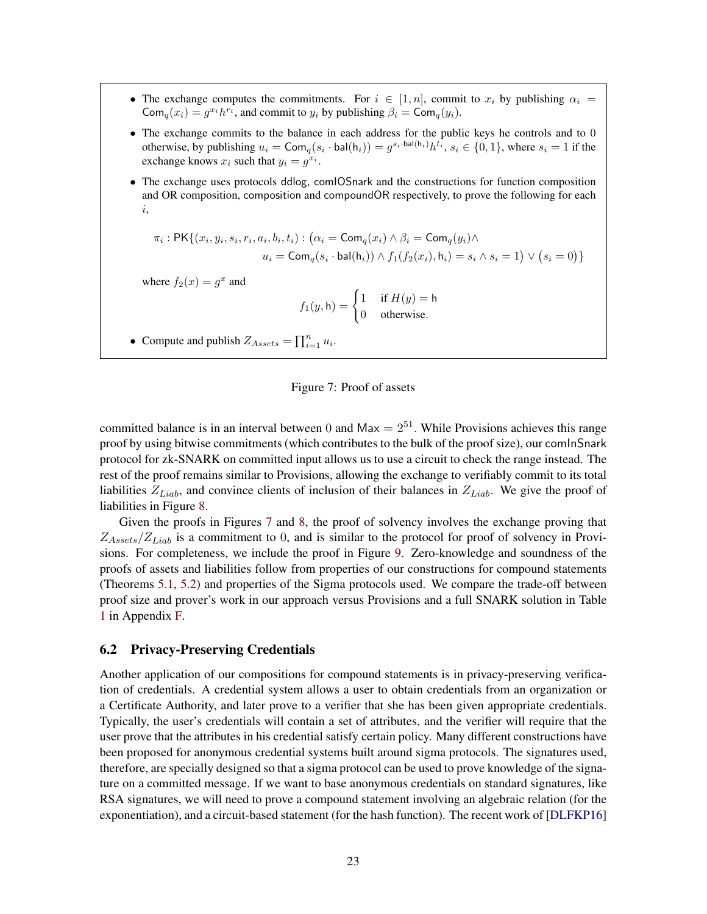- <span id="page-23-0"></span>• The exchange computes the commitments. For  $i \in [1, n]$ , commit to  $x_i$  by publishing  $\alpha_i =$ Com<sub>q</sub> $(x_i) = g^{x_i} h^{r_i}$ , and commit to  $y_i$  by publishing  $\beta_i = \textsf{Com}_q(y_i)$ .
- The exchange commits to the balance in each address for the public keys he controls and to 0 otherwise, by publishing  $u_i = \textsf{Com}_q(s_i \cdot \textsf{bal}(\mathsf{h}_i)) = g^{s_i \cdot \textsf{bal}(\mathsf{h}_i)} h^{t_i}, s_i \in \{0, 1\}$ , where  $s_i = 1$  if the exchange knows  $x_i$  such that  $y_i = g^{x_i}$ .
- The exchange uses protocols ddlog, comIOSnark and the constructions for function composition and OR composition, composition and compoundOR respectively, to prove the following for each i,

$$
\pi_i: \mathsf{PK}\{(x_i, y_i, s_i, r_i, a_i, b_i, t_i): (\alpha_i = \mathsf{Com}_q(x_i) \land \beta_i = \mathsf{Com}_q(y_i) \land u_i = \mathsf{Com}_q(s_i \cdot \mathsf{bal}(h_i)) \land f_1(f_2(x_i), h_i) = s_i \land s_i = 1) \lor (s_i = 0)\}
$$

where  $f_2(x) = g^x$  and

$$
f_1(y, h) = \begin{cases} 1 & \text{if } H(y) = h \\ 0 & \text{otherwise.} \end{cases}
$$

• Compute and publish  $Z_{Assets} = \prod_{i=1}^{n} u_i$ .



committed balance is in an interval between 0 and  $Max = 2<sup>51</sup>$ . While Provisions achieves this range proof by using bitwise commitments (which contributes to the bulk of the proof size), our comInSnark protocol for zk-SNARK on committed input allows us to use a circuit to check the range instead. The rest of the proof remains similar to Provisions, allowing the exchange to verifiably commit to its total liabilities  $Z_{Liab}$ , and convince clients of inclusion of their balances in  $Z_{Liab}$ . We give the proof of liabilities in Figure [8.](#page-24-0)

Given the proofs in Figures [7](#page-23-0) and [8,](#page-24-0) the proof of solvency involves the exchange proving that  $Z_{Assets}/Z_{Liab}$  is a commitment to 0, and is similar to the protocol for proof of solvency in Provisions. For completeness, we include the proof in Figure [9.](#page-24-1) Zero-knowledge and soundness of the proofs of assets and liabilities follow from properties of our constructions for compound statements (Theorems [5.1,](#page-20-1) [5.2\)](#page-21-0) and properties of the Sigma protocols used. We compare the trade-off between proof size and prover's work in our approach versus Provisions and a full SNARK solution in Table [1](#page-39-1) in Appendix [F.](#page-38-0)

### 6.2 Privacy-Preserving Credentials

Another application of our compositions for compound statements is in privacy-preserving verification of credentials. A credential system allows a user to obtain credentials from an organization or a Certificate Authority, and later prove to a verifier that she has been given appropriate credentials. Typically, the user's credentials will contain a set of attributes, and the verifier will require that the user prove that the attributes in his credential satisfy certain policy. Many different constructions have been proposed for anonymous credential systems built around sigma protocols. The signatures used, therefore, are specially designed so that a sigma protocol can be used to prove knowledge of the signature on a committed message. If we want to base anonymous credentials on standard signatures, like RSA signatures, we will need to prove a compound statement involving an algebraic relation (for the exponentiation), and a circuit-based statement (for the hash function). The recent work of [\[DLFKP16\]](#page-27-5)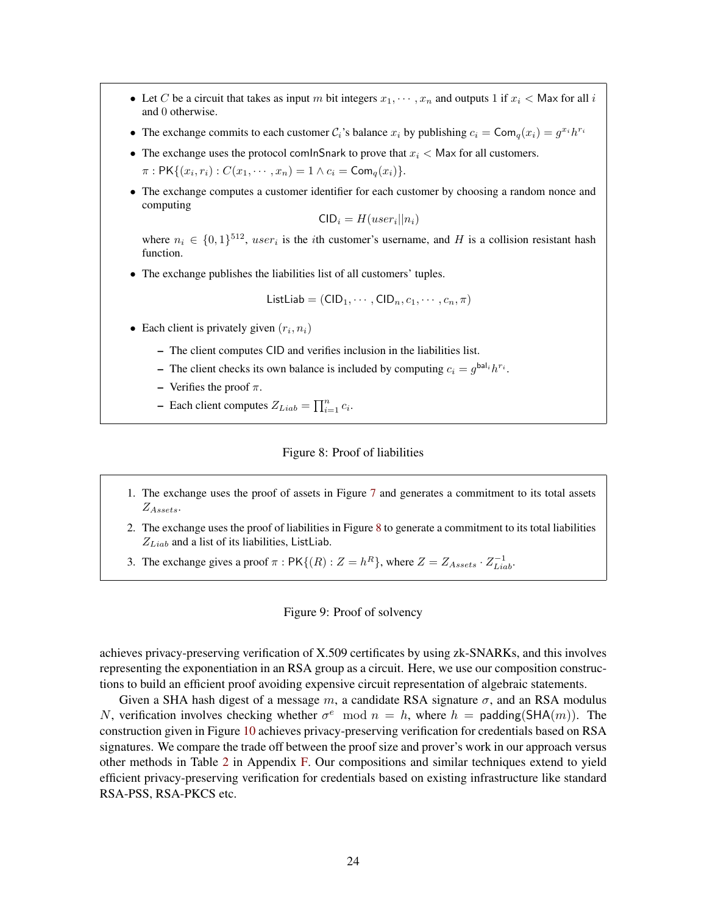- <span id="page-24-0"></span>• Let C be a circuit that takes as input m bit integers  $x_1, \dots, x_n$  and outputs 1 if  $x_i$  < Max for all i and 0 otherwise.
- The exchange commits to each customer  $C_i$ 's balance  $x_i$  by publishing  $c_i = \text{Com}_q(x_i) = g^{x_i} h^{r_i}$
- The exchange uses the protocol comInSnark to prove that  $x_i <$  Max for all customers.

 $\pi : \mathsf{PK}\{(x_i, r_i) : C(x_1, \cdots, x_n) = 1 \land c_i = \mathsf{Com}_q(x_i)\}.$ 

• The exchange computes a customer identifier for each customer by choosing a random nonce and computing

 $\text{CID}_i = H(user_i||n_i)$ 

where  $n_i \in \{0,1\}^{512}$ , user<sub>i</sub> is the *i*th customer's username, and H is a collision resistant hash function.

• The exchange publishes the liabilities list of all customers' tuples.

$$
\mathsf{ListLab}=(\mathsf{CID}_1,\cdots,\mathsf{CID}_n,c_1,\cdots,c_n,\pi)
$$

- Each client is privately given  $(r_i, n_i)$ 
	- The client computes CID and verifies inclusion in the liabilities list.
	- The client checks its own balance is included by computing  $c_i = g^{\text{bal}_i} h^{r_i}$ .
	- Verifies the proof  $\pi$ .
	- Each client computes  $Z_{Liab} = \prod_{i=1}^{n} c_i$ .

#### Figure 8: Proof of liabilities

- <span id="page-24-1"></span>1. The exchange uses the proof of assets in Figure [7](#page-23-0) and generates a commitment to its total assets  $Z_{Assets}.$
- 2. The exchange uses the proof of liabilities in Figure [8](#page-24-0) to generate a commitment to its total liabilities  $Z_{Liab}$  and a list of its liabilities, ListLiab.
- 3. The exchange gives a proof  $\pi$  :  $PK\{(R): Z = h^R\}$ , where  $Z = Z_{Assets} \cdot Z_{Liab}^{-1}$ .

Figure 9: Proof of solvency

achieves privacy-preserving verification of X.509 certificates by using zk-SNARKs, and this involves representing the exponentiation in an RSA group as a circuit. Here, we use our composition constructions to build an efficient proof avoiding expensive circuit representation of algebraic statements.

Given a SHA hash digest of a message m, a candidate RSA signature  $\sigma$ , and an RSA modulus N, verification involves checking whether  $\sigma^e \mod n = h$ , where  $h = \text{padding}(SHA(m))$ . The construction given in Figure [10](#page-25-7) achieves privacy-preserving verification for credentials based on RSA signatures. We compare the trade off between the proof size and prover's work in our approach versus other methods in Table [2](#page-39-2) in Appendix [F.](#page-38-0) Our compositions and similar techniques extend to yield efficient privacy-preserving verification for credentials based on existing infrastructure like standard RSA-PSS, RSA-PKCS etc.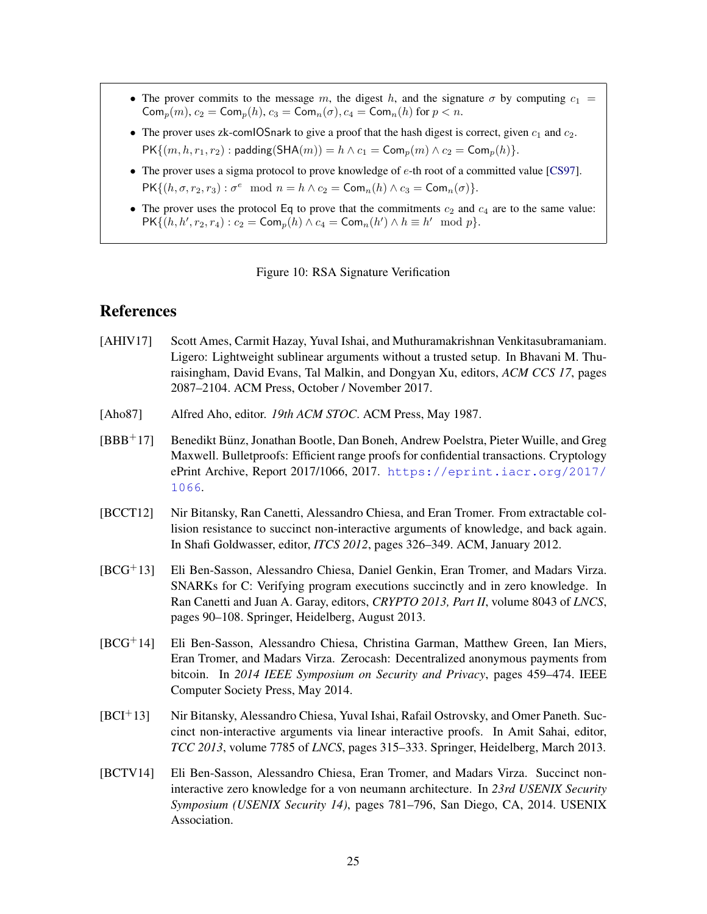- <span id="page-25-7"></span>• The prover commits to the message m, the digest h, and the signature  $\sigma$  by computing  $c_1$  =  $\mathsf{Com}_p(m), c_2 = \mathsf{Com}_p(h), c_3 = \mathsf{Com}_n(\sigma), c_4 = \mathsf{Com}_n(h)$  for  $p < n$ .
- The prover uses zk-comIOSnark to give a proof that the hash digest is correct, given  $c_1$  and  $c_2$ .  $PK{ (m, h, r_1, r_2) :}$  padding(SHA $(m)) = h \wedge c_1 = \text{Com}_n(m) \wedge c_2 = \text{Com}_n(h)$ .
- The prover uses a sigma protocol to prove knowledge of e-th root of a committed value [\[CS97\]](#page-27-2).  $PK\{(h, \sigma, r_2, r_3): \sigma^e \mod n = h \wedge c_2 = \textsf{Com}_n(h) \wedge c_3 = \textsf{Com}_n(\sigma)\}.$
- The prover uses the protocol Eq to prove that the commitments  $c_2$  and  $c_4$  are to the same value:  $PK\{(h, h', r_2, r_4) : c_2 = \text{Com}_p(h) \land c_4 = \text{Com}_n(h') \land h \equiv h' \mod p\}.$

#### Figure 10: RSA Signature Verification

# References

- <span id="page-25-1"></span>[AHIV17] Scott Ames, Carmit Hazay, Yuval Ishai, and Muthuramakrishnan Venkitasubramaniam. Ligero: Lightweight sublinear arguments without a trusted setup. In Bhavani M. Thuraisingham, David Evans, Tal Malkin, and Dongyan Xu, editors, *ACM CCS 17*, pages 2087–2104. ACM Press, October / November 2017.
- <span id="page-25-8"></span>[Aho87] Alfred Aho, editor. *19th ACM STOC*. ACM Press, May 1987.
- <span id="page-25-6"></span>[BBB+17] Benedikt Bunz, Jonathan Bootle, Dan Boneh, Andrew Poelstra, Pieter Wuille, and Greg ¨ Maxwell. Bulletproofs: Efficient range proofs for confidential transactions. Cryptology ePrint Archive, Report 2017/1066, 2017. [https://eprint.iacr.org/2017/](https://eprint.iacr.org/2017/1066) [1066](https://eprint.iacr.org/2017/1066).
- <span id="page-25-5"></span>[BCCT12] Nir Bitansky, Ran Canetti, Alessandro Chiesa, and Eran Tromer. From extractable collision resistance to succinct non-interactive arguments of knowledge, and back again. In Shafi Goldwasser, editor, *ITCS 2012*, pages 326–349. ACM, January 2012.
- <span id="page-25-3"></span>[BCG+13] Eli Ben-Sasson, Alessandro Chiesa, Daniel Genkin, Eran Tromer, and Madars Virza. SNARKs for C: Verifying program executions succinctly and in zero knowledge. In Ran Canetti and Juan A. Garay, editors, *CRYPTO 2013, Part II*, volume 8043 of *LNCS*, pages 90–108. Springer, Heidelberg, August 2013.
- <span id="page-25-0"></span>[BCG+14] Eli Ben-Sasson, Alessandro Chiesa, Christina Garman, Matthew Green, Ian Miers, Eran Tromer, and Madars Virza. Zerocash: Decentralized anonymous payments from bitcoin. In *2014 IEEE Symposium on Security and Privacy*, pages 459–474. IEEE Computer Society Press, May 2014.
- <span id="page-25-2"></span>[BCI+13] Nir Bitansky, Alessandro Chiesa, Yuval Ishai, Rafail Ostrovsky, and Omer Paneth. Succinct non-interactive arguments via linear interactive proofs. In Amit Sahai, editor, *TCC 2013*, volume 7785 of *LNCS*, pages 315–333. Springer, Heidelberg, March 2013.
- <span id="page-25-4"></span>[BCTV14] Eli Ben-Sasson, Alessandro Chiesa, Eran Tromer, and Madars Virza. Succinct noninteractive zero knowledge for a von neumann architecture. In *23rd USENIX Security Symposium (USENIX Security 14)*, pages 781–796, San Diego, CA, 2014. USENIX Association.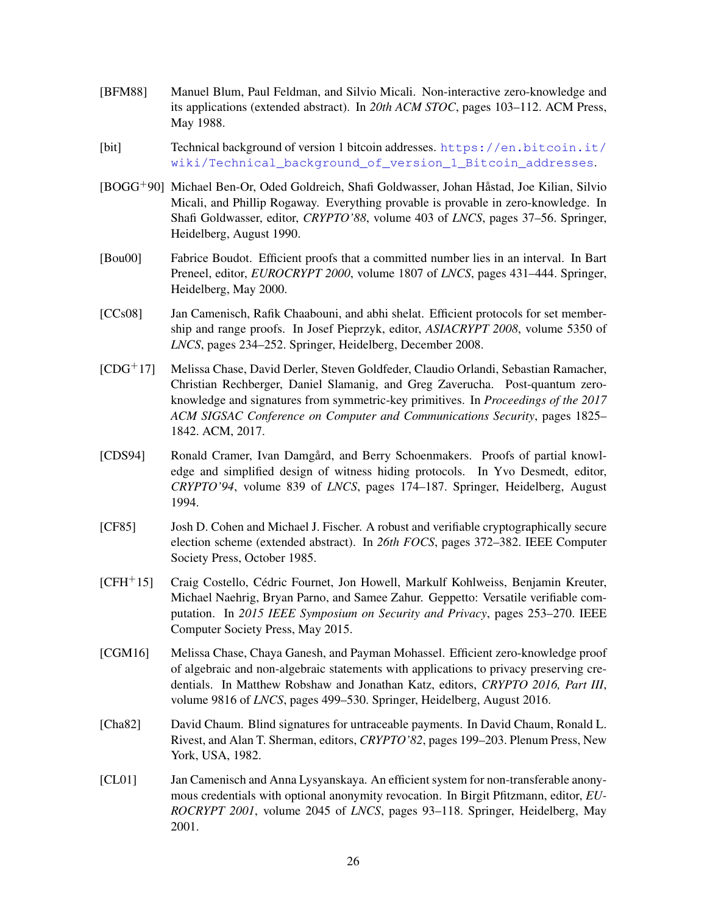- <span id="page-26-8"></span>[BFM88] Manuel Blum, Paul Feldman, and Silvio Micali. Non-interactive zero-knowledge and its applications (extended abstract). In *20th ACM STOC*, pages 103–112. ACM Press, May 1988.
- <span id="page-26-5"></span>[bit] Technical background of version 1 bitcoin addresses. [https://en.bitcoin.it/](https://en.bitcoin.it/wiki/Technical_background_of_version_1_Bitcoin_addresses) [wiki/Technical\\_background\\_of\\_version\\_1\\_Bitcoin\\_addresses](https://en.bitcoin.it/wiki/Technical_background_of_version_1_Bitcoin_addresses).
- <span id="page-26-0"></span>[BOGG<sup>+90]</sup> Michael Ben-Or, Oded Goldreich, Shafi Goldwasser, Johan Håstad, Joe Kilian, Silvio Micali, and Phillip Rogaway. Everything provable is provable in zero-knowledge. In Shafi Goldwasser, editor, *CRYPTO'88*, volume 403 of *LNCS*, pages 37–56. Springer, Heidelberg, August 1990.
- <span id="page-26-9"></span>[Bou00] Fabrice Boudot. Efficient proofs that a committed number lies in an interval. In Bart Preneel, editor, *EUROCRYPT 2000*, volume 1807 of *LNCS*, pages 431–444. Springer, Heidelberg, May 2000.
- <span id="page-26-10"></span>[CCs08] Jan Camenisch, Rafik Chaabouni, and abhi shelat. Efficient protocols for set membership and range proofs. In Josef Pieprzyk, editor, *ASIACRYPT 2008*, volume 5350 of *LNCS*, pages 234–252. Springer, Heidelberg, December 2008.
- <span id="page-26-3"></span>[CDG+17] Melissa Chase, David Derler, Steven Goldfeder, Claudio Orlandi, Sebastian Ramacher, Christian Rechberger, Daniel Slamanig, and Greg Zaverucha. Post-quantum zeroknowledge and signatures from symmetric-key primitives. In *Proceedings of the 2017 ACM SIGSAC Conference on Computer and Communications Security*, pages 1825– 1842. ACM, 2017.
- <span id="page-26-4"></span>[CDS94] Ronald Cramer, Ivan Damgård, and Berry Schoenmakers. Proofs of partial knowledge and simplified design of witness hiding protocols. In Yvo Desmedt, editor, *CRYPTO'94*, volume 839 of *LNCS*, pages 174–187. Springer, Heidelberg, August 1994.
- <span id="page-26-2"></span>[CF85] Josh D. Cohen and Michael J. Fischer. A robust and verifiable cryptographically secure election scheme (extended abstract). In *26th FOCS*, pages 372–382. IEEE Computer Society Press, October 1985.
- <span id="page-26-11"></span>[CFH<sup>+</sup>15] Craig Costello, Cédric Fournet, Jon Howell, Markulf Kohlweiss, Benjamin Kreuter, Michael Naehrig, Bryan Parno, and Samee Zahur. Geppetto: Versatile verifiable computation. In *2015 IEEE Symposium on Security and Privacy*, pages 253–270. IEEE Computer Society Press, May 2015.
- <span id="page-26-7"></span>[CGM16] Melissa Chase, Chaya Ganesh, and Payman Mohassel. Efficient zero-knowledge proof of algebraic and non-algebraic statements with applications to privacy preserving credentials. In Matthew Robshaw and Jonathan Katz, editors, *CRYPTO 2016, Part III*, volume 9816 of *LNCS*, pages 499–530. Springer, Heidelberg, August 2016.
- <span id="page-26-6"></span>[Cha82] David Chaum. Blind signatures for untraceable payments. In David Chaum, Ronald L. Rivest, and Alan T. Sherman, editors, *CRYPTO'82*, pages 199–203. Plenum Press, New York, USA, 1982.
- <span id="page-26-1"></span>[CL01] Jan Camenisch and Anna Lysyanskaya. An efficient system for non-transferable anonymous credentials with optional anonymity revocation. In Birgit Pfitzmann, editor, *EU-ROCRYPT 2001*, volume 2045 of *LNCS*, pages 93–118. Springer, Heidelberg, May 2001.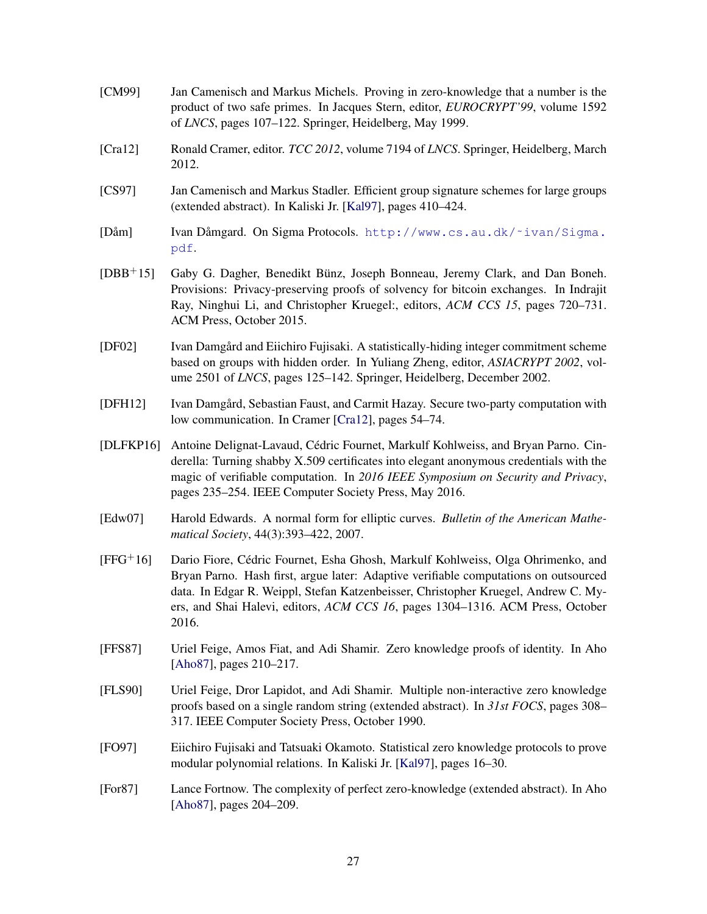- <span id="page-27-9"></span>[CM99] Jan Camenisch and Markus Michels. Proving in zero-knowledge that a number is the product of two safe primes. In Jacques Stern, editor, *EUROCRYPT'99*, volume 1592 of *LNCS*, pages 107–122. Springer, Heidelberg, May 1999.
- <span id="page-27-12"></span>[Cra12] Ronald Cramer, editor. *TCC 2012*, volume 7194 of *LNCS*. Springer, Heidelberg, March 2012.
- <span id="page-27-2"></span>[CS97] Jan Camenisch and Markus Stadler. Efficient group signature schemes for large groups (extended abstract). In Kaliski Jr. [\[Kal97\]](#page-28-11), pages 410–424.
- <span id="page-27-7"></span>[Dåm] Jvan Dåmgard. On Sigma Protocols. http://www.cs.au.dk/~ivan/Sigma. [pdf](http://www.cs.au.dk/~ivan/Sigma.pdf).
- <span id="page-27-4"></span>[DBB<sup>+</sup>15] Gaby G. Dagher, Benedikt Bünz, Joseph Bonneau, Jeremy Clark, and Dan Boneh. Provisions: Privacy-preserving proofs of solvency for bitcoin exchanges. In Indrajit Ray, Ninghui Li, and Christopher Kruegel:, editors, *ACM CCS 15*, pages 720–731. ACM Press, October 2015.
- <span id="page-27-13"></span>[DF02] Ivan Damgård and Eiichiro Fujisaki. A statistically-hiding integer commitment scheme based on groups with hidden order. In Yuliang Zheng, editor, *ASIACRYPT 2002*, volume 2501 of *LNCS*, pages 125–142. Springer, Heidelberg, December 2002.
- <span id="page-27-3"></span>[DFH12] Ivan Damgård, Sebastian Faust, and Carmit Hazay. Secure two-party computation with low communication. In Cramer [\[Cra12\]](#page-27-12), pages 54–74.
- <span id="page-27-5"></span>[DLFKP16] Antoine Delignat-Lavaud, Cédric Fournet, Markulf Kohlweiss, and Bryan Parno. Cinderella: Turning shabby X.509 certificates into elegant anonymous credentials with the magic of verifiable computation. In *2016 IEEE Symposium on Security and Privacy*, pages 235–254. IEEE Computer Society Press, May 2016.
- <span id="page-27-10"></span>[Edw07] Harold Edwards. A normal form for elliptic curves. *Bulletin of the American Mathematical Society*, 44(3):393–422, 2007.
- <span id="page-27-11"></span>[FFG+16] Dario Fiore, Cedric Fournet, Esha Ghosh, Markulf Kohlweiss, Olga Ohrimenko, and ´ Bryan Parno. Hash first, argue later: Adaptive verifiable computations on outsourced data. In Edgar R. Weippl, Stefan Katzenbeisser, Christopher Kruegel, Andrew C. Myers, and Shai Halevi, editors, *ACM CCS 16*, pages 1304–1316. ACM Press, October 2016.
- <span id="page-27-1"></span>[FFS87] Uriel Feige, Amos Fiat, and Adi Shamir. Zero knowledge proofs of identity. In Aho [\[Aho87\]](#page-25-8), pages 210–217.
- <span id="page-27-6"></span>[FLS90] Uriel Feige, Dror Lapidot, and Adi Shamir. Multiple non-interactive zero knowledge proofs based on a single random string (extended abstract). In *31st FOCS*, pages 308– 317. IEEE Computer Society Press, October 1990.
- <span id="page-27-8"></span>[FO97] Eiichiro Fujisaki and Tatsuaki Okamoto. Statistical zero knowledge protocols to prove modular polynomial relations. In Kaliski Jr. [\[Kal97\]](#page-28-11), pages 16–30.
- <span id="page-27-0"></span>[For87] Lance Fortnow. The complexity of perfect zero-knowledge (extended abstract). In Aho [\[Aho87\]](#page-25-8), pages 204–209.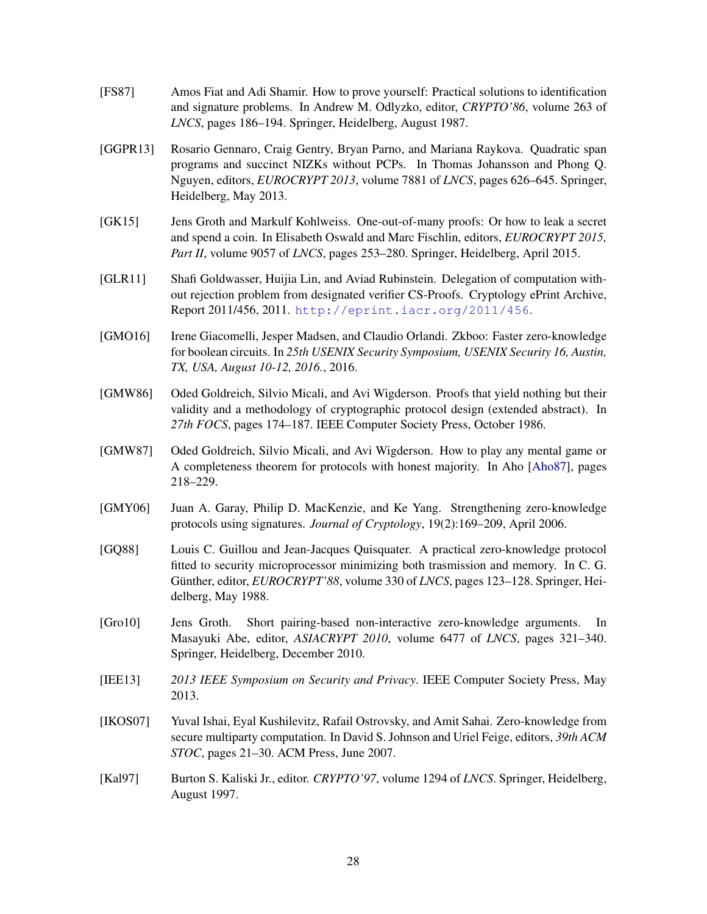- <span id="page-28-7"></span>[FS87] Amos Fiat and Adi Shamir. How to prove yourself: Practical solutions to identification and signature problems. In Andrew M. Odlyzko, editor, *CRYPTO'86*, volume 263 of *LNCS*, pages 186–194. Springer, Heidelberg, August 1987.
- <span id="page-28-9"></span>[GGPR13] Rosario Gennaro, Craig Gentry, Bryan Parno, and Mariana Raykova. Quadratic span programs and succinct NIZKs without PCPs. In Thomas Johansson and Phong Q. Nguyen, editors, *EUROCRYPT 2013*, volume 7881 of *LNCS*, pages 626–645. Springer, Heidelberg, May 2013.
- <span id="page-28-6"></span>[GK15] Jens Groth and Markulf Kohlweiss. One-out-of-many proofs: Or how to leak a secret and spend a coin. In Elisabeth Oswald and Marc Fischlin, editors, *EUROCRYPT 2015, Part II*, volume 9057 of *LNCS*, pages 253–280. Springer, Heidelberg, April 2015.
- <span id="page-28-10"></span>[GLR11] Shafi Goldwasser, Huijia Lin, and Aviad Rubinstein. Delegation of computation without rejection problem from designated verifier CS-Proofs. Cryptology ePrint Archive, Report 2011/456, 2011. <http://eprint.iacr.org/2011/456>.
- <span id="page-28-3"></span>[GMO16] Irene Giacomelli, Jesper Madsen, and Claudio Orlandi. Zkboo: Faster zero-knowledge for boolean circuits. In *25th USENIX Security Symposium, USENIX Security 16, Austin, TX, USA, August 10-12, 2016.*, 2016.
- <span id="page-28-0"></span>[GMW86] Oded Goldreich, Silvio Micali, and Avi Wigderson. Proofs that yield nothing but their validity and a methodology of cryptographic protocol design (extended abstract). In *27th FOCS*, pages 174–187. IEEE Computer Society Press, October 1986.
- <span id="page-28-1"></span>[GMW87] Oded Goldreich, Silvio Micali, and Avi Wigderson. How to play any mental game or A completeness theorem for protocols with honest majority. In Aho [\[Aho87\]](#page-25-8), pages 218–229.
- <span id="page-28-5"></span>[GMY06] Juan A. Garay, Philip D. MacKenzie, and Ke Yang. Strengthening zero-knowledge protocols using signatures. *Journal of Cryptology*, 19(2):169–209, April 2006.
- <span id="page-28-4"></span>[GQ88] Louis C. Guillou and Jean-Jacques Quisquater. A practical zero-knowledge protocol fitted to security microprocessor minimizing both trasmission and memory. In C. G. Günther, editor, *EUROCRYPT'88*, volume 330 of *LNCS*, pages 123–128. Springer, Heidelberg, May 1988.
- <span id="page-28-8"></span>[Gro10] Jens Groth. Short pairing-based non-interactive zero-knowledge arguments. In Masayuki Abe, editor, *ASIACRYPT 2010*, volume 6477 of *LNCS*, pages 321–340. Springer, Heidelberg, December 2010.
- <span id="page-28-12"></span>[IEE13] *2013 IEEE Symposium on Security and Privacy*. IEEE Computer Society Press, May 2013.
- <span id="page-28-2"></span>[IKOS07] Yuval Ishai, Eyal Kushilevitz, Rafail Ostrovsky, and Amit Sahai. Zero-knowledge from secure multiparty computation. In David S. Johnson and Uriel Feige, editors, *39th ACM STOC*, pages 21–30. ACM Press, June 2007.
- <span id="page-28-11"></span>[Kal97] Burton S. Kaliski Jr., editor. *CRYPTO'97*, volume 1294 of *LNCS*. Springer, Heidelberg, August 1997.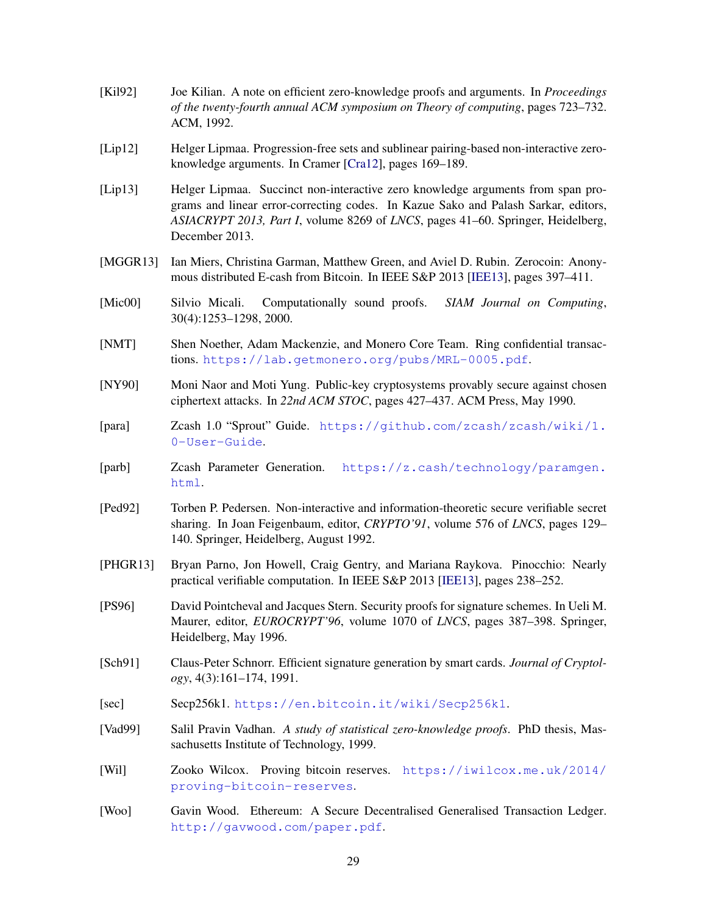- <span id="page-29-8"></span>[Kil92] Joe Kilian. A note on efficient zero-knowledge proofs and arguments. In *Proceedings of the twenty-fourth annual ACM symposium on Theory of computing*, pages 723–732. ACM, 1992.
- <span id="page-29-5"></span>[Lip12] Helger Lipmaa. Progression-free sets and sublinear pairing-based non-interactive zeroknowledge arguments. In Cramer [\[Cra12\]](#page-27-12), pages 169–189.
- <span id="page-29-7"></span>[Lip13] Helger Lipmaa. Succinct non-interactive zero knowledge arguments from span programs and linear error-correcting codes. In Kazue Sako and Palash Sarkar, editors, *ASIACRYPT 2013, Part I*, volume 8269 of *LNCS*, pages 41–60. Springer, Heidelberg, December 2013.
- <span id="page-29-15"></span>[MGGR13] Ian Miers, Christina Garman, Matthew Green, and Aviel D. Rubin. Zerocoin: Anonymous distributed E-cash from Bitcoin. In IEEE S&P 2013 [\[IEE13\]](#page-28-12), pages 397–411.
- <span id="page-29-9"></span>[Mic00] Silvio Micali. Computationally sound proofs. *SIAM Journal on Computing*, 30(4):1253–1298, 2000.
- <span id="page-29-2"></span>[NMT] Shen Noether, Adam Mackenzie, and Monero Core Team. Ring confidential transactions. <https://lab.getmonero.org/pubs/MRL-0005.pdf>.
- <span id="page-29-1"></span>[NY90] Moni Naor and Moti Yung. Public-key cryptosystems provably secure against chosen ciphertext attacks. In *22nd ACM STOC*, pages 427–437. ACM Press, May 1990.
- <span id="page-29-14"></span>[para] Zcash 1.0 "Sprout" Guide. [https://github.com/zcash/zcash/wiki/1.](https://github.com/zcash/zcash/wiki/1.0-User-Guide) [0-User-Guide](https://github.com/zcash/zcash/wiki/1.0-User-Guide).
- <span id="page-29-10"></span>[parb] Zcash Parameter Generation. [https://z.cash/technology/paramgen.](https://z.cash/technology/paramgen.html) [html](https://z.cash/technology/paramgen.html).
- <span id="page-29-16"></span>[Ped92] Torben P. Pedersen. Non-interactive and information-theoretic secure verifiable secret sharing. In Joan Feigenbaum, editor, *CRYPTO'91*, volume 576 of *LNCS*, pages 129– 140. Springer, Heidelberg, August 1992.
- <span id="page-29-6"></span>[PHGR13] Bryan Parno, Jon Howell, Craig Gentry, and Mariana Raykova. Pinocchio: Nearly practical verifiable computation. In IEEE S&P 2013 [\[IEE13\]](#page-28-12), pages 238–252.
- <span id="page-29-4"></span>[PS96] David Pointcheval and Jacques Stern. Security proofs for signature schemes. In Ueli M. Maurer, editor, *EUROCRYPT'96*, volume 1070 of *LNCS*, pages 387–398. Springer, Heidelberg, May 1996.
- <span id="page-29-3"></span>[Sch91] Claus-Peter Schnorr. Efficient signature generation by smart cards. *Journal of Cryptology*, 4(3):161–174, 1991.
- <span id="page-29-12"></span>[sec] Secp256k1. <https://en.bitcoin.it/wiki/Secp256k1>.
- <span id="page-29-0"></span>[Vad99] Salil Pravin Vadhan. *A study of statistical zero-knowledge proofs*. PhD thesis, Massachusetts Institute of Technology, 1999.
- <span id="page-29-11"></span>[Wil] Zooko Wilcox. Proving bitcoin reserves. [https://iwilcox.me.uk/2014/](https://iwilcox.me.uk/2014/proving-bitcoin-reserves) [proving-bitcoin-reserves](https://iwilcox.me.uk/2014/proving-bitcoin-reserves).
- <span id="page-29-13"></span>[Woo] Gavin Wood. Ethereum: A Secure Decentralised Generalised Transaction Ledger. <http://gavwood.com/paper.pdf>.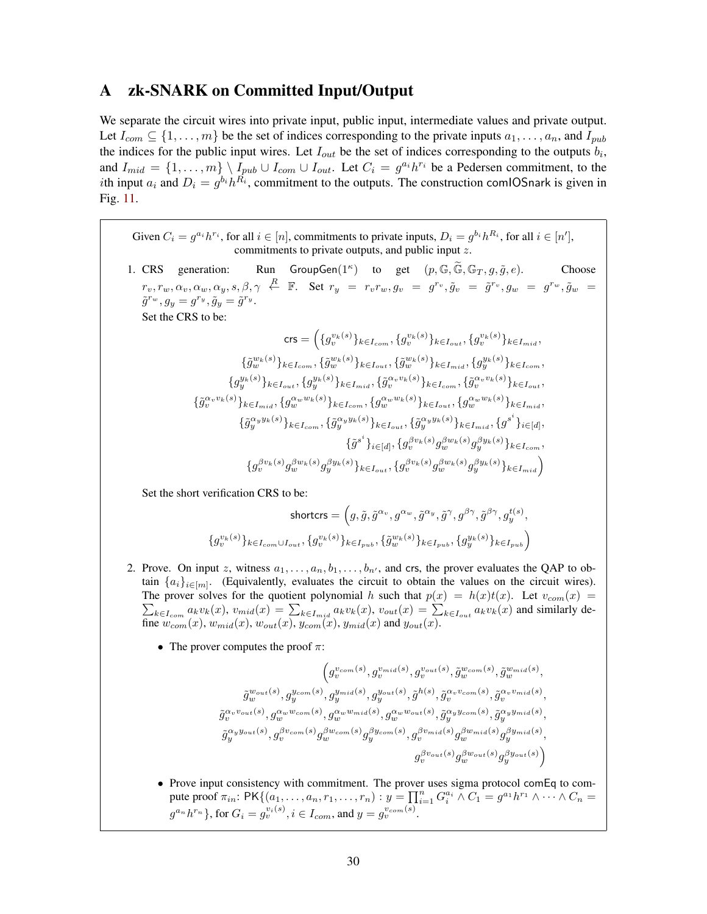# <span id="page-30-0"></span>A zk-SNARK on Committed Input/Output

We separate the circuit wires into private input, public input, intermediate values and private output. Let  $I_{com} \subseteq \{1, \ldots, m\}$  be the set of indices corresponding to the private inputs  $a_1, \ldots, a_n$ , and  $I_{pub}$ the indices for the public input wires. Let  $I_{out}$  be the set of indices corresponding to the outputs  $b_i$ , and  $I_{mid} = \{1, \ldots, m\} \setminus I_{pub} \cup I_{com} \cup I_{out}$ . Let  $C_i = g^{a_i} h^{r_i}$  be a Pedersen commitment, to the *i*th input  $a_i$  and  $D_i = g^{b_i} h^{R_i}$ , commitment to the outputs. The construction comIOSnark is given in Fig. [11.](#page-31-0)

Given  $C_i = g^{a_i} h^{r_i}$ , for all  $i \in [n]$ , commitments to private inputs,  $D_i = g^{b_i} h^{R_i}$ , for all  $i \in [n']$ , commitments to private outputs, and public input z.

1. CRS generation: Run GroupGen(1<sup> $\kappa$ </sup>) to get  $(p, \mathbb{G}, \widetilde{\mathbb{G}}, \mathbb{G}_T, g, \widetilde{g}, e)$ . Choose  $r_v, r_w, \alpha_v, \alpha_w, \alpha_y, s, \beta, \gamma \ \stackrel{R}{\leftarrow} \ \mathbb{F}. \quad \text{Set} \ \ r_y \ = \ r_v r_w, g_v \ = \ g^{r_v}, \tilde{g}_v \ = \ \tilde{g}^{r_v}, g_w \ = \ g^{r_w}, \tilde{g}_w \ = \ \tilde{g}^{r_w}$  $\tilde{g}^{r_w}, g_y = g^{r_y}, \tilde{g}_y = \tilde{g}^{r_y}.$ Set the CRS to be:

$$
\begin{split} \text{crs} = \Big( & \{ g^{v_k(s)}_v \}_{k \in I_{com}}, \{ g^{v_k(s)}_v \}_{k \in I_{out}}, \{ g^{v_k(s)}_v \}_{k \in I_{mid}}, \\ & \{ \tilde{g}^{w_k(s)}_w \}_{k \in I_{com}}, \{ \tilde{g}^{w_k(s)}_w \}_{k \in I_{out}}, \{ \tilde{g}^{w_k(s)}_w \}_{k \in I_{com}}, \{ g^{y_k(s)}_y \}_{k \in I_{com}}, \\ & \{ g^{y_k(s)}_y \}_{k \in I_{out}}, \{ g^{y_k(s)}_y \}_{k \in I_{mid}}, \{ \tilde{g}^{\alpha_v v_k(s)}_v \}_{k \in I_{com}}, \{ \tilde{g}^{\alpha_v v_k(s)}_v \}_{k \in I_{out}}, \\ & \{ \tilde{g}^{\alpha_v v_k(s)}_y \}_{k \in I_{com}}, \{ \tilde{g}^{\alpha_y y_k(s)}_y \}_{k \in I_{cont}}, \{ \tilde{g}^{\alpha_y y_k(s)}_y \}_{k \in I_{mid}}, \{ g^{s^i} \}_{k \in I_{mid}}, \\ & \{ \tilde{g}^{\alpha_y y_k(s)}_y \}_{k \in I_{com}}, \{ \tilde{g}^{\alpha_y y_k(s)}_y \}_{k \in I_{out}}, \{ \tilde{g}^{\beta_y y_k(s)}_y \}_{k \in I_{mid}}, \{ g^{s^i} \}_{i \in [d]}, \\ & \{ \tilde{g}^{s^i} \}_{i \in [d]}, \{ g^{\beta v_k(s)}_y g^{\beta y_k(s)}_y \}_{k \in I_{com}}, \\ & \{ g^{\beta v_k(s)}_v g^{\beta y_k(s)}_y \}_{k \in I_{out}}, \{ g^{\beta v_k(s)}_v g^{\beta y_k(s)}_y \}_{k \in I_{mid}} \Big). \end{split}
$$

Set the short verification CRS to be:

$$
\text{shorters} = \left(g,\tilde{g},\tilde{g}^{\alpha_v},g^{\alpha_w},\tilde{g}^{\alpha_y},\tilde{g}^{\gamma},g^{\beta\gamma},g^{\beta\gamma},g_t^{t(s)},\right.\\\left.\left\{g_v^{v_k(s)}\right\}_{k\in I_{com}\cup I_{out}},\{g_v^{v_k(s)}\}_{k\in I_{pub}},\{\tilde{g}_w^{w_k(s)}\}_{k\in I_{pub}}\right)
$$

- 2. Prove. On input z, witness  $a_1, \ldots, a_n, b_1, \ldots, b_{n'}$ , and crs, the prover evaluates the QAP to obtain  $\{a_i\}_{i\in[m]}$ . (Equivalently, evaluates the circuit to obtain the values on the circuit wires).  $\sum_{k \in I_{com}} a_k v_k(x)$ ,  $v_{mid}(x) = \sum_{k \in I_{mid}} a_k v_k(x)$ ,  $v_{out}(x) = \sum_{k \in I_{out}} a_k v_k(x)$  and similarly de-The prover solves for the quotient polynomial h such that  $p(x) = h(x)t(x)$ . Let  $v_{com}(x) =$ fine  $w_{com}(x)$ ,  $w_{mid}(x)$ ,  $w_{out}(x)$ ,  $y_{com}(x)$ ,  $y_{mid}(x)$  and  $y_{out}(x)$ .
	- The prover computes the proof  $\pi$ :

$$
\begin{array}{c}\left(g_v^{v_{com}(s)},g_v^{v_{mid}(s)},g_v^{v_{out}(s)},\tilde{g}_w^{w_{com}(s)},\tilde{g}_w^{w_{mid}(s)},\\ \tilde{g}_w^{w_{out}(s)},g_y^{y_{com}(s)},g_y^{y_{mid}(s)},g_y^{y_{out}(s)},\tilde{g}_v^{h(s)},\tilde{g}_v^{a_vv_{com}(s)},\tilde{g}_v^{\alpha_vv_{mid}(s)},\\ \tilde{g}_v^{\alpha_vv_{out}(s)},g_w^{\alpha_ww_{com}(s)},g_w^{\alpha_ww_{mid}(s)},g_w^{\alpha_ww_{out}(s)},\tilde{g}_y^{\alpha_yy_{com}(s)},\tilde{g}_y^{\alpha_yy_{mid}(s)},\\ \tilde{g}_y^{\alpha_yy_{out}(s)},g_v^{\beta v_{com}(s)}g_w^{\beta w_{com}(s)}g_y^{\beta y_{com}(s)},g_v^{\beta v_{mid}(s)}g_w^{\beta y_{mid}(s)},\\ g_v^{\beta v_{out}(s)}g_w^{\beta y_{out}(s)}g_y^{\beta y_{out}(s)}g_y^{\beta y_{out}(s)}\end{array}
$$

• Prove input consistency with commitment. The prover uses sigma protocol comEq to compute proof  $\pi_{in}$ : PK $\{(a_1, ..., a_n, r_1, ..., r_n) : y = \prod_{i=1}^n G_i^{a_i} \wedge C_1 = g^{a_1} h^{r_1} \wedge \cdots \wedge C_n =$  $g^{a_n}h^{r_n}$ }, for  $G_i=g_v^{v_i(s)}, i\in I_{com},$  and  $y=g_v^{v_{com}(s)}.$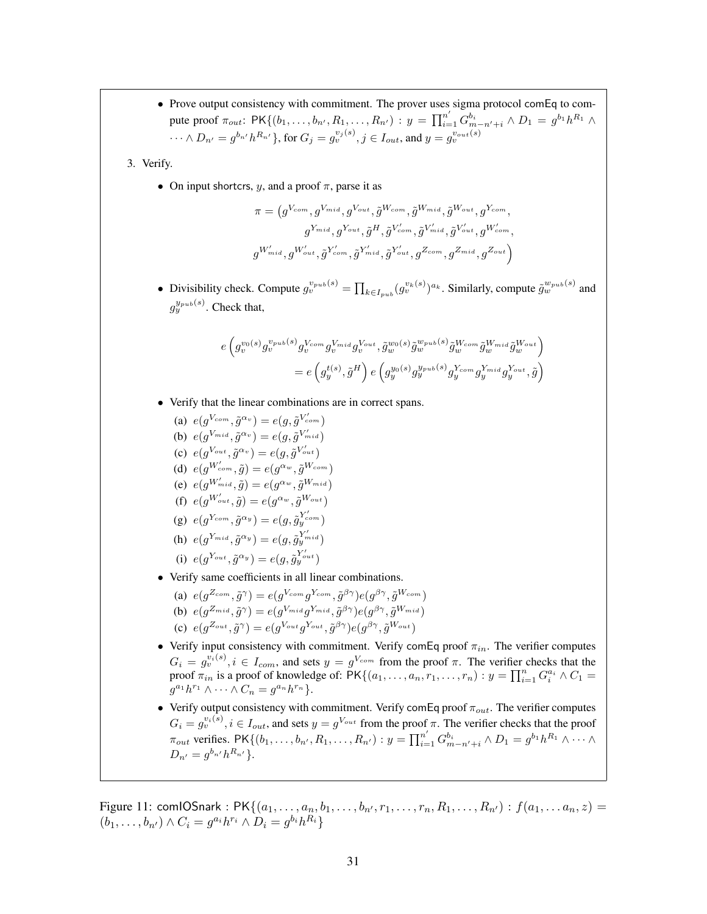• Prove output consistency with commitment. The prover uses sigma protocol comEq to compute proof  $\pi_{out}$ : PK $\{(b_1, \ldots, b_{n'}, R_1, \ldots, R_{n'}) : y = \prod_{i=1}^{n'} G_{m-n'+i}^{b_i} \wedge D_1 = g^{b_1} h^{R_1} \wedge D_1$  $\cdots \wedge D_{n'}=g^{b_{n'}}h^{R_{n'}}\},$  for  $G_j=g_v^{v_j(s)},$   $j\in I_{out},$  and  $y=g_v^{v_{out}(s)}$ 

3. Verify.

• On input shortcrs, y, and a proof  $\pi$ , parse it as

$$
\pi = \left( g^{V_{com}}, g^{V_{mid}}, g^{V_{out}}, \tilde{g}^{W_{com}}, \tilde{g}^{W_{mid}}, \tilde{g}^{W_{out}}, g^{Y_{com}}, \right.\\ \\ \left. g^{Y_{mid}}, g^{V_{out}}, \tilde{g}^{H}, \tilde{g}^{V'_{com}}, \tilde{g}^{V'_{mid}}, \tilde{g}^{V'_{out}}, g^{W'_{com}}, \right.\\ \\ \left. g^{W'_{mid}}, g^{W'_{out}}, \tilde{g}^{Y'_{com}}, \tilde{g}^{Y'_{mid}}, \tilde{g}^{Z_{out}}, g^{Z_{con}}, g^{Z_{mid}}, g^{Z_{out}} \right)
$$

• Divisibility check. Compute  $g_v^{v_{pub}(s)} = \prod_{k \in I_{pub}} (g_v^{v_k(s)})^{a_k}$ . Similarly, compute  $\tilde{g}_w^{w_{pub}(s)}$  and  $g_y^{y_{pub}(s)}$ . Check that,

$$
\begin{aligned} e\left(g_v^{v_0(s)}g_v^{v_{pub}(s)}g_v^{V_{conf}}g_v^{V_{mid}}g_v^{V_{out}}, \tilde{g}_w^{w_0(s)}\tilde{g}_w^{w_{pub}(s)}\tilde{g}_w^{W_{conf}}\tilde{g}_w^{W_{mid}}\tilde{g}_w^{W_{out}}\right) \\ = e\left(g_y^{t(s)}, \tilde{g}^H\right)e\left(g_y^{y_0(s)}g_y^{y_{pub}(s)}g_y^{Y_{com}}g_y^{Y_{mid}}g_y^{Y_{out}}, \tilde{g}\right) \end{aligned}
$$

- Verify that the linear combinations are in correct spans.
	- (a)  $e(g^{V_{com}}, \tilde{g}^{\alpha_v}) = e(g, \tilde{g}^{V'_{com}})$ (b)  $e(g^{V_{mid}}, \tilde{g}^{\alpha_v}) = e(g, \tilde{g}^{V'_{mid}})$ (c)  $e(g^{V_{out}}, \tilde{g}^{\alpha_v}) = e(g, \tilde{g}^{V'_{out}})$ (d)  $e(g^{W'_{com}}, \tilde{g}) = e(g^{\alpha_w}, \tilde{g}^{W_{com}})$ (e)  $e(g^{W'_{mid}}, \tilde{g}) = e(g^{\alpha_w}, \tilde{g}^{W_{mid}})$
	- (f)  $e(g^{W'_{out}}, \tilde{g}) = e(g^{\alpha_w}, \tilde{g}^{W_{out}})$
	- (g)  $e(g^{Y_{com}}, \tilde{g}^{\alpha_y}) = e(g, \tilde{g}_y^{Y'_{com}})$
	- (h)  $e(g^{Y_{mid}}, \tilde{g}^{\alpha_y}) = e(g, \tilde{g}_y^{Y'_{mid}})$
	- (i)  $e(g^{Y_{out}}, \tilde{g}^{\alpha_y}) = e(g, \tilde{g}_y^{Y'_{out}})$
- Verify same coefficients in all linear combinations.
	- (a)  $e(g^{Z_{com}}, \tilde{g}^{\gamma}) = e(g^{V_{com}}g^{Y_{com}}, \tilde{g}^{\beta\gamma})e(g^{\beta\gamma}, \tilde{g}^{W_{com}})$ (b)  $e(g^{Z_{mid}}, \tilde{g}^{\gamma}) = e(g^{V_{mid}}g^{Y_{mid}}, \tilde{g}^{\beta\gamma})e(g^{\beta\gamma}, \tilde{g}^{W_{mid}})$ (c)  $e(g^{Z_{out}}, \tilde{g}^{\gamma}) = e(g^{V_{out}}g^{Y_{out}}, \tilde{g}^{\beta\gamma})e(g^{\beta\gamma}, \tilde{g}^{W_{out}})$
- Verify input consistency with commitment. Verify comEq proof  $\pi_{in}$ . The verifier computes  $G_i = g_v^{v_i(s)}$ ,  $i \in I_{com}$ , and sets  $y = g^{V_{com}}$  from the proof  $\pi$ . The verifier checks that the proof  $\pi_{in}$  is a proof of knowledge of:  $PK\{(a_1, \ldots, a_n, r_1, \ldots, r_n) : y = \prod_{i=1}^n G_i^{a_i} \wedge C_1 =$  $g^{a_1} h^{r_1} \wedge \cdots \wedge C_n = g^{a_n} h^{r_n}$ .
- Verify output consistency with commitment. Verify comEq proof  $\pi_{out}$ . The verifier computes  $G_i = g_v^{v_i(s)}$ ,  $i \in I_{out}$ , and sets  $y = g_{v}^{V_{out}}$  from the proof  $\pi$ . The verifier checks that the proof  $\pi_{out}$  verifies. PK $\{ (b_1, \ldots, b_{n'}, R_1, \ldots, R_{n'}) : y = \prod_{i=1}^{n'} G_{m-n'+i}^{b_i} \wedge D_1 = g^{b_1} h^{R_1} \wedge \cdots \wedge D_n$  $D_{n'} = g^{b_{n'}} h^{R_{n'}}$  }.

<span id="page-31-0"></span>Figure 11: comIOSnark :  $PK{ (a_1, ..., a_n, b_1, ..., b_{n'}, r_1, ..., r_n, R_1, ..., R_{n'}) : f(a_1, ..., a_n, z) =$  $(b_1, ..., b_{n'}) \wedge C_i = g^{a_i} h^{r_i} \wedge D_i = g^{b_i} h^{R_i}$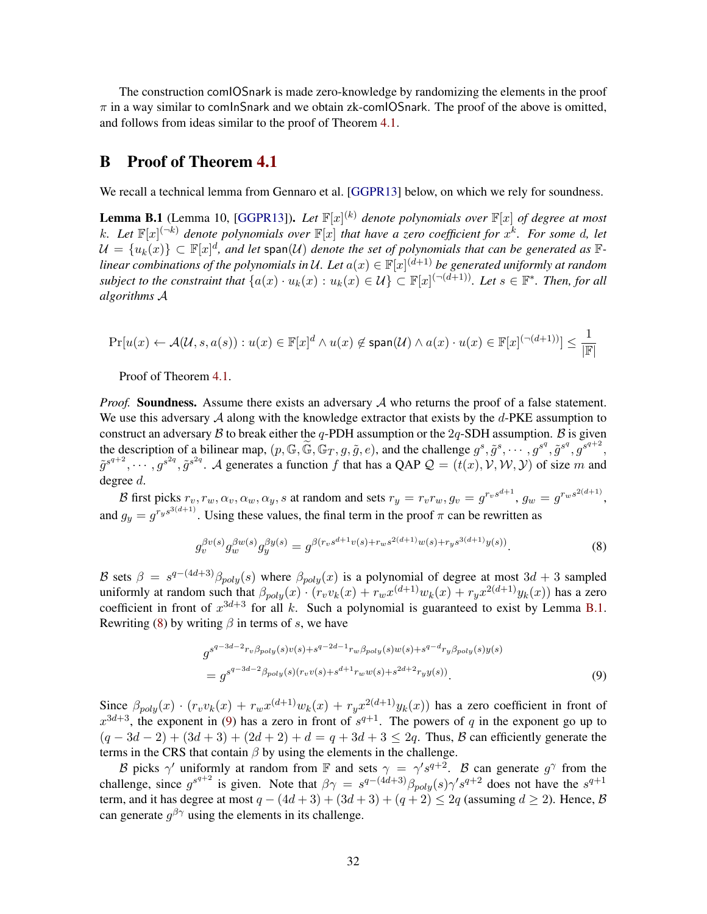The construction comIOSnark is made zero-knowledge by randomizing the elements in the proof  $\pi$  in a way similar to comInSnark and we obtain zk-comIOSnark. The proof of the above is omitted, and follows from ideas similar to the proof of Theorem [4.1.](#page-18-1)

### <span id="page-32-0"></span>B Proof of Theorem [4.1](#page-18-1)

We recall a technical lemma from Gennaro et al. [\[GGPR13\]](#page-28-9) below, on which we rely for soundness.

<span id="page-32-1"></span>**Lemma B.1** (Lemma 10, [\[GGPR13\]](#page-28-9)). Let  $\mathbb{F}[x]^{(k)}$  denote polynomials over  $\mathbb{F}[x]$  of degree at most k. Let  $\mathbb{F}[x]^{(-k)}$  denote polynomials over  $\mathbb{F}[x]$  that have a zero coefficient for  $x^k$ . For some d, let  $\mathcal{U} = \{u_k(x)\} \subset \mathbb{F}[x]^d$ , and let span(U) denote the set of polynomials that can be generated as  $\mathbb{F}$ linear combinations of the polynomials in U. Let  $a(x) \in \mathbb{F}[x]^{(d+1)}$  be generated uniformly at random  $subject\ to\ the\ constraint\ that\ \{a(x)\cdot u_k(x):u_k(x)\in\mathcal{U}\}\subset \mathbb{F}[x]^{(\neg(d+1))}.$  Let  $s\in\mathbb{F}^*$ . Then, for all *algorithms* A

$$
\Pr[u(x) \leftarrow \mathcal{A}(\mathcal{U}, s, a(s)): u(x) \in \mathbb{F}[x]^d \wedge u(x) \not \in \text{span}(\mathcal{U}) \wedge a(x) \cdot u(x) \in \mathbb{F}[x]^{(\neg(d+1))}] \leq \frac{1}{|\mathbb{F}|}
$$

Proof of Theorem [4.1.](#page-18-1)

*Proof.* **Soundness.** Assume there exists an adversary A who returns the proof of a false statement. We use this adversary  $A$  along with the knowledge extractor that exists by the  $d$ -PKE assumption to construct an adversary B to break either the q-PDH assumption or the 2q-SDH assumption. B is given the description of a bilinear map,  $(p, \mathbb{G}, \mathbb{G}_T, g, \tilde{g}, e)$ , and the challenge  $g^s, \tilde{g}^s, \dots, g^{s^q}, \tilde{g}^{s^q}, g^{s^{q+2}}$ ,  $\tilde{g}^{s^{q+2}}, \cdots, g^{s^{2q}}, \tilde{g}^{s^{2q}}$ . A generates a function f that has a QAP  $\mathcal{Q} = (t(x), V, W, V)$  of size m and degree d.

B first picks  $r_v, r_w, \alpha_v, \alpha_w, \alpha_y, s$  at random and sets  $r_y = r_v r_w, g_v = g^{r_v s^{d+1}}, g_w = g^{r_w s^{2(d+1)}},$ and  $g_y = g^{r_y s^{3(d+1)}}$ . Using these values, the final term in the proof  $\pi$  can be rewritten as

<span id="page-32-2"></span>
$$
g_v^{\beta v(s)} g_w^{\beta w(s)} g_y^{\beta y(s)} = g^{\beta(r_v s^{d+1} v(s) + r_w s^{2(d+1)} w(s) + r_y s^{3(d+1)} y(s))}.
$$
\n(8)

B sets  $\beta = s^{q-(4d+3)}\beta_{poly}(s)$  where  $\beta_{poly}(x)$  is a polynomial of degree at most  $3d+3$  sampled uniformly at random such that  $\beta_{poly}(x) \cdot (r_v v_k(x) + r_w x^{(d+1)} w_k(x) + r_y x^{2(d+1)} y_k(x))$  has a zero coefficient in front of  $x^{3d+3}$  for all k. Such a polynomial is guaranteed to exist by Lemma [B.1.](#page-32-1) Rewriting [\(8\)](#page-32-2) by writing  $\beta$  in terms of s, we have

<span id="page-32-3"></span>
$$
g^{s^{q-3d-2}r_v\beta_{poly}(s)v(s)+s^{q-2d-1}r_w\beta_{poly}(s)w(s)+s^{q-d}r_y\beta_{poly}(s)y(s)} = g^{s^{q-3d-2}\beta_{poly}(s)(r_vv(s)+s^{d+1}r_ww(s)+s^{2d+2}r_yy(s))}.
$$
\n(9)

Since  $\beta_{poly}(x) \cdot (r_v v_k(x) + r_w x^{(d+1)} w_k(x) + r_y x^{2(d+1)} y_k(x))$  has a zero coefficient in front of  $x^{3d+3}$ , the exponent in [\(9\)](#page-32-3) has a zero in front of  $s^{q+1}$ . The powers of q in the exponent go up to  $(q - 3d - 2) + (3d + 3) + (2d + 2) + d = q + 3d + 3 \leq 2q$ . Thus, B can efficiently generate the terms in the CRS that contain  $\beta$  by using the elements in the challenge.

B picks  $\gamma'$  uniformly at random from F and sets  $\gamma = \gamma' s^{q+2}$ . B can generate  $g^{\gamma}$  from the challenge, since  $g^{s^{q+2}}$  is given. Note that  $\beta\gamma = s^{q-(4d+3)}\beta_{poly}(s)\gamma' s^{q+2}$  does not have the  $s^{q+1}$ term, and it has degree at most  $q - (4d + 3) + (3d + 3) + (q + 2) \le 2q$  (assuming  $d \ge 2$ ). Hence, B can generate  $g^{\beta\gamma}$  using the elements in its challenge.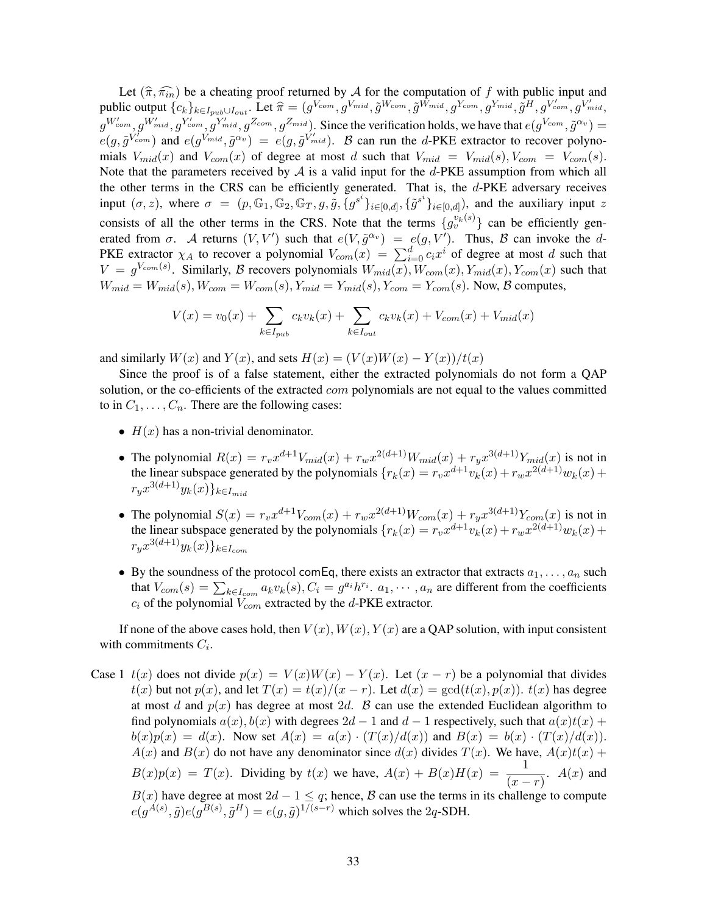Let  $(\hat{\pi}, \hat{\pi_{in}})$  be a cheating proof returned by A for the computation of f with public input and public output  ${c_k}_{k \in I_{pub}\cup I_{out}}$ . Let  $\hat{\pi} = (g^{V_{com}}, g^{V_{mid}}, \tilde{g}^{W_{com}}, \tilde{g}^{V_{mid}}, g^{V_{cond}}, \tilde{g}^{H}, g^{V'_{com}}, g^{V'_{mid}}, g^{V'_{mid}})$  $g^{W'_{com}}$ ,  $g^{W'_{mid}}$ ,  $g^{Y'_{com}}$ ,  $g^{Z_{com}}$ ,  $g^{Z_{mid}}$ ). Since the verification holds, we have that  $e(g^{V_{com}}, \tilde{g}^{\alpha_v})$  =  $e(g, \tilde{g}^{V'_{com}})$  and  $e(g^{V_{mid}}, \tilde{g}^{\alpha_v}) = e(g, \tilde{g}^{V'_{mid}})$ . B can run the d-PKE extractor to recover polynomials  $V_{mid}(x)$  and  $V_{com}(x)$  of degree at most d such that  $V_{mid} = V_{mid}(s)$ ,  $V_{com} = V_{com}(s)$ . Note that the parameters received by  $A$  is a valid input for the d-PKE assumption from which all the other terms in the CRS can be efficiently generated. That is, the  $d$ -PKE adversary receives input  $(\sigma, z)$ , where  $\sigma = (p, \mathbb{G}_1, \mathbb{G}_2, \mathbb{G}_T, g, \tilde{g}, \{g^{s^i}\}_{i \in [0,d]}, \{\tilde{g}^{s^i}\}_{i \in [0,d]})$ , and the auxiliary input z consists of all the other terms in the CRS. Note that the terms  $\{g_v^{v_k(s)}\}$  can be efficiently generated from  $\sigma$ . A returns  $(V, V')$  such that  $e(V, \tilde{g}^{\alpha_v}) = e(g, V')$ . Thus, B can invoke the d-PKE extractor  $\chi_A$  to recover a polynomial  $V_{com}(x) = \sum_{i=0}^d c_i x^i$  of degree at most d such that  $V = g^{V_{com}(s)}$ . Similarly, B recovers polynomials  $W_{mid}(x)$ ,  $W_{com}(x)$ ,  $Y_{mid}(x)$ ,  $Y_{com}(x)$  such that  $W_{mid} = W_{mid}(s)$ ,  $W_{com} = W_{com}(s)$ ,  $Y_{mid} = Y_{mid}(s)$ ,  $Y_{com} = Y_{com}(s)$ . Now,  $\beta$  computes,

$$
V(x) = v_0(x) + \sum_{k \in I_{pub}} c_k v_k(x) + \sum_{k \in I_{out}} c_k v_k(x) + V_{com}(x) + V_{mid}(x)
$$

and similarly  $W(x)$  and  $Y(x)$ , and sets  $H(x) = (V(x)W(x) - Y(x))/t(x)$ 

Since the proof is of a false statement, either the extracted polynomials do not form a QAP solution, or the co-efficients of the extracted *com* polynomials are not equal to the values committed to in  $C_1, \ldots, C_n$ . There are the following cases:

- $H(x)$  has a non-trivial denominator.
- The polynomial  $R(x) = r_v x^{d+1} V_{mid}(x) + r_w x^{2(d+1)} W_{mid}(x) + r_y x^{3(d+1)} Y_{mid}(x)$  is not in the linear subspace generated by the polynomials  ${r_k(x) = r_v x^{d+1} v_k(x) + r_w x^{2(d+1)} w_k(x)} +$  $r_y x^{3(d+1)} y_k(x) \}_{k \in I_{mid}}$
- The polynomial  $S(x) = r_v x^{d+1} V_{com}(x) + r_w x^{2(d+1)} W_{com}(x) + r_y x^{3(d+1)} Y_{com}(x)$  is not in the linear subspace generated by the polynomials  ${r_k(x) = r_v x^{d+1} v_k(x) + r_w x^{2(d+1)} w_k(x)} +$  $r_y x^{3(d+1)} y_k(x) \}_{k \in I_{com}}$
- By the soundness of the protocol comEq, there exists an extractor that extracts  $a_1, \ldots, a_n$  such that  $V_{com}(s) = \sum_{k \in I_{com}} a_k v_k(s)$ ,  $C_i = g^{a_i} h^{r_i}$ .  $a_1, \dots, a_n$  are different from the coefficients  $c_i$  of the polynomial  $V_{com}$  extracted by the d-PKE extractor.

If none of the above cases hold, then  $V(x)$ ,  $W(x)$ ,  $Y(x)$  are a QAP solution, with input consistent with commitments  $C_i$ .

Case 1  $t(x)$  does not divide  $p(x) = V(x)W(x) - Y(x)$ . Let  $(x - r)$  be a polynomial that divides  $t(x)$  but not  $p(x)$ , and let  $T(x) = t(x)/(x - r)$ . Let  $d(x) = \gcd(t(x), p(x))$ .  $t(x)$  has degree at most d and  $p(x)$  has degree at most 2d. B can use the extended Euclidean algorithm to find polynomials  $a(x)$ ,  $b(x)$  with degrees  $2d - 1$  and  $d - 1$  respectively, such that  $a(x)t(x)$  +  $b(x)p(x) = d(x)$ . Now set  $A(x) = a(x) \cdot (T(x)/d(x))$  and  $B(x) = b(x) \cdot (T(x)/d(x))$ .  $A(x)$  and  $B(x)$  do not have any denominator since  $d(x)$  divides  $T(x)$ . We have,  $A(x)t(x)$  +  $B(x)p(x) = T(x)$ . Dividing by  $t(x)$  we have,  $A(x) + B(x)H(x) = \frac{1}{(x-r)}$ .  $A(x)$  and  $B(x)$  have degree at most  $2d - 1 \leq q$ ; hence, B can use the terms in its challenge to compute

 $e(g^{A(s)}, \tilde{g})e(g^{B(s)}, \tilde{g}^H) = e(g, \tilde{g})^{1/(s-r)}$  which solves the 2q-SDH.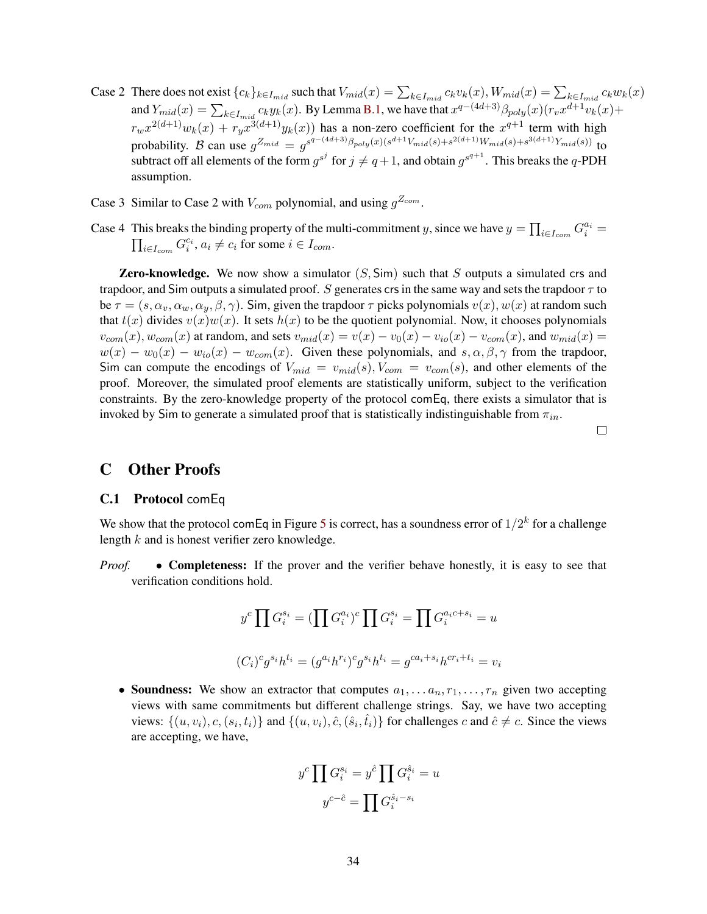- Case 2 There does not exist  $\{c_k\}_{k\in I_{mid}}$  such that  $V_{mid}(x) = \sum_{k\in I_{mid}} c_k v_k(x)$ ,  $W_{mid}(x) = \sum_{k\in I_{mid}} c_k w_k(x)$ and  $Y_{mid}(x) = \sum_{k \in I_{mid}} c_k y_k(x)$ . By Lemma [B.1,](#page-32-1) we have that  $x^{q-(4d+3)}\beta_{poly}(x)(r_v x^{d+1} v_k(x) +$  $r_w x^{2(d+1)} w_k(x) + r_y x^{3(d+1)} y_k(x)$  has a non-zero coefficient for the  $x^{q+1}$  term with high probability. B can use  $g^{Z_{mid}} = g^{s^{q-(4d+3)}\beta_{poly}(x)(s^{d+1}V_{mid}(s)+s^{2(d+1)}W_{mid}(s)+s^{3(d+1)}Y_{mid}(s))}$  to subtract off all elements of the form  $g^{s^j}$  for  $j \neq q+1$ , and obtain  $g^{s^{q+1}}$ . This breaks the q-PDH assumption.
- Case 3 Similar to Case 2 with  $V_{com}$  polynomial, and using  $g^{Z_{com}}$ .
- Case 4 This breaks the binding property of the multi-commitment y, since we have  $y = \prod_{i \in I_{com}} G_i^{a_i} = \prod_{i \in I_{com}} G_i^{c_i}$ ,  $a_i \neq c_i$  for some  $i \in I_{com}$ .  $\sum_{i \in I_{com}} G_i^{c_i}, a_i \neq c_i$  for some  $i \in I_{com}$ .

**Zero-knowledge.** We now show a simulator  $(S, Sim)$  such that S outputs a simulated crs and trapdoor, and Sim outputs a simulated proof. S generates crs in the same way and sets the trapdoor  $\tau$  to be  $\tau = (s, \alpha_v, \alpha_w, \alpha_v, \beta, \gamma)$ . Sim, given the trapdoor  $\tau$  picks polynomials  $v(x), w(x)$  at random such that  $t(x)$  divides  $v(x)w(x)$ . It sets  $h(x)$  to be the quotient polynomial. Now, it chooses polynomials  $v_{com}(x), w_{com}(x)$  at random, and sets  $v_{mid}(x) = v(x) - v_0(x) - v_{io}(x) - v_{com}(x)$ , and  $w_{mid}(x) = v_0(x) - v_0(x) - v_0(x)$  $w(x) - w_0(x) - w_{io}(x) - w_{com}(x)$ . Given these polynomials, and  $s, \alpha, \beta, \gamma$  from the trapdoor, Sim can compute the encodings of  $V_{mid} = v_{mid}(s)$ ,  $V_{com} = v_{com}(s)$ , and other elements of the proof. Moreover, the simulated proof elements are statistically uniform, subject to the verification constraints. By the zero-knowledge property of the protocol comEq, there exists a simulator that is invoked by Sim to generate a simulated proof that is statistically indistinguishable from  $\pi_{in}$ .

 $\Box$ 

### C Other Proofs

#### <span id="page-34-0"></span>C.1 Protocol comEq

We show that the protocol comEq in Figure [5](#page-16-0) is correct, has a soundness error of  $1/2^k$  for a challenge length k and is honest verifier zero knowledge.

*Proof.* • **Completeness:** If the prover and the verifier behave honestly, it is easy to see that verification conditions hold.

$$
y^c \prod G_i^{s_i} = (\prod G_i^{a_i})^c \prod G_i^{s_i} = \prod G_i^{a_i c + s_i} = u
$$
  

$$
(C_i)^c g^{s_i} h^{t_i} = (g^{a_i} h^{r_i})^c g^{s_i} h^{t_i} = g^{ca_i + s_i} h^{cr_i + t_i} = v_i
$$

• Soundness: We show an extractor that computes  $a_1, \ldots, a_n, r_1, \ldots, r_n$  given two accepting views with same commitments but different challenge strings. Say, we have two accepting views:  $\{(u, v_i), c, (s_i, t_i)\}\$  and  $\{(u, v_i), \hat{c}, (\hat{s}_i, \hat{t}_i)\}\$ for challenges c and  $\hat{c} \neq c$ . Since the views are accepting, we have,

$$
y^{c} \prod G_i^{s_i} = y^{\hat{c}} \prod G_i^{\hat{s}_i} = u
$$

$$
y^{c-\hat{c}} = \prod G_i^{\hat{s}_i - s_i}
$$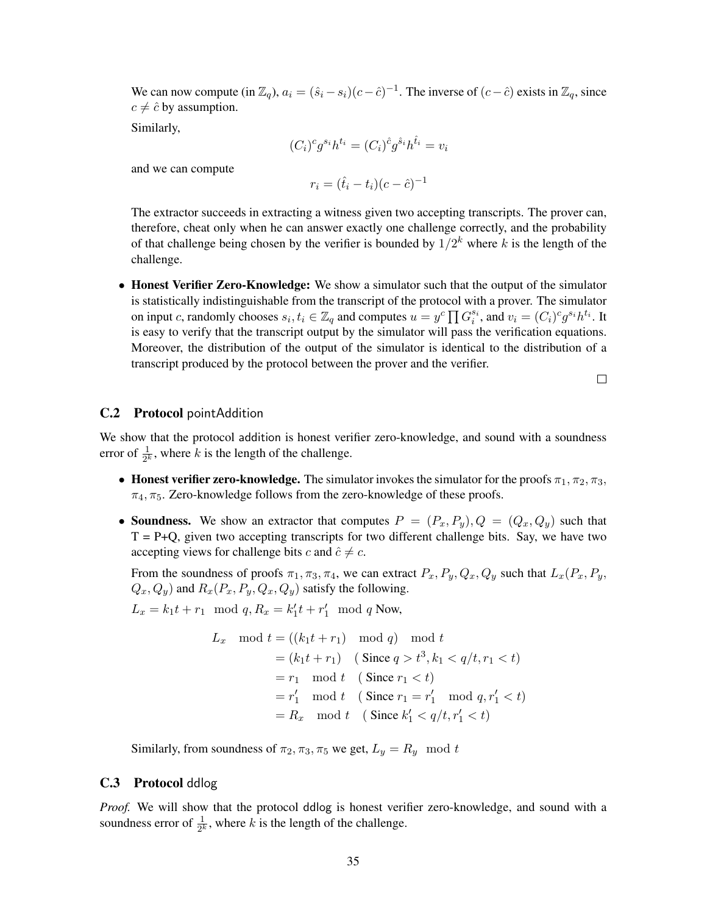We can now compute (in  $\mathbb{Z}_q$ ),  $a_i = (\hat{s}_i - s_i)(c - \hat{c})^{-1}$ . The inverse of  $(c - \hat{c})$  exists in  $\mathbb{Z}_q$ , since  $c \neq \hat{c}$  by assumption.

Similarly,

$$
(C_i)^c g^{s_i} h^{t_i} = (C_i)^{\hat{c}} g^{\hat{s}_i} h^{\hat{t}_i} = v_i
$$

and we can compute

 $r_i = (\hat{t}_i - t_i)(c - \hat{c})^{-1}$ 

The extractor succeeds in extracting a witness given two accepting transcripts. The prover can, therefore, cheat only when he can answer exactly one challenge correctly, and the probability of that challenge being chosen by the verifier is bounded by  $1/2^k$  where k is the length of the challenge.

• Honest Verifier Zero-Knowledge: We show a simulator such that the output of the simulator is statistically indistinguishable from the transcript of the protocol with a prover. The simulator on input c, randomly chooses  $s_i, t_i \in \mathbb{Z}_q$  and computes  $u = y^c \prod G_i^{s_i}$ , and  $v_i = (C_i)^c g^{s_i} h^{t_i}$ . It is easy to verify that the transcript output by the simulator will pass the verification equations. Moreover, the distribution of the output of the simulator is identical to the distribution of a transcript produced by the protocol between the prover and the verifier.

 $\Box$ 

#### <span id="page-35-0"></span>C.2 Protocol pointAddition

We show that the protocol addition is honest verifier zero-knowledge, and sound with a soundness error of  $\frac{1}{2^k}$ , where k is the length of the challenge.

- Honest verifier zero-knowledge. The simulator invokes the simulator for the proofs  $\pi_1, \pi_2, \pi_3$ ,  $\pi_4$ ,  $\pi_5$ . Zero-knowledge follows from the zero-knowledge of these proofs.
- Soundness. We show an extractor that computes  $P = (P_x, P_y), Q = (Q_x, Q_y)$  such that  $T = P + Q$ , given two accepting transcripts for two different challenge bits. Say, we have two accepting views for challenge bits c and  $\hat{c} \neq c$ .

From the soundness of proofs  $\pi_1, \pi_3, \pi_4$ , we can extract  $P_x, P_y, Q_x, Q_y$  such that  $L_x(P_x, P_y, Q_y)$  $Q_x, Q_y$  and  $R_x(P_x, P_y, Q_x, Q_y)$  satisfy the following.

 $L_x = k_1 t + r_1 \mod q, R_x = k'_1 t + r'_1 \mod q$  Now,

$$
L_x \mod t = ((k_1t + r_1) \mod q) \mod t
$$
  
=  $(k_1t + r_1)$  (Since  $q > t^3$ ,  $k_1 < q/t$ ,  $r_1 < t$ )  
=  $r_1 \mod t$  (Since  $r_1 < t$ )  
=  $r'_1 \mod t$  (Since  $r_1 = r'_1 \mod q$ ,  $r'_1 < t$ )  
=  $R_x \mod t$  (Since  $k'_1 < q/t$ ,  $r'_1 < t$ )

Similarly, from soundness of  $\pi_2$ ,  $\pi_3$ ,  $\pi_5$  we get,  $L_y = R_y \mod t$ 

#### <span id="page-35-1"></span>C.3 Protocol ddlog

*Proof.* We will show that the protocol ddlog is honest verifier zero-knowledge, and sound with a soundness error of  $\frac{1}{2^k}$ , where k is the length of the challenge.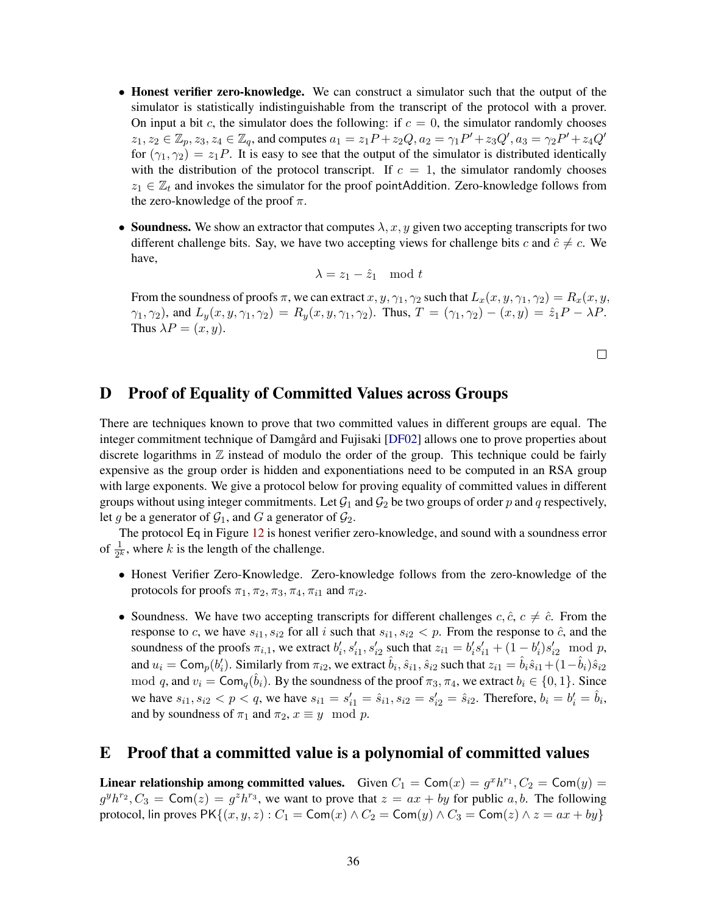- Honest verifier zero-knowledge. We can construct a simulator such that the output of the simulator is statistically indistinguishable from the transcript of the protocol with a prover. On input a bit c, the simulator does the following: if  $c = 0$ , the simulator randomly chooses  $z_1, z_2 \in \mathbb{Z}_p, z_3, z_4 \in \mathbb{Z}_q$ , and computes  $a_1 = z_1P + z_2Q, a_2 = \gamma_1P' + z_3Q', a_3 = \gamma_2P' + z_4Q'$ for  $(\gamma_1, \gamma_2) = z_1 P$ . It is easy to see that the output of the simulator is distributed identically with the distribution of the protocol transcript. If  $c = 1$ , the simulator randomly chooses  $z_1 \in \mathbb{Z}_t$  and invokes the simulator for the proof pointAddition. Zero-knowledge follows from the zero-knowledge of the proof  $\pi$ .
- Soundness. We show an extractor that computes  $\lambda$ , x, y given two accepting transcripts for two different challenge bits. Say, we have two accepting views for challenge bits c and  $\hat{c} \neq c$ . We have,

$$
\lambda = z_1 - \hat{z}_1 \mod t
$$

From the soundness of proofs  $\pi$ , we can extract  $x, y, \gamma_1, \gamma_2$  such that  $L_x(x, y, \gamma_1, \gamma_2) = R_x(x, y, \gamma_1, \gamma_2)$  $\gamma_1, \gamma_2$ ), and  $L_y(x, y, \gamma_1, \gamma_2) = R_y(x, y, \gamma_1, \gamma_2)$ . Thus,  $T = (\gamma_1, \gamma_2) - (x, y) = \hat{z}_1 P - \lambda P$ . Thus  $\lambda P = (x, y)$ .

 $\Box$ 

## <span id="page-36-1"></span>D Proof of Equality of Committed Values across Groups

There are techniques known to prove that two committed values in different groups are equal. The integer commitment technique of Damgård and Fujisaki [[DF02\]](#page-27-13) allows one to prove properties about discrete logarithms in  $\mathbb Z$  instead of modulo the order of the group. This technique could be fairly expensive as the group order is hidden and exponentiations need to be computed in an RSA group with large exponents. We give a protocol below for proving equality of committed values in different groups without using integer commitments. Let  $G_1$  and  $G_2$  be two groups of order p and q respectively, let g be a generator of  $\mathcal{G}_1$ , and G a generator of  $\mathcal{G}_2$ .

The protocol Eq in Figure [12](#page-37-0) is honest verifier zero-knowledge, and sound with a soundness error of  $\frac{1}{2^k}$ , where k is the length of the challenge.

- Honest Verifier Zero-Knowledge. Zero-knowledge follows from the zero-knowledge of the protocols for proofs  $\pi_1, \pi_2, \pi_3, \pi_4, \pi_{i1}$  and  $\pi_{i2}$ .
- Soundness. We have two accepting transcripts for different challenges  $c, \hat{c}, c \neq \hat{c}$ . From the response to c, we have  $s_{i1}, s_{i2}$  for all i such that  $s_{i1}, s_{i2} < p$ . From the response to  $\hat{c}$ , and the soundness of the proofs  $\pi_{i,1}$ , we extract  $b'_i$ ,  $s'_{i1}$ ,  $s'_{i2}$  such that  $z_{i1} = b'_i s'_{i1} + (1 - b'_i)s'_{i2} \mod p$ , and  $u_i = \textsf{Com}_p(b_i')$ . Similarly from  $\pi_{i2}$ , we extract  $\hat{b}_i, \hat{s}_{i1}, \hat{s}_{i2}$  such that  $z_{i1} = \hat{b}_i\hat{s}_{i1} + (1-\hat{b}_i)\hat{s}_{i2}$ mod q, and  $v_i = \textsf{Com}_q(\hat{b}_i)$ . By the soundness of the proof  $\pi_3, \pi_4$ , we extract  $b_i \in \{0,1\}$ . Since we have  $s_{i1}, s_{i2} < p < q$ , we have  $s_{i1} = s'_{i1} = \hat{s}_{i1}, s_{i2} = s'_{i2} = \hat{s}_{i2}$ . Therefore,  $b_i = b'_i = \hat{b}_i$ , and by soundness of  $\pi_1$  and  $\pi_2$ ,  $x \equiv y \mod p$ .

### <span id="page-36-0"></span>E Proof that a committed value is a polynomial of committed values

**Linear relationship among committed values.** Given  $C_1 = \text{Com}(x) = g^x h^{r_1}$ ,  $C_2 = \text{Com}(y) = g^{r_2} h^{r_3}$  $g^y h^{r_2}$ ,  $C_3 = \text{Com}(z) = g^z h^{r_3}$ , we want to prove that  $z = ax + by$  for public a, b. The following protocol, lin proves PK $\{(x, y, z) : C_1 = \text{Com}(x) \wedge C_2 = \text{Com}(y) \wedge C_3 = \text{Com}(z) \wedge z = ax + by\}$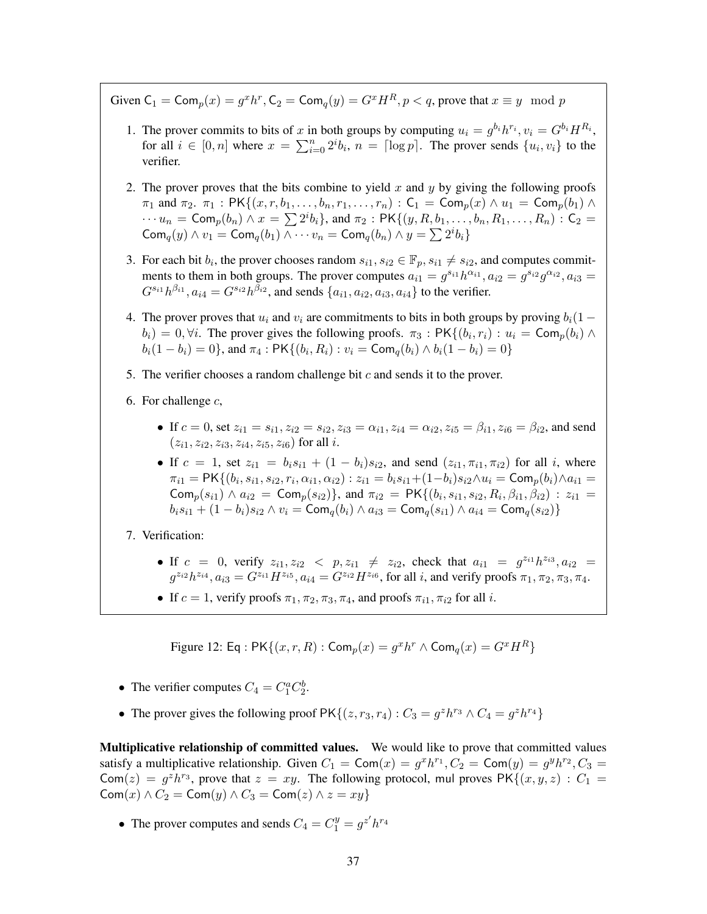<span id="page-37-0"></span>Given  $C_1 = \textsf{Com}_p(x) = g^x h^r$ ,  $C_2 = \textsf{Com}_q(y) = G^x H^R$ ,  $p < q$ , prove that  $x \equiv y \mod p$ 

- 1. The prover commits to bits of x in both groups by computing  $u_i = g^{b_i} h^{r_i}$ ,  $v_i = G^{b_i} H^{R_i}$ , for all  $i \in [0, n]$  where  $x = \sum_{i=0}^{n} 2^{i} b_{i}$ ,  $n = \lceil \log p \rceil$ . The prover sends  $\{u_i, v_i\}$  to the verifier.
- 2. The prover proves that the bits combine to yield  $x$  and  $y$  by giving the following proofs  $\pi_1$  and  $\pi_2$ .  $\pi_1$ : PK $\{(x, r, b_1, \ldots, b_n, r_1, \ldots, r_n) : C_1 = \text{Com}_p(x) \wedge u_1 = \text{Com}_p(b_1) \wedge u_1$  $\cdots u_n = \textsf{Com}_p(b_n) \wedge x = \sum 2^i b_i$ , and  $\pi_2 : \textsf{PK}\{(y, R, b_1, \ldots, b_n, R_1, \ldots, R_n) : C_2 =$ Com<sub>q</sub>(y)  $\wedge v_1 = \textsf{Com}_q(b_1) \wedge \cdots v_n = \textsf{Com}_q(b_n) \wedge y = \sum 2^i b_i$
- 3. For each bit  $b_i$ , the prover chooses random  $s_{i1}, s_{i2} \in \mathbb{F}_p$ ,  $s_{i1} \neq s_{i2}$ , and computes commitments to them in both groups. The prover computes  $a_{i1} = g^{s_{i1}}h^{\alpha_{i1}}, a_{i2} = g^{s_{i2}}g^{\alpha_{i2}}, a_{i3} =$  $G^{s_{i1}}h^{\beta_{i1}}, a_{i4} = G^{s_{i2}}h^{\beta_{i2}},$  and sends  $\{a_{i1}, a_{i2}, a_{i3}, a_{i4}\}$  to the verifier.
- 4. The prover proves that  $u_i$  and  $v_i$  are commitments to bits in both groups by proving  $b_i(1$  $b_i$ ) = 0,  $\forall i$ . The prover gives the following proofs.  $\pi_3$ : PK $\{(b_i, r_i) : u_i = \textsf{Com}_p(b_i) \land \emptyset\}$  $b_i(1 - b_i) = 0\}$ , and  $\pi_4$ : PK $\{(b_i, R_i) : v_i = \textsf{Com}_q(b_i) \wedge b_i(1 - b_i) = 0\}$
- 5. The verifier chooses a random challenge bit  $c$  and sends it to the prover.
- 6. For challenge  $c$ ,
	- If  $c = 0$ , set  $z_{i1} = s_{i1}, z_{i2} = s_{i2}, z_{i3} = \alpha_{i1}, z_{i4} = \alpha_{i2}, z_{i5} = \beta_{i1}, z_{i6} = \beta_{i2}$ , and send  $(z_{i1}, z_{i2}, z_{i3}, z_{i4}, z_{i5}, z_{i6})$  for all *i*.
	- If  $c = 1$ , set  $z_{i1} = b_i s_{i1} + (1 b_i)s_{i2}$ , and send  $(z_{i1}, \pi_{i1}, \pi_{i2})$  for all i, where  $\pi_{i1} = \textsf{PK}\{(b_i, s_{i1}, s_{i2}, r_i, \alpha_{i1}, \alpha_{i2}) : z_{i1} = b_i s_{i1} + (1-b_i) s_{i2} \wedge u_i = \textsf{Com}_p(b_i) \wedge a_{i1} =$ Com<sub>p</sub>(s<sub>i1</sub>)  $\wedge a_{i2}$  = Com<sub>p</sub>(s<sub>i2</sub>)}, and  $\pi_{i2}$  = PK{(b<sub>i</sub>, s<sub>i1</sub>, s<sub>i2</sub>, R<sub>i</sub>,  $\beta_{i1}$ ,  $\beta_{i2}$ ) :  $z_{i1}$  =  $b_i s_{i1} + (1 - b_i)s_{i2} \wedge v_i = \textsf{Com}_q(b_i) \wedge a_{i3} = \textsf{Com}_q(s_{i1}) \wedge a_{i4} = \textsf{Com}_q(s_{i2})\}$

7. Verification:

- If  $c = 0$ , verify  $z_{i1}, z_{i2} < p, z_{i1} \neq z_{i2}$ , check that  $a_{i1} = g^{z_{i1}}h^{z_{i3}}, a_{i2} =$  $g^{z_{i2}}h^{z_{i4}}, a_{i3} = G^{z_{i1}}H^{z_{i5}}, a_{i4} = G^{z_{i2}}H^{z_{i6}},$  for all i, and verify proofs  $\pi_1, \pi_2, \pi_3, \pi_4$ .
- If  $c = 1$ , verify proofs  $\pi_1, \pi_2, \pi_3, \pi_4$ , and proofs  $\pi_{i1}, \pi_{i2}$  for all *i*.

Figure 12: Eq : PK $\{(x, r, R) : \mathsf{Com}_p(x) = g^x h^r \wedge \mathsf{Com}_q(x) = G^x H^R\}$ 

- The verifier computes  $C_4 = C_1^a C_2^b$ .
- The prover gives the following proof  $PK{ (z, r_3, r_4) : C_3 = g^2 h^{r_3} \wedge C_4 = g^2 h^{r_4} }$

Multiplicative relationship of committed values. We would like to prove that committed values satisfy a multiplicative relationship. Given  $C_1 = \text{Com}(x) = g^x h^{r_1}$ ,  $C_2 = \text{Com}(y) = g^y h^{r_2}$ ,  $C_3 =$ Com(z) =  $g^zh^{r_3}$ , prove that  $z = xy$ . The following protocol, mul proves PK{ $(x, y, z) : C_1$  =  $\mathsf{Com}(x) \wedge C_2 = \mathsf{Com}(y) \wedge C_3 = \mathsf{Com}(z) \wedge z = xy$ 

• The prover computes and sends  $C_4 = C_1^y = g^{z'} h^{ra}$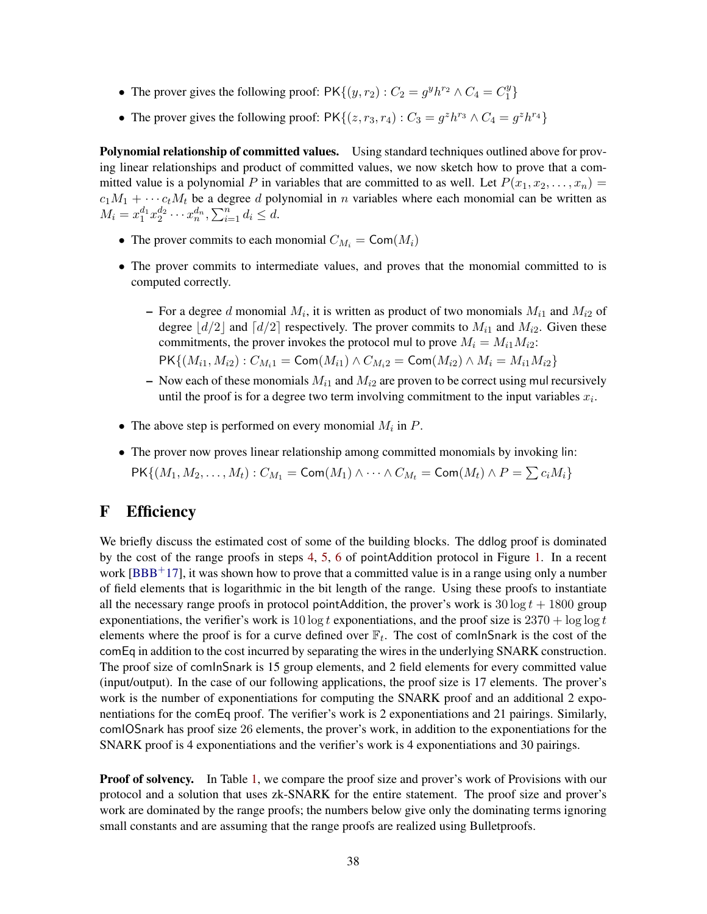- The prover gives the following proof:  $PK{ (y, r_2) : C_2 = g^y h^{r_2} \wedge C_4 = C_1^y}$  $\begin{bmatrix} y \\ 1 \end{bmatrix}$
- The prover gives the following proof:  $PK{ (z, r_3, r_4) : C_3 = g^2 h^{r_3} \wedge C_4 = g^2 h^{r_4} }$

Polynomial relationship of committed values. Using standard techniques outlined above for proving linear relationships and product of committed values, we now sketch how to prove that a committed value is a polynomial P in variables that are committed to as well. Let  $P(x_1, x_2, \ldots, x_n) =$  $c_1M_1 + \cdots + c_tM_t$  be a degree d polynomial in n variables where each monomial can be written as  $M_i = x_1^{d_1} x_2^{d_2} \cdots x_n^{d_n}, \sum_{i=1}^n d_i \leq d.$ 

- The prover commits to each monomial  $C_{M_i} = \text{Com}(M_i)$
- The prover commits to intermediate values, and proves that the monomial committed to is computed correctly.
	- For a degree d monomial  $M_i$ , it is written as product of two monomials  $M_{i1}$  and  $M_{i2}$  of degree  $\lfloor d/2 \rfloor$  and  $\lfloor d/2 \rfloor$  respectively. The prover commits to  $M_{i1}$  and  $M_{i2}$ . Given these commitments, the prover invokes the protocol mul to prove  $M_i = M_{i1} M_{i2}$ :

 $PK{ (M_{i1}, M_{i2}) : C_{M_i1} = \textsf{Com}(M_{i1}) \wedge C_{M_i2} = \textsf{Com}(M_{i2}) \wedge M_i = M_{i1}M_{i2} }$ 

- Now each of these monomials  $M_{i1}$  and  $M_{i2}$  are proven to be correct using mul recursively until the proof is for a degree two term involving commitment to the input variables  $x_i$ .
- The above step is performed on every monomial  $M_i$  in  $P$ .
- The prover now proves linear relationship among committed monomials by invoking lin:  $\mathsf{PK}\{(M_1,M_2,\ldots,M_t): C_{M_1}=\mathsf{Com}(M_1)\wedge \cdots \wedge C_{M_t}=\mathsf{Com}(M_t)\wedge P=\sum c_iM_i\}$

# <span id="page-38-0"></span>F Efficiency

We briefly discuss the estimated cost of some of the building blocks. The ddlog proof is dominated by the cost of the range proofs in steps [4,](#page-11-1) [5,](#page-11-2) [6](#page-11-3) of pointAddition protocol in Figure [1.](#page-11-0) In a recent work  $[BBB<sup>+</sup>17]$  $[BBB<sup>+</sup>17]$ , it was shown how to prove that a committed value is in a range using only a number of field elements that is logarithmic in the bit length of the range. Using these proofs to instantiate all the necessary range proofs in protocol pointAddition, the prover's work is  $30 \log t + 1800$  group exponentiations, the verifier's work is 10 log t exponentiations, and the proof size is  $2370 + \log \log t$ elements where the proof is for a curve defined over  $\mathbb{F}_t$ . The cost of comlnSnark is the cost of the comEq in addition to the cost incurred by separating the wires in the underlying SNARK construction. The proof size of comInSnark is 15 group elements, and 2 field elements for every committed value (input/output). In the case of our following applications, the proof size is 17 elements. The prover's work is the number of exponentiations for computing the SNARK proof and an additional 2 exponentiations for the comEq proof. The verifier's work is 2 exponentiations and 21 pairings. Similarly, comIOSnark has proof size 26 elements, the prover's work, in addition to the exponentiations for the SNARK proof is 4 exponentiations and the verifier's work is 4 exponentiations and 30 pairings.

**Proof of solvency.** In Table [1,](#page-39-1) we compare the proof size and prover's work of Provisions with our protocol and a solution that uses zk-SNARK for the entire statement. The proof size and prover's work are dominated by the range proofs; the numbers below give only the dominating terms ignoring small constants and are assuming that the range proofs are realized using Bulletproofs.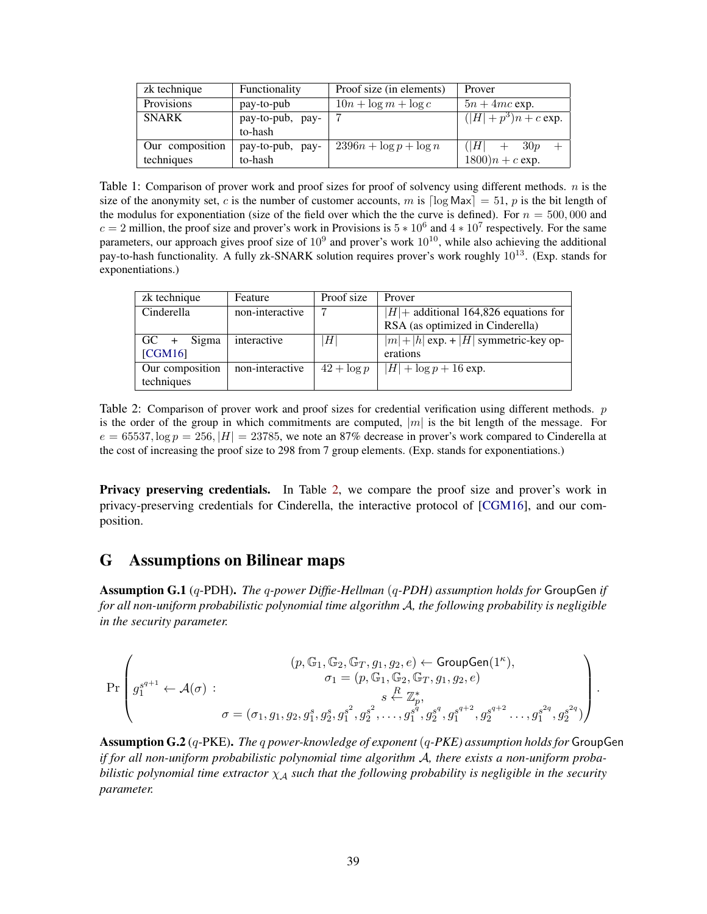<span id="page-39-1"></span>

| zk technique    | Functionality    | Proof size (in elements)  | Prover                                 |
|-----------------|------------------|---------------------------|----------------------------------------|
| Provisions      | pay-to-pub       | $10n + \log m + \log c$   | $5n + 4mc$ exp.                        |
| <b>SNARK</b>    | pay-to-pub, pay- |                           | $\sqrt{\left H\right +p^3}$ $n+c$ exp. |
|                 | to-hash          |                           |                                        |
| Our composition | pay-to-pub, pay- | $2396n + \log p + \log n$ | ( H )<br>$+$ 30p $+$                   |
| techniques      | to-hash          |                           | $(1800)n + c$ exp.                     |

Table 1: Comparison of prover work and proof sizes for proof of solvency using different methods.  $n$  is the size of the anonymity set, c is the number of customer accounts, m is  $\lceil \log \text{Max} \rceil = 51$ , p is the bit length of the modulus for exponentiation (size of the field over which the the curve is defined). For  $n = 500,000$  and  $c = 2$  million, the proof size and prover's work in Provisions is  $5 * 10^6$  and  $4 * 10^7$  respectively. For the same parameters, our approach gives proof size of  $10^9$  and prover's work  $10^{10}$ , while also achieving the additional pay-to-hash functionality. A fully zk-SNARK solution requires prover's work roughly  $10^{13}$ . (Exp. stands for exponentiations.)

<span id="page-39-2"></span>

| zk technique    | Feature         | Proof size    | Prover                                 |
|-----------------|-----------------|---------------|----------------------------------------|
| Cinderella      | non-interactive | 7             | $ H $ additional 164,826 equations for |
|                 |                 |               | RSA (as optimized in Cinderella)       |
| $GC + Sigma$    | interactive     | H             | $ m + h $ exp. +  H  symmetric-key op- |
| [CGM16]         |                 |               | erations                               |
| Our composition | non-interactive | $42 + \log p$ | $ H  + \log p + 16 \exp$ .             |
| techniques      |                 |               |                                        |

Table 2: Comparison of prover work and proof sizes for credential verification using different methods. p is the order of the group in which commitments are computed,  $|m|$  is the bit length of the message. For  $e = 65537$ ,  $\log p = 256$ ,  $|H| = 23785$ , we note an 87% decrease in prover's work compared to Cinderella at the cost of increasing the proof size to 298 from 7 group elements. (Exp. stands for exponentiations.)

Privacy preserving credentials. In Table [2,](#page-39-2) we compare the proof size and prover's work in privacy-preserving credentials for Cinderella, the interactive protocol of [\[CGM16\]](#page-26-7), and our composition.

# <span id="page-39-0"></span>G Assumptions on Bilinear maps

Assumption G.1 (q-PDH). *The* q*-power Diffie-Hellman* (q*-PDH) assumption holds for* GroupGen *if for all non-uniform probabilistic polynomial time algorithm* A*, the following probability is negligible in the security parameter.*

$$
\Pr\left(g_1^{s^{q+1}} \leftarrow \mathcal{A}(\sigma) : \begin{pmatrix} (p, \mathbb{G}_1, \mathbb{G}_2, \mathbb{G}_T, g_1, g_2, e) \leftarrow \text{GroupGen}(1^{\kappa}), \\ \sigma_1 = (p, \mathbb{G}_1, \mathbb{G}_2, \mathbb{G}_T, g_1, g_2, e) \\ s \leftarrow \mathbb{Z}_p^*, \\ \sigma = (\sigma_1, g_1, g_2, g_1^s, g_2^s, g_1^{s^2}, g_2^{s^2}, \dots, g_1^{s^q}, g_2^{s^q}, g_1^{s^{q+2}}, g_2^{s^{q+2}} \dots, g_1^{s^{2q}}, g_2^{s^{2q}}) \end{pmatrix}.
$$

Assumption G.2 (q-PKE). *The* q *power-knowledge of exponent*(q*-PKE) assumption holds for* GroupGen *if for all non-uniform probabilistic polynomial time algorithm* A*, there exists a non-uniform probabilistic polynomial time extractor*  $\chi_A$  *such that the following probability is negligible in the security parameter.*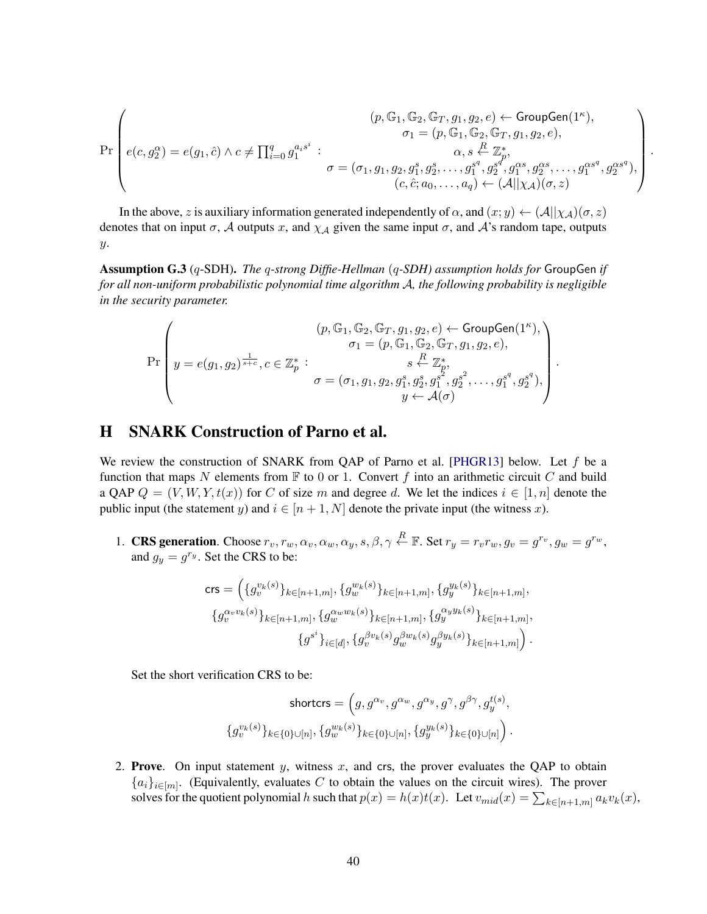$$
\Pr\left(e(c,g_2^\alpha)=e(g_1,\hat{c})\land c\neq\prod_{i=0}^qg_1^{a_is^i}:\begin{matrix} (p,\mathbb{G}_1,\mathbb{G}_2,\mathbb{G}_T,g_1,g_2,e)\leftarrow\text{GroupGen}(1^\kappa),\\ \sigma_1=(p,\mathbb{G}_1,\mathbb{G}_2,\mathbb{G}_T,g_1,g_2,e),\\ \alpha,s\stackrel{R}{\leftarrow}\mathbb{Z}_p^*,\\ \sigma=(\sigma_1,g_1,g_2,g_1^s,g_2^s,\ldots,g_1^{s^q},g_2^{s^q},g_1^{\alpha s},g_2^{\alpha s},\ldots,g_1^{\alpha s^q},g_2^{\alpha s^q}),\\ (c,\hat{c};a_0,\ldots,a_q)\leftarrow (A||\chi_A)(\sigma,z)\end{matrix}\right)
$$

.

In the above, z is auxiliary information generated independently of  $\alpha$ , and  $(x; y) \leftarrow (A||\chi_A)(\sigma, z)$ denotes that on input  $\sigma$ , A outputs x, and  $\chi_A$  given the same input  $\sigma$ , and A's random tape, outputs y.

Assumption G.3 (q-SDH). *The* q*-strong Diffie-Hellman* (q*-SDH) assumption holds for* GroupGen *if for all non-uniform probabilistic polynomial time algorithm* A*, the following probability is negligible in the security parameter.*

$$
\Pr\left(y = e(g_1, g_2)^{\frac{1}{s+c}}, c \in \mathbb{Z}_p^* : \begin{array}{c} (p, \mathbb{G}_1, \mathbb{G}_2, \mathbb{G}_T, g_1, g_2, e) \leftarrow \text{GroupGen}(1^{\kappa}), \\ \sigma_1 = (p, \mathbb{G}_1, \mathbb{G}_2, \mathbb{G}_T, g_1, g_2, e), \\ s \stackrel{R}{\leftarrow} \mathbb{Z}_p^*, \\ \sigma = (\sigma_1, g_1, g_2, g_1^s, g_2^s, g_1^{s^2}, g_2^{s^2}, \dots, g_1^{s^q}, g_2^{s^q}), \\ y \leftarrow \mathcal{A}(\sigma) \end{array}\right).
$$

# <span id="page-40-0"></span>H SNARK Construction of Parno et al.

We review the construction of SNARK from QAP of Parno et al. [\[PHGR13\]](#page-29-6) below. Let  $f$  be a function that maps N elements from  $\mathbb F$  to 0 or 1. Convert f into an arithmetic circuit C and build a QAP  $Q = (V, W, Y, t(x))$  for C of size m and degree d. We let the indices  $i \in [1, n]$  denote the public input (the statement y) and  $i \in [n+1, N]$  denote the private input (the witness x).

1. CRS generation. Choose  $r_v, r_w, \alpha_v, \alpha_w, \alpha_y, s, \beta, \gamma \stackrel{R}{\leftarrow} \mathbb{F}$ . Set  $r_y = r_v r_w, g_v = g^{r_v}, g_w = g^{r_w}$ , and  $g_y = g^{ry}$ . Set the CRS to be:

$$
\begin{split} \text{crs} = \left( \{ g_{v}^{v_k(s)} \}_{k \in [n+1,m]}, \{ g_{w}^{w_k(s)} \}_{k \in [n+1,m]}, \{ g_{y}^{y_k(s)} \}_{k \in [n+1,m]},\\ \{ g_{v}^{\alpha_v v_k(s)} \}_{k \in [n+1,m]}, \{ g_{w}^{\alpha_w w_k(s)} \}_{k \in [n+1,m]}, \{ g_{y}^{\alpha_y y_k(s)} \}_{k \in [n+1,m]},\\ \{ g^{s^i} \}_{i \in [d]}, \{ g_{v}^{\beta v_k(s)} g_{w}^{\beta w_k(s)} g_{y}^{\beta y_k(s)} \}_{k \in [n+1,m]} \right). \end{split}
$$

Set the short verification CRS to be:

$$
\text{shorters} = \left(g, g^{\alpha_v}, g^{\alpha_w}, g^{\alpha_y}, g^{\gamma}, g^{\beta\gamma}, g^{t(s)}_y, \right.\\ \left.\left\{g_v^{v_k(s)}\right\}_{k \in \{0\} \cup [n]}, \{g_w^{w_k(s)}\}_{k \in \{0\} \cup [n]}, \{g_y^{y_k(s)}\}_{k \in \{0\} \cup [n]}\right).
$$

2. **Prove.** On input statement y, witness  $x$ , and crs, the prover evaluates the QAP to obtain  ${a_i}_{i \in [m]}$ . (Equivalently, evaluates C to obtain the values on the circuit wires). The prover solves for the quotient polynomial h such that  $p(x) = h(x)t(x)$ . Let  $v_{mid}(x) = \sum_{k \in [n+1,m]} a_k v_k(x)$ ,